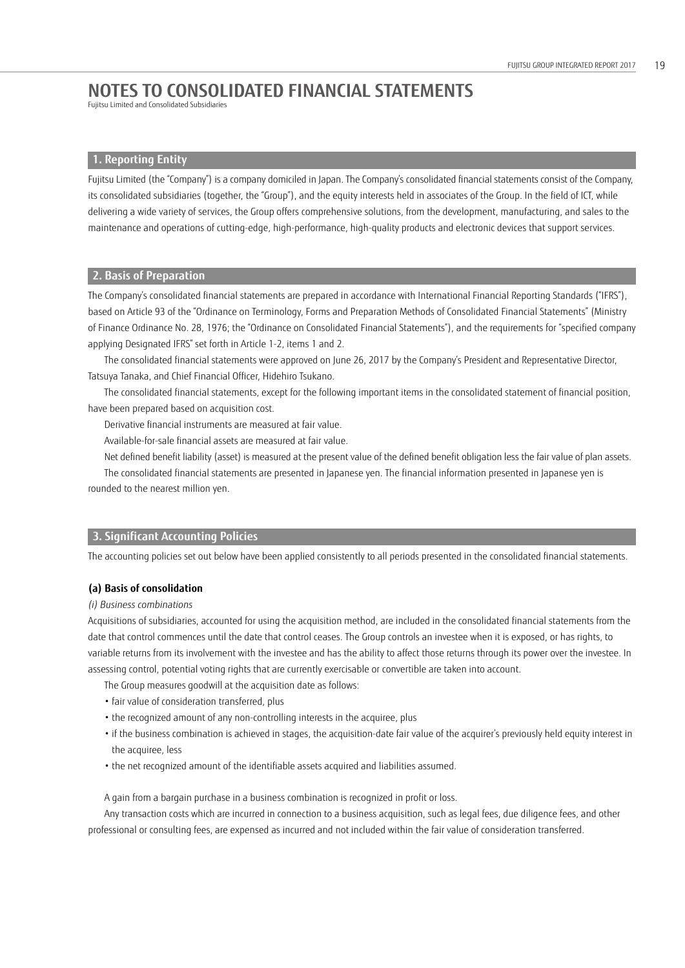Fujitsu Limited and Consolidated Subsidiaries

# **1. Reporting Entity**

Fujitsu Limited (the "Company") is a company domiciled in Japan. The Company's consolidated financial statements consist of the Company, its consolidated subsidiaries (together, the "Group"), and the equity interests held in associates of the Group. In the field of ICT, while delivering a wide variety of services, the Group offers comprehensive solutions, from the development, manufacturing, and sales to the maintenance and operations of cutting-edge, high-performance, high-quality products and electronic devices that support services.

# **2. Basis of Preparation**

The Company's consolidated financial statements are prepared in accordance with International Financial Reporting Standards ("IFRS"), based on Article 93 of the "Ordinance on Terminology, Forms and Preparation Methods of Consolidated Financial Statements" (Ministry of Finance Ordinance No. 28, 1976; the "Ordinance on Consolidated Financial Statements"), and the requirements for "specified company applying Designated IFRS" set forth in Article 1-2, items 1 and 2.

The consolidated financial statements were approved on June 26, 2017 by the Company's President and Representative Director, Tatsuya Tanaka, and Chief Financial Officer, Hidehiro Tsukano.

The consolidated financial statements, except for the following important items in the consolidated statement of financial position, have been prepared based on acquisition cost.

Derivative financial instruments are measured at fair value.

Available-for-sale financial assets are measured at fair value.

Net defined benefit liability (asset) is measured at the present value of the defined benefit obligation less the fair value of plan assets. The consolidated financial statements are presented in Japanese yen. The financial information presented in Japanese yen is rounded to the nearest million yen.

# **3. Significant Accounting Policies**

The accounting policies set out below have been applied consistently to all periods presented in the consolidated financial statements.

### **(a) Basis of consolidation**

### *(i) Business combinations*

Acquisitions of subsidiaries, accounted for using the acquisition method, are included in the consolidated financial statements from the date that control commences until the date that control ceases. The Group controls an investee when it is exposed, or has rights, to variable returns from its involvement with the investee and has the ability to affect those returns through its power over the investee. In assessing control, potential voting rights that are currently exercisable or convertible are taken into account.

- The Group measures goodwill at the acquisition date as follows:
- fair value of consideration transferred, plus
- the recognized amount of any non-controlling interests in the acquiree, plus
- if the business combination is achieved in stages, the acquisition-date fair value of the acquirer's previously held equity interest in the acquiree, less
- the net recognized amount of the identifiable assets acquired and liabilities assumed.

A gain from a bargain purchase in a business combination is recognized in profit or loss. Any transaction costs which are incurred in connection to a business acquisition, such as legal fees, due diligence fees, and other professional or consulting fees, are expensed as incurred and not included within the fair value of consideration transferred.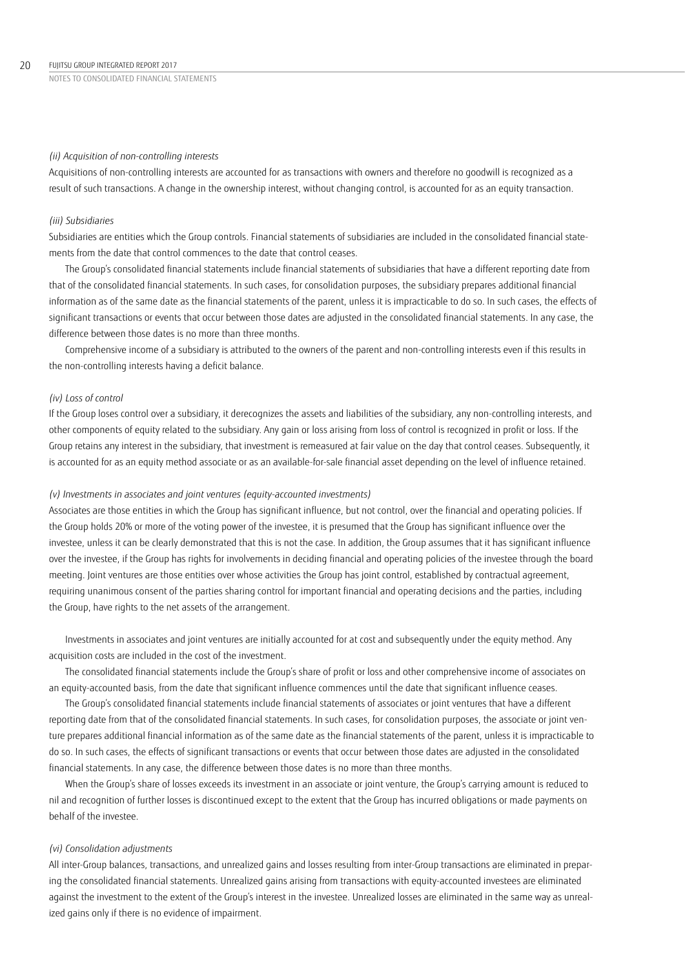#### *(ii) Acquisition of non-controlling interests*

Acquisitions of non-controlling interests are accounted for as transactions with owners and therefore no goodwill is recognized as a result of such transactions. A change in the ownership interest, without changing control, is accounted for as an equity transaction.

# *(iii) Subsidiaries*

Subsidiaries are entities which the Group controls. Financial statements of subsidiaries are included in the consolidated financial statements from the date that control commences to the date that control ceases.

The Group's consolidated financial statements include financial statements of subsidiaries that have a different reporting date from that of the consolidated financial statements. In such cases, for consolidation purposes, the subsidiary prepares additional financial information as of the same date as the financial statements of the parent, unless it is impracticable to do so. In such cases, the effects of significant transactions or events that occur between those dates are adjusted in the consolidated financial statements. In any case, the difference between those dates is no more than three months.

Comprehensive income of a subsidiary is attributed to the owners of the parent and non-controlling interests even if this results in the non-controlling interests having a deficit balance.

# *(iv) Loss of control*

If the Group loses control over a subsidiary, it derecognizes the assets and liabilities of the subsidiary, any non-controlling interests, and other components of equity related to the subsidiary. Any gain or loss arising from loss of control is recognized in profit or loss. If the Group retains any interest in the subsidiary, that investment is remeasured at fair value on the day that control ceases. Subsequently, it is accounted for as an equity method associate or as an available-for-sale financial asset depending on the level of influence retained.

#### *(v) Investments in associates and joint ventures (equity-accounted investments)*

Associates are those entities in which the Group has significant influence, but not control, over the financial and operating policies. If the Group holds 20% or more of the voting power of the investee, it is presumed that the Group has significant influence over the investee, unless it can be clearly demonstrated that this is not the case. In addition, the Group assumes that it has significant influence over the investee, if the Group has rights for involvements in deciding financial and operating policies of the investee through the board meeting. Joint ventures are those entities over whose activities the Group has joint control, established by contractual agreement, requiring unanimous consent of the parties sharing control for important financial and operating decisions and the parties, including the Group, have rights to the net assets of the arrangement.

Investments in associates and joint ventures are initially accounted for at cost and subsequently under the equity method. Any acquisition costs are included in the cost of the investment.

The consolidated financial statements include the Group's share of profit or loss and other comprehensive income of associates on an equity-accounted basis, from the date that significant influence commences until the date that significant influence ceases.

The Group's consolidated financial statements include financial statements of associates or joint ventures that have a different reporting date from that of the consolidated financial statements. In such cases, for consolidation purposes, the associate or joint venture prepares additional financial information as of the same date as the financial statements of the parent, unless it is impracticable to do so. In such cases, the effects of significant transactions or events that occur between those dates are adjusted in the consolidated financial statements. In any case, the difference between those dates is no more than three months.

When the Group's share of losses exceeds its investment in an associate or joint venture, the Group's carrying amount is reduced to nil and recognition of further losses is discontinued except to the extent that the Group has incurred obligations or made payments on behalf of the investee.

# *(vi) Consolidation adjustments*

All inter-Group balances, transactions, and unrealized gains and losses resulting from inter-Group transactions are eliminated in preparing the consolidated financial statements. Unrealized gains arising from transactions with equity-accounted investees are eliminated against the investment to the extent of the Group's interest in the investee. Unrealized losses are eliminated in the same way as unrealized gains only if there is no evidence of impairment.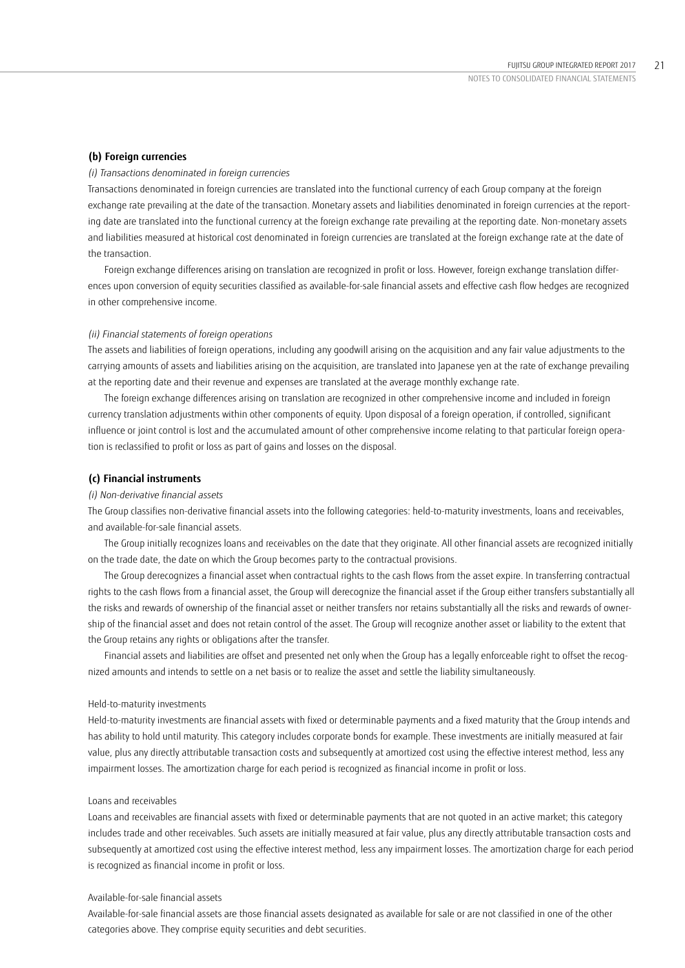### **(b) Foreign currencies**

#### *(i) Transactions denominated in foreign currencies*

Transactions denominated in foreign currencies are translated into the functional currency of each Group company at the foreign exchange rate prevailing at the date of the transaction. Monetary assets and liabilities denominated in foreign currencies at the reporting date are translated into the functional currency at the foreign exchange rate prevailing at the reporting date. Non-monetary assets and liabilities measured at historical cost denominated in foreign currencies are translated at the foreign exchange rate at the date of the transaction.

Foreign exchange differences arising on translation are recognized in profit or loss. However, foreign exchange translation differences upon conversion of equity securities classified as available-for-sale financial assets and effective cash flow hedges are recognized in other comprehensive income.

### *(ii) Financial statements of foreign operations*

The assets and liabilities of foreign operations, including any goodwill arising on the acquisition and any fair value adjustments to the carrying amounts of assets and liabilities arising on the acquisition, are translated into Japanese yen at the rate of exchange prevailing at the reporting date and their revenue and expenses are translated at the average monthly exchange rate.

The foreign exchange differences arising on translation are recognized in other comprehensive income and included in foreign currency translation adjustments within other components of equity. Upon disposal of a foreign operation, if controlled, significant influence or joint control is lost and the accumulated amount of other comprehensive income relating to that particular foreign operation is reclassified to profit or loss as part of gains and losses on the disposal.

#### **(c) Financial instruments**

#### *(i) Non-derivative financial assets*

The Group classifies non-derivative financial assets into the following categories: held-to-maturity investments, loans and receivables, and available-for-sale financial assets.

The Group initially recognizes loans and receivables on the date that they originate. All other financial assets are recognized initially on the trade date, the date on which the Group becomes party to the contractual provisions.

The Group derecognizes a financial asset when contractual rights to the cash flows from the asset expire. In transferring contractual rights to the cash flows from a financial asset, the Group will derecognize the financial asset if the Group either transfers substantially all the risks and rewards of ownership of the financial asset or neither transfers nor retains substantially all the risks and rewards of ownership of the financial asset and does not retain control of the asset. The Group will recognize another asset or liability to the extent that the Group retains any rights or obligations after the transfer.

Financial assets and liabilities are offset and presented net only when the Group has a legally enforceable right to offset the recognized amounts and intends to settle on a net basis or to realize the asset and settle the liability simultaneously.

#### Held-to-maturity investments

Held-to-maturity investments are financial assets with fixed or determinable payments and a fixed maturity that the Group intends and has ability to hold until maturity. This category includes corporate bonds for example. These investments are initially measured at fair value, plus any directly attributable transaction costs and subsequently at amortized cost using the effective interest method, less any impairment losses. The amortization charge for each period is recognized as financial income in profit or loss.

#### Loans and receivables

Loans and receivables are financial assets with fixed or determinable payments that are not quoted in an active market; this category includes trade and other receivables. Such assets are initially measured at fair value, plus any directly attributable transaction costs and subsequently at amortized cost using the effective interest method, less any impairment losses. The amortization charge for each period is recognized as financial income in profit or loss.

### Available-for-sale financial assets

Available-for-sale financial assets are those financial assets designated as available for sale or are not classified in one of the other categories above. They comprise equity securities and debt securities.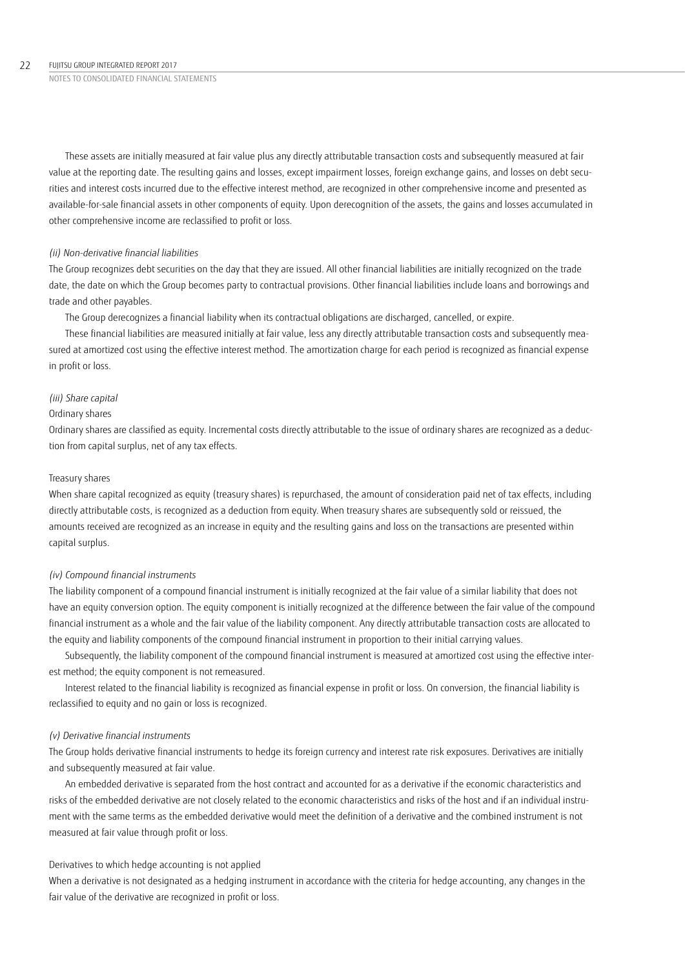These assets are initially measured at fair value plus any directly attributable transaction costs and subsequently measured at fair value at the reporting date. The resulting gains and losses, except impairment losses, foreign exchange gains, and losses on debt securities and interest costs incurred due to the effective interest method, are recognized in other comprehensive income and presented as available-for-sale financial assets in other components of equity. Upon derecognition of the assets, the gains and losses accumulated in other comprehensive income are reclassified to profit or loss.

### *(ii) Non-derivative financial liabilities*

The Group recognizes debt securities on the day that they are issued. All other financial liabilities are initially recognized on the trade date, the date on which the Group becomes party to contractual provisions. Other financial liabilities include loans and borrowings and trade and other payables.

The Group derecognizes a financial liability when its contractual obligations are discharged, cancelled, or expire.

These financial liabilities are measured initially at fair value, less any directly attributable transaction costs and subsequently measured at amortized cost using the effective interest method. The amortization charge for each period is recognized as financial expense in profit or loss.

### *(iii) Share capital*

### Ordinary shares

Ordinary shares are classified as equity. Incremental costs directly attributable to the issue of ordinary shares are recognized as a deduction from capital surplus, net of any tax effects.

### Treasury shares

When share capital recognized as equity (treasury shares) is repurchased, the amount of consideration paid net of tax effects, including directly attributable costs, is recognized as a deduction from equity. When treasury shares are subsequently sold or reissued, the amounts received are recognized as an increase in equity and the resulting gains and loss on the transactions are presented within capital surplus.

### *(iv) Compound financial instruments*

The liability component of a compound financial instrument is initially recognized at the fair value of a similar liability that does not have an equity conversion option. The equity component is initially recognized at the difference between the fair value of the compound financial instrument as a whole and the fair value of the liability component. Any directly attributable transaction costs are allocated to the equity and liability components of the compound financial instrument in proportion to their initial carrying values.

Subsequently, the liability component of the compound financial instrument is measured at amortized cost using the effective interest method; the equity component is not remeasured.

Interest related to the financial liability is recognized as financial expense in profit or loss. On conversion, the financial liability is reclassified to equity and no gain or loss is recognized.

# *(v) Derivative financial instruments*

The Group holds derivative financial instruments to hedge its foreign currency and interest rate risk exposures. Derivatives are initially and subsequently measured at fair value.

An embedded derivative is separated from the host contract and accounted for as a derivative if the economic characteristics and risks of the embedded derivative are not closely related to the economic characteristics and risks of the host and if an individual instrument with the same terms as the embedded derivative would meet the definition of a derivative and the combined instrument is not measured at fair value through profit or loss.

### Derivatives to which hedge accounting is not applied

When a derivative is not designated as a hedging instrument in accordance with the criteria for hedge accounting, any changes in the fair value of the derivative are recognized in profit or loss.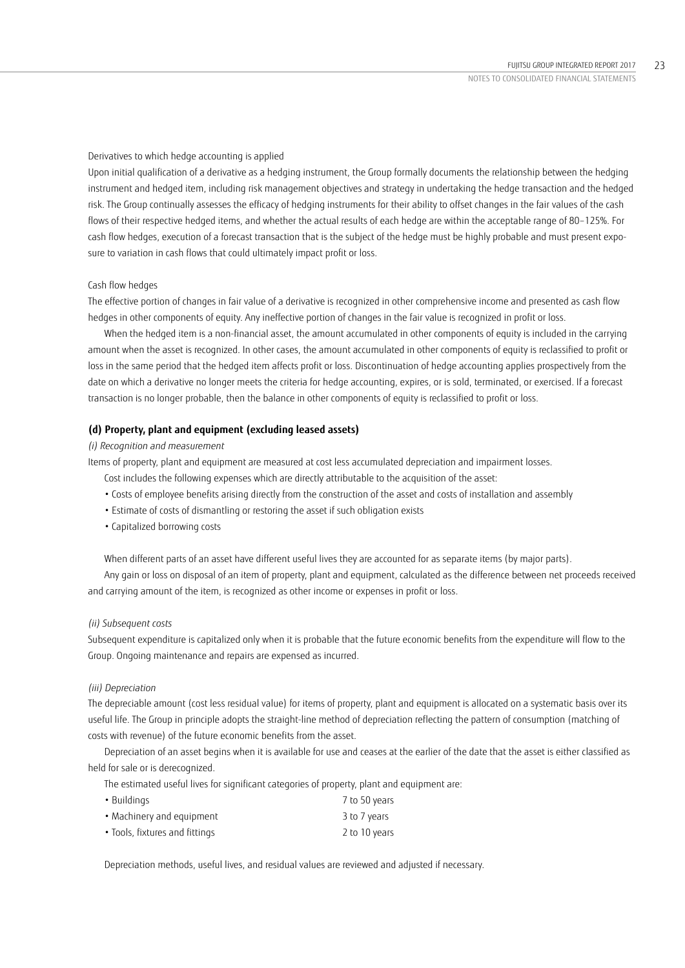Derivatives to which hedge accounting is applied

Upon initial qualification of a derivative as a hedging instrument, the Group formally documents the relationship between the hedging instrument and hedged item, including risk management objectives and strategy in undertaking the hedge transaction and the hedged risk. The Group continually assesses the efficacy of hedging instruments for their ability to offset changes in the fair values of the cash flows of their respective hedged items, and whether the actual results of each hedge are within the acceptable range of 80–125%. For cash flow hedges, execution of a forecast transaction that is the subject of the hedge must be highly probable and must present exposure to variation in cash flows that could ultimately impact profit or loss.

### Cash flow hedges

The effective portion of changes in fair value of a derivative is recognized in other comprehensive income and presented as cash flow hedges in other components of equity. Any ineffective portion of changes in the fair value is recognized in profit or loss.

When the hedged item is a non-financial asset, the amount accumulated in other components of equity is included in the carrying amount when the asset is recognized. In other cases, the amount accumulated in other components of equity is reclassified to profit or loss in the same period that the hedged item affects profit or loss. Discontinuation of hedge accounting applies prospectively from the date on which a derivative no longer meets the criteria for hedge accounting, expires, or is sold, terminated, or exercised. If a forecast transaction is no longer probable, then the balance in other components of equity is reclassified to profit or loss.

### **(d) Property, plant and equipment (excluding leased assets)**

# *(i) Recognition and measurement*

Items of property, plant and equipment are measured at cost less accumulated depreciation and impairment losses.

- Cost includes the following expenses which are directly attributable to the acquisition of the asset:
- Costs of employee benefits arising directly from the construction of the asset and costs of installation and assembly
- Estimate of costs of dismantling or restoring the asset if such obligation exists
- Capitalized borrowing costs

When different parts of an asset have different useful lives they are accounted for as separate items (by major parts).

Any gain or loss on disposal of an item of property, plant and equipment, calculated as the difference between net proceeds received and carrying amount of the item, is recognized as other income or expenses in profit or loss.

### *(ii) Subsequent costs*

Subsequent expenditure is capitalized only when it is probable that the future economic benefits from the expenditure will flow to the Group. Ongoing maintenance and repairs are expensed as incurred.

### *(iii) Depreciation*

The depreciable amount (cost less residual value) for items of property, plant and equipment is allocated on a systematic basis over its useful life. The Group in principle adopts the straight-line method of depreciation reflecting the pattern of consumption (matching of costs with revenue) of the future economic benefits from the asset.

Depreciation of an asset begins when it is available for use and ceases at the earlier of the date that the asset is either classified as held for sale or is derecognized.

The estimated useful lives for significant categories of property, plant and equipment are:

| • Buildings                    | 7 to 50 years |
|--------------------------------|---------------|
| • Machinery and equipment      | 3 to 7 years  |
| • Tools, fixtures and fittings | 2 to 10 years |

Depreciation methods, useful lives, and residual values are reviewed and adjusted if necessary.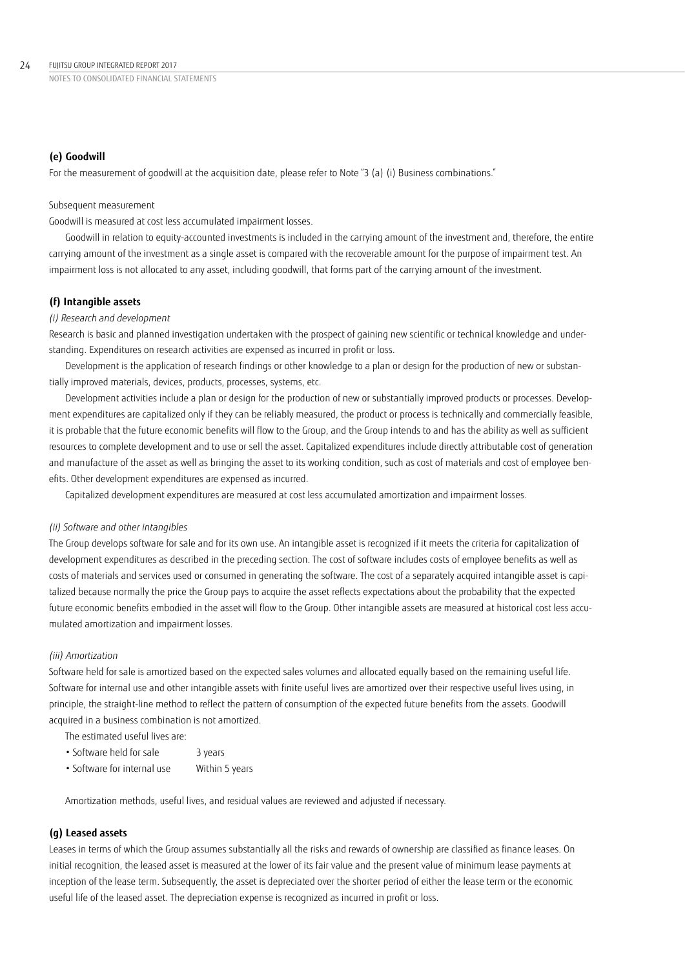# **(e) Goodwill**

For the measurement of goodwill at the acquisition date, please refer to Note "3 (a) (i) Business combinations."

### Subsequent measurement

Goodwill is measured at cost less accumulated impairment losses.

Goodwill in relation to equity-accounted investments is included in the carrying amount of the investment and, therefore, the entire carrying amount of the investment as a single asset is compared with the recoverable amount for the purpose of impairment test. An impairment loss is not allocated to any asset, including goodwill, that forms part of the carrying amount of the investment.

# **(f) Intangible assets**

### *(i) Research and development*

Research is basic and planned investigation undertaken with the prospect of gaining new scientific or technical knowledge and understanding. Expenditures on research activities are expensed as incurred in profit or loss.

Development is the application of research findings or other knowledge to a plan or design for the production of new or substantially improved materials, devices, products, processes, systems, etc.

Development activities include a plan or design for the production of new or substantially improved products or processes. Development expenditures are capitalized only if they can be reliably measured, the product or process is technically and commercially feasible, it is probable that the future economic benefits will flow to the Group, and the Group intends to and has the ability as well as sufficient resources to complete development and to use or sell the asset. Capitalized expenditures include directly attributable cost of generation and manufacture of the asset as well as bringing the asset to its working condition, such as cost of materials and cost of employee benefits. Other development expenditures are expensed as incurred.

Capitalized development expenditures are measured at cost less accumulated amortization and impairment losses.

### *(ii) Software and other intangibles*

The Group develops software for sale and for its own use. An intangible asset is recognized if it meets the criteria for capitalization of development expenditures as described in the preceding section. The cost of software includes costs of employee benefits as well as costs of materials and services used or consumed in generating the software. The cost of a separately acquired intangible asset is capitalized because normally the price the Group pays to acquire the asset reflects expectations about the probability that the expected future economic benefits embodied in the asset will flow to the Group. Other intangible assets are measured at historical cost less accumulated amortization and impairment losses.

### *(iii) Amortization*

Software held for sale is amortized based on the expected sales volumes and allocated equally based on the remaining useful life. Software for internal use and other intangible assets with finite useful lives are amortized over their respective useful lives using, in principle, the straight-line method to reflect the pattern of consumption of the expected future benefits from the assets. Goodwill acquired in a business combination is not amortized.

The estimated useful lives are:

- Software held for sale 3 years
- Software for internal use Within 5 years

Amortization methods, useful lives, and residual values are reviewed and adjusted if necessary.

### **(g) Leased assets**

Leases in terms of which the Group assumes substantially all the risks and rewards of ownership are classified as finance leases. On initial recognition, the leased asset is measured at the lower of its fair value and the present value of minimum lease payments at inception of the lease term. Subsequently, the asset is depreciated over the shorter period of either the lease term or the economic useful life of the leased asset. The depreciation expense is recognized as incurred in profit or loss.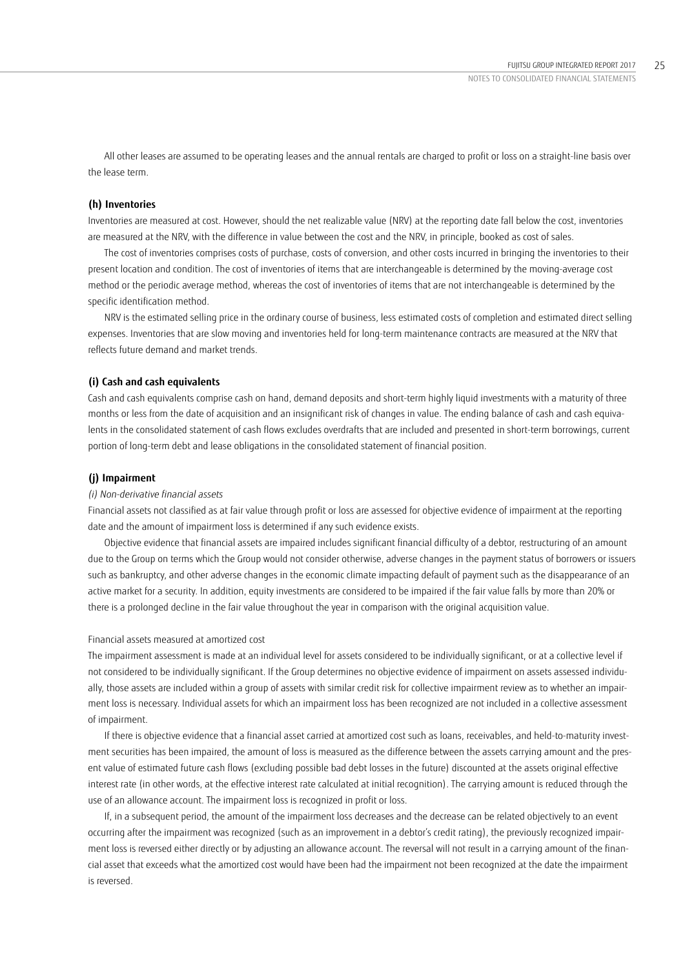All other leases are assumed to be operating leases and the annual rentals are charged to profit or loss on a straight-line basis over the lease term.

### **(h) Inventories**

Inventories are measured at cost. However, should the net realizable value (NRV) at the reporting date fall below the cost, inventories are measured at the NRV, with the difference in value between the cost and the NRV, in principle, booked as cost of sales.

The cost of inventories comprises costs of purchase, costs of conversion, and other costs incurred in bringing the inventories to their present location and condition. The cost of inventories of items that are interchangeable is determined by the moving-average cost method or the periodic average method, whereas the cost of inventories of items that are not interchangeable is determined by the specific identification method.

NRV is the estimated selling price in the ordinary course of business, less estimated costs of completion and estimated direct selling expenses. Inventories that are slow moving and inventories held for long-term maintenance contracts are measured at the NRV that reflects future demand and market trends.

### **(i) Cash and cash equivalents**

Cash and cash equivalents comprise cash on hand, demand deposits and short-term highly liquid investments with a maturity of three months or less from the date of acquisition and an insignificant risk of changes in value. The ending balance of cash and cash equivalents in the consolidated statement of cash flows excludes overdrafts that are included and presented in short-term borrowings, current portion of long-term debt and lease obligations in the consolidated statement of financial position.

#### **(j) Impairment**

#### *(i) Non-derivative financial assets*

Financial assets not classified as at fair value through profit or loss are assessed for objective evidence of impairment at the reporting date and the amount of impairment loss is determined if any such evidence exists.

Objective evidence that financial assets are impaired includes significant financial difficulty of a debtor, restructuring of an amount due to the Group on terms which the Group would not consider otherwise, adverse changes in the payment status of borrowers or issuers such as bankruptcy, and other adverse changes in the economic climate impacting default of payment such as the disappearance of an active market for a security. In addition, equity investments are considered to be impaired if the fair value falls by more than 20% or there is a prolonged decline in the fair value throughout the year in comparison with the original acquisition value.

#### Financial assets measured at amortized cost

The impairment assessment is made at an individual level for assets considered to be individually significant, or at a collective level if not considered to be individually significant. If the Group determines no objective evidence of impairment on assets assessed individually, those assets are included within a group of assets with similar credit risk for collective impairment review as to whether an impairment loss is necessary. Individual assets for which an impairment loss has been recognized are not included in a collective assessment of impairment.

If there is objective evidence that a financial asset carried at amortized cost such as loans, receivables, and held-to-maturity investment securities has been impaired, the amount of loss is measured as the difference between the assets carrying amount and the present value of estimated future cash flows (excluding possible bad debt losses in the future) discounted at the assets original effective interest rate (in other words, at the effective interest rate calculated at initial recognition). The carrying amount is reduced through the use of an allowance account. The impairment loss is recognized in profit or loss.

If, in a subsequent period, the amount of the impairment loss decreases and the decrease can be related objectively to an event occurring after the impairment was recognized (such as an improvement in a debtor's credit rating), the previously recognized impairment loss is reversed either directly or by adjusting an allowance account. The reversal will not result in a carrying amount of the financial asset that exceeds what the amortized cost would have been had the impairment not been recognized at the date the impairment is reversed.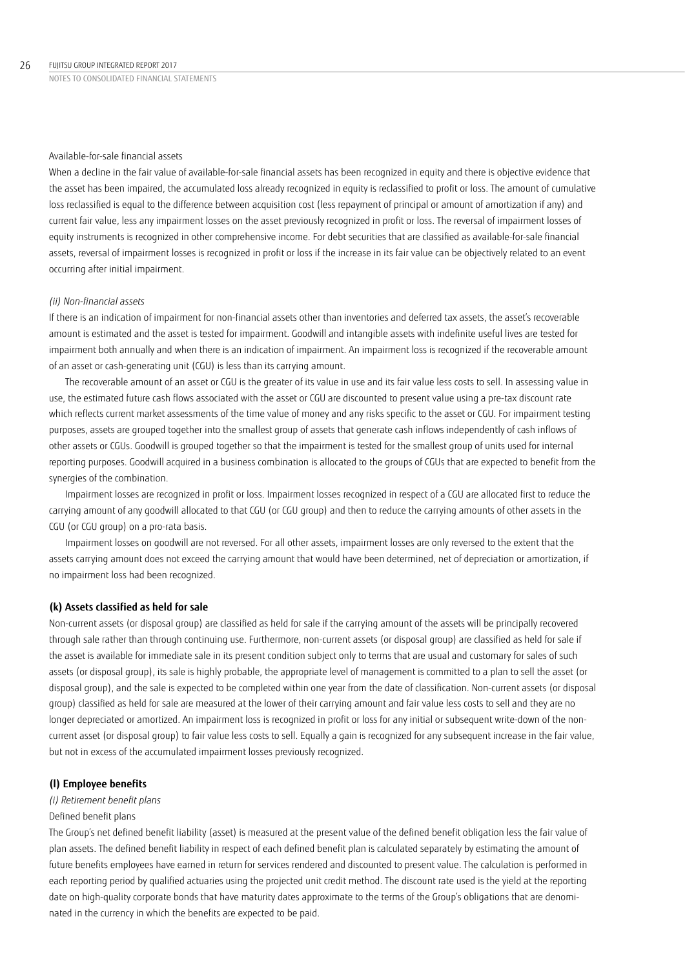#### Available-for-sale financial assets

When a decline in the fair value of available-for-sale financial assets has been recognized in equity and there is objective evidence that the asset has been impaired, the accumulated loss already recognized in equity is reclassified to profit or loss. The amount of cumulative loss reclassified is equal to the difference between acquisition cost (less repayment of principal or amount of amortization if any) and current fair value, less any impairment losses on the asset previously recognized in profit or loss. The reversal of impairment losses of equity instruments is recognized in other comprehensive income. For debt securities that are classified as available-for-sale financial assets, reversal of impairment losses is recognized in profit or loss if the increase in its fair value can be objectively related to an event occurring after initial impairment.

### *(ii) Non-financial assets*

If there is an indication of impairment for non-financial assets other than inventories and deferred tax assets, the asset's recoverable amount is estimated and the asset is tested for impairment. Goodwill and intangible assets with indefinite useful lives are tested for impairment both annually and when there is an indication of impairment. An impairment loss is recognized if the recoverable amount of an asset or cash-generating unit (CGU) is less than its carrying amount.

The recoverable amount of an asset or CGU is the greater of its value in use and its fair value less costs to sell. In assessing value in use, the estimated future cash flows associated with the asset or CGU are discounted to present value using a pre-tax discount rate which reflects current market assessments of the time value of money and any risks specific to the asset or CGU. For impairment testing purposes, assets are grouped together into the smallest group of assets that generate cash inflows independently of cash inflows of other assets or CGUs. Goodwill is grouped together so that the impairment is tested for the smallest group of units used for internal reporting purposes. Goodwill acquired in a business combination is allocated to the groups of CGUs that are expected to benefit from the synergies of the combination.

Impairment losses are recognized in profit or loss. Impairment losses recognized in respect of a CGU are allocated first to reduce the carrying amount of any goodwill allocated to that CGU (or CGU group) and then to reduce the carrying amounts of other assets in the CGU (or CGU group) on a pro-rata basis.

Impairment losses on goodwill are not reversed. For all other assets, impairment losses are only reversed to the extent that the assets carrying amount does not exceed the carrying amount that would have been determined, net of depreciation or amortization, if no impairment loss had been recognized.

### **(k) Assets classified as held for sale**

Non-current assets (or disposal group) are classified as held for sale if the carrying amount of the assets will be principally recovered through sale rather than through continuing use. Furthermore, non-current assets (or disposal group) are classified as held for sale if the asset is available for immediate sale in its present condition subject only to terms that are usual and customary for sales of such assets (or disposal group), its sale is highly probable, the appropriate level of management is committed to a plan to sell the asset (or disposal group), and the sale is expected to be completed within one year from the date of classification. Non-current assets (or disposal group) classified as held for sale are measured at the lower of their carrying amount and fair value less costs to sell and they are no longer depreciated or amortized. An impairment loss is recognized in profit or loss for any initial or subsequent write-down of the noncurrent asset (or disposal group) to fair value less costs to sell. Equally a gain is recognized for any subsequent increase in the fair value, but not in excess of the accumulated impairment losses previously recognized.

### **(l) Employee benefits**

# *(i) Retirement benefit plans*

### Defined benefit plans

The Group's net defined benefit liability (asset) is measured at the present value of the defined benefit obligation less the fair value of plan assets. The defined benefit liability in respect of each defined benefit plan is calculated separately by estimating the amount of future benefits employees have earned in return for services rendered and discounted to present value. The calculation is performed in each reporting period by qualified actuaries using the projected unit credit method. The discount rate used is the yield at the reporting date on high-quality corporate bonds that have maturity dates approximate to the terms of the Group's obligations that are denominated in the currency in which the benefits are expected to be paid.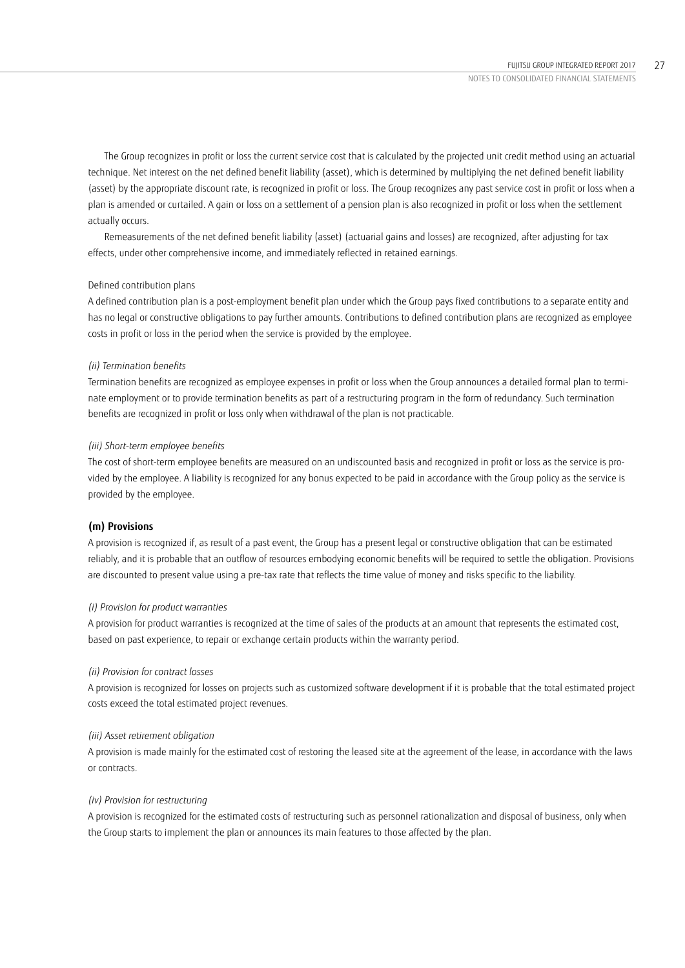The Group recognizes in profit or loss the current service cost that is calculated by the projected unit credit method using an actuarial technique. Net interest on the net defined benefit liability (asset), which is determined by multiplying the net defined benefit liability (asset) by the appropriate discount rate, is recognized in profit or loss. The Group recognizes any past service cost in profit or loss when a plan is amended or curtailed. A gain or loss on a settlement of a pension plan is also recognized in profit or loss when the settlement actually occurs.

Remeasurements of the net defined benefit liability (asset) (actuarial gains and losses) are recognized, after adjusting for tax effects, under other comprehensive income, and immediately reflected in retained earnings.

### Defined contribution plans

A defined contribution plan is a post-employment benefit plan under which the Group pays fixed contributions to a separate entity and has no legal or constructive obligations to pay further amounts. Contributions to defined contribution plans are recognized as employee costs in profit or loss in the period when the service is provided by the employee.

### *(ii) Termination benefits*

Termination benefits are recognized as employee expenses in profit or loss when the Group announces a detailed formal plan to terminate employment or to provide termination benefits as part of a restructuring program in the form of redundancy. Such termination benefits are recognized in profit or loss only when withdrawal of the plan is not practicable.

### *(iii) Short-term employee benefits*

The cost of short-term employee benefits are measured on an undiscounted basis and recognized in profit or loss as the service is provided by the employee. A liability is recognized for any bonus expected to be paid in accordance with the Group policy as the service is provided by the employee.

# **(m) Provisions**

A provision is recognized if, as result of a past event, the Group has a present legal or constructive obligation that can be estimated reliably, and it is probable that an outflow of resources embodying economic benefits will be required to settle the obligation. Provisions are discounted to present value using a pre-tax rate that reflects the time value of money and risks specific to the liability.

### *(i) Provision for product warranties*

A provision for product warranties is recognized at the time of sales of the products at an amount that represents the estimated cost, based on past experience, to repair or exchange certain products within the warranty period.

### *(ii) Provision for contract losses*

A provision is recognized for losses on projects such as customized software development if it is probable that the total estimated project costs exceed the total estimated project revenues.

### *(iii) Asset retirement obligation*

A provision is made mainly for the estimated cost of restoring the leased site at the agreement of the lease, in accordance with the laws or contracts.

### *(iv) Provision for restructuring*

A provision is recognized for the estimated costs of restructuring such as personnel rationalization and disposal of business, only when the Group starts to implement the plan or announces its main features to those affected by the plan.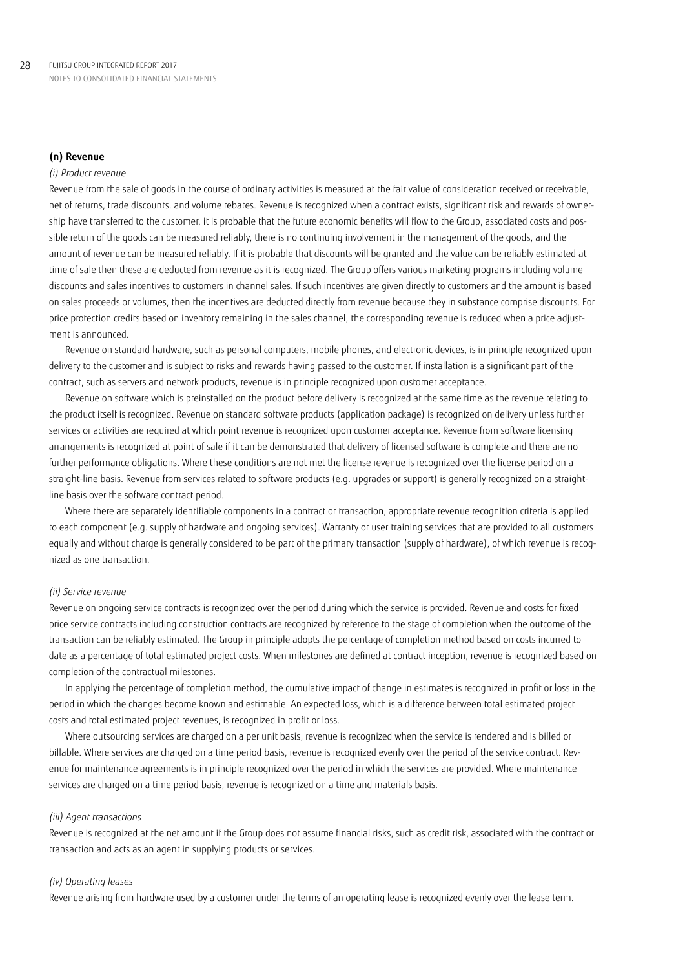### **(n) Revenue**

#### *(i) Product revenue*

Revenue from the sale of goods in the course of ordinary activities is measured at the fair value of consideration received or receivable, net of returns, trade discounts, and volume rebates. Revenue is recognized when a contract exists, significant risk and rewards of ownership have transferred to the customer, it is probable that the future economic benefits will flow to the Group, associated costs and possible return of the goods can be measured reliably, there is no continuing involvement in the management of the goods, and the amount of revenue can be measured reliably. If it is probable that discounts will be granted and the value can be reliably estimated at time of sale then these are deducted from revenue as it is recognized. The Group offers various marketing programs including volume discounts and sales incentives to customers in channel sales. If such incentives are given directly to customers and the amount is based on sales proceeds or volumes, then the incentives are deducted directly from revenue because they in substance comprise discounts. For price protection credits based on inventory remaining in the sales channel, the corresponding revenue is reduced when a price adjustment is announced.

Revenue on standard hardware, such as personal computers, mobile phones, and electronic devices, is in principle recognized upon delivery to the customer and is subject to risks and rewards having passed to the customer. If installation is a significant part of the contract, such as servers and network products, revenue is in principle recognized upon customer acceptance.

Revenue on software which is preinstalled on the product before delivery is recognized at the same time as the revenue relating to the product itself is recognized. Revenue on standard software products (application package) is recognized on delivery unless further services or activities are required at which point revenue is recognized upon customer acceptance. Revenue from software licensing arrangements is recognized at point of sale if it can be demonstrated that delivery of licensed software is complete and there are no further performance obligations. Where these conditions are not met the license revenue is recognized over the license period on a straight-line basis. Revenue from services related to software products (e.g. upgrades or support) is generally recognized on a straightline basis over the software contract period.

Where there are separately identifiable components in a contract or transaction, appropriate revenue recognition criteria is applied to each component (e.g. supply of hardware and ongoing services). Warranty or user training services that are provided to all customers equally and without charge is generally considered to be part of the primary transaction (supply of hardware), of which revenue is recognized as one transaction.

### *(ii) Service revenue*

Revenue on ongoing service contracts is recognized over the period during which the service is provided. Revenue and costs for fixed price service contracts including construction contracts are recognized by reference to the stage of completion when the outcome of the transaction can be reliably estimated. The Group in principle adopts the percentage of completion method based on costs incurred to date as a percentage of total estimated project costs. When milestones are defined at contract inception, revenue is recognized based on completion of the contractual milestones.

In applying the percentage of completion method, the cumulative impact of change in estimates is recognized in profit or loss in the period in which the changes become known and estimable. An expected loss, which is a difference between total estimated project costs and total estimated project revenues, is recognized in profit or loss.

Where outsourcing services are charged on a per unit basis, revenue is recognized when the service is rendered and is billed or billable. Where services are charged on a time period basis, revenue is recognized evenly over the period of the service contract. Revenue for maintenance agreements is in principle recognized over the period in which the services are provided. Where maintenance services are charged on a time period basis, revenue is recognized on a time and materials basis.

#### *(iii) Agent transactions*

Revenue is recognized at the net amount if the Group does not assume financial risks, such as credit risk, associated with the contract or transaction and acts as an agent in supplying products or services.

### *(iv) Operating leases*

Revenue arising from hardware used by a customer under the terms of an operating lease is recognized evenly over the lease term.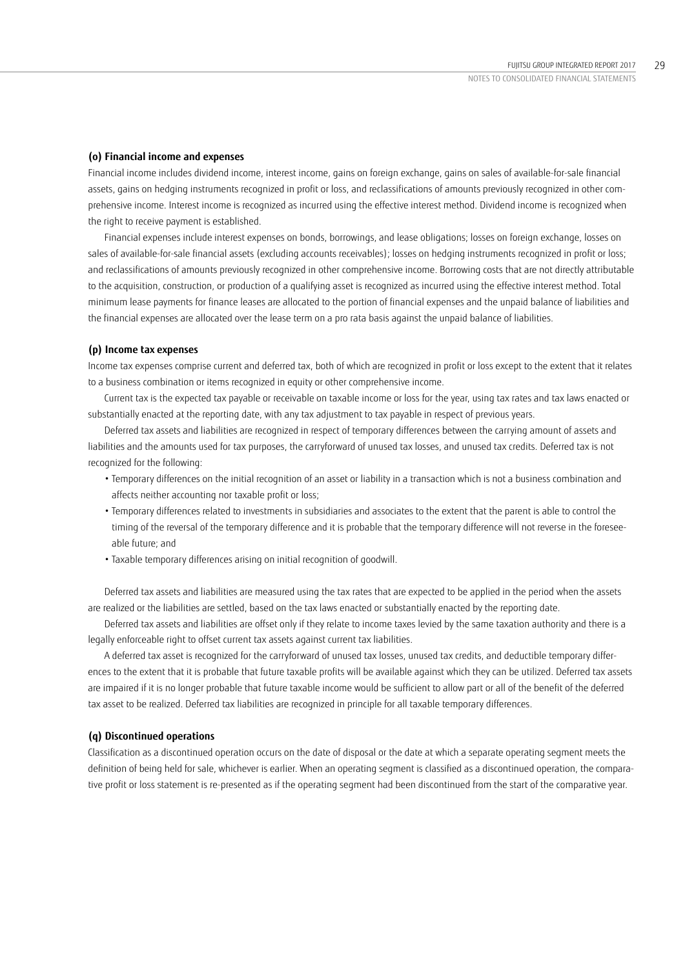#### **(o) Financial income and expenses**

Financial income includes dividend income, interest income, gains on foreign exchange, gains on sales of available-for-sale financial assets, gains on hedging instruments recognized in profit or loss, and reclassifications of amounts previously recognized in other comprehensive income. Interest income is recognized as incurred using the effective interest method. Dividend income is recognized when the right to receive payment is established.

Financial expenses include interest expenses on bonds, borrowings, and lease obligations; losses on foreign exchange, losses on sales of available-for-sale financial assets (excluding accounts receivables); losses on hedging instruments recognized in profit or loss; and reclassifications of amounts previously recognized in other comprehensive income. Borrowing costs that are not directly attributable to the acquisition, construction, or production of a qualifying asset is recognized as incurred using the effective interest method. Total minimum lease payments for finance leases are allocated to the portion of financial expenses and the unpaid balance of liabilities and the financial expenses are allocated over the lease term on a pro rata basis against the unpaid balance of liabilities.

### **(p) Income tax expenses**

Income tax expenses comprise current and deferred tax, both of which are recognized in profit or loss except to the extent that it relates to a business combination or items recognized in equity or other comprehensive income.

Current tax is the expected tax payable or receivable on taxable income or loss for the year, using tax rates and tax laws enacted or substantially enacted at the reporting date, with any tax adjustment to tax payable in respect of previous years.

Deferred tax assets and liabilities are recognized in respect of temporary differences between the carrying amount of assets and liabilities and the amounts used for tax purposes, the carryforward of unused tax losses, and unused tax credits. Deferred tax is not recognized for the following:

- Temporary differences on the initial recognition of an asset or liability in a transaction which is not a business combination and affects neither accounting nor taxable profit or loss;
- Temporary differences related to investments in subsidiaries and associates to the extent that the parent is able to control the timing of the reversal of the temporary difference and it is probable that the temporary difference will not reverse in the foreseeable future; and
- Taxable temporary differences arising on initial recognition of goodwill.

Deferred tax assets and liabilities are measured using the tax rates that are expected to be applied in the period when the assets are realized or the liabilities are settled, based on the tax laws enacted or substantially enacted by the reporting date.

Deferred tax assets and liabilities are offset only if they relate to income taxes levied by the same taxation authority and there is a legally enforceable right to offset current tax assets against current tax liabilities.

A deferred tax asset is recognized for the carryforward of unused tax losses, unused tax credits, and deductible temporary differences to the extent that it is probable that future taxable profits will be available against which they can be utilized. Deferred tax assets are impaired if it is no longer probable that future taxable income would be sufficient to allow part or all of the benefit of the deferred tax asset to be realized. Deferred tax liabilities are recognized in principle for all taxable temporary differences.

# **(q) Discontinued operations**

Classification as a discontinued operation occurs on the date of disposal or the date at which a separate operating segment meets the definition of being held for sale, whichever is earlier. When an operating segment is classified as a discontinued operation, the comparative profit or loss statement is re-presented as if the operating segment had been discontinued from the start of the comparative year.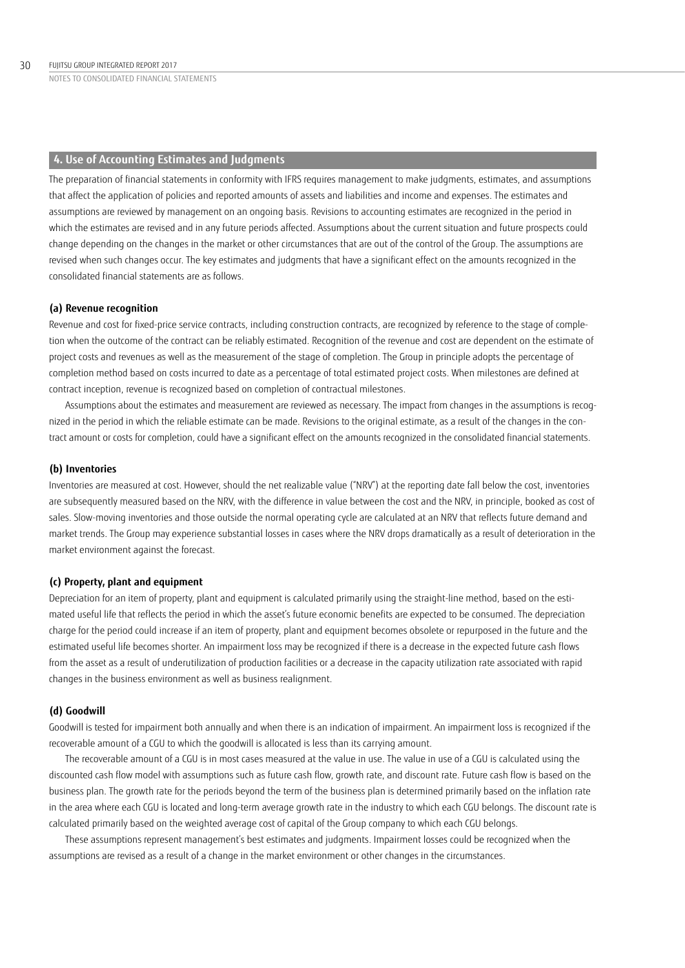# **4. Use of Accounting Estimates and Judgments**

The preparation of financial statements in conformity with IFRS requires management to make judgments, estimates, and assumptions that affect the application of policies and reported amounts of assets and liabilities and income and expenses. The estimates and assumptions are reviewed by management on an ongoing basis. Revisions to accounting estimates are recognized in the period in which the estimates are revised and in any future periods affected. Assumptions about the current situation and future prospects could change depending on the changes in the market or other circumstances that are out of the control of the Group. The assumptions are revised when such changes occur. The key estimates and judgments that have a significant effect on the amounts recognized in the consolidated financial statements are as follows.

# **(a) Revenue recognition**

Revenue and cost for fixed-price service contracts, including construction contracts, are recognized by reference to the stage of completion when the outcome of the contract can be reliably estimated. Recognition of the revenue and cost are dependent on the estimate of project costs and revenues as well as the measurement of the stage of completion. The Group in principle adopts the percentage of completion method based on costs incurred to date as a percentage of total estimated project costs. When milestones are defined at contract inception, revenue is recognized based on completion of contractual milestones.

Assumptions about the estimates and measurement are reviewed as necessary. The impact from changes in the assumptions is recognized in the period in which the reliable estimate can be made. Revisions to the original estimate, as a result of the changes in the contract amount or costs for completion, could have a significant effect on the amounts recognized in the consolidated financial statements.

#### **(b) Inventories**

Inventories are measured at cost. However, should the net realizable value ("NRV") at the reporting date fall below the cost, inventories are subsequently measured based on the NRV, with the difference in value between the cost and the NRV, in principle, booked as cost of sales. Slow-moving inventories and those outside the normal operating cycle are calculated at an NRV that reflects future demand and market trends. The Group may experience substantial losses in cases where the NRV drops dramatically as a result of deterioration in the market environment against the forecast.

### **(c) Property, plant and equipment**

Depreciation for an item of property, plant and equipment is calculated primarily using the straight-line method, based on the estimated useful life that reflects the period in which the asset's future economic benefits are expected to be consumed. The depreciation charge for the period could increase if an item of property, plant and equipment becomes obsolete or repurposed in the future and the estimated useful life becomes shorter. An impairment loss may be recognized if there is a decrease in the expected future cash flows from the asset as a result of underutilization of production facilities or a decrease in the capacity utilization rate associated with rapid changes in the business environment as well as business realignment.

# **(d) Goodwill**

Goodwill is tested for impairment both annually and when there is an indication of impairment. An impairment loss is recognized if the recoverable amount of a CGU to which the goodwill is allocated is less than its carrying amount.

The recoverable amount of a CGU is in most cases measured at the value in use. The value in use of a CGU is calculated using the discounted cash flow model with assumptions such as future cash flow, growth rate, and discount rate. Future cash flow is based on the business plan. The growth rate for the periods beyond the term of the business plan is determined primarily based on the inflation rate in the area where each CGU is located and long-term average growth rate in the industry to which each CGU belongs. The discount rate is calculated primarily based on the weighted average cost of capital of the Group company to which each CGU belongs.

These assumptions represent management's best estimates and judgments. Impairment losses could be recognized when the assumptions are revised as a result of a change in the market environment or other changes in the circumstances.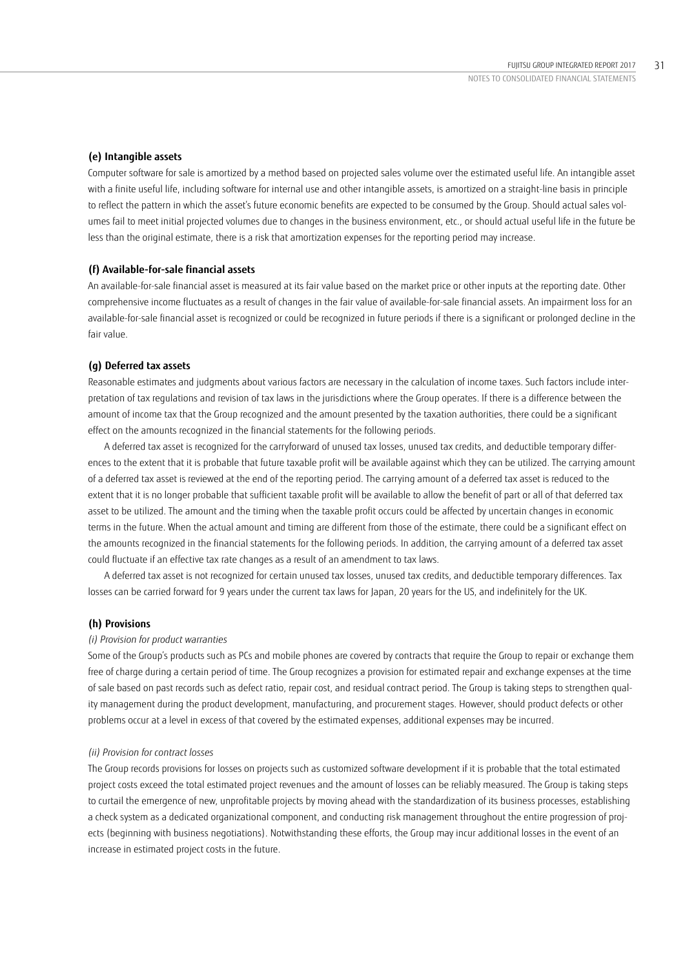### **(e) Intangible assets**

Computer software for sale is amortized by a method based on projected sales volume over the estimated useful life. An intangible asset with a finite useful life, including software for internal use and other intangible assets, is amortized on a straight-line basis in principle to reflect the pattern in which the asset's future economic benefits are expected to be consumed by the Group. Should actual sales volumes fail to meet initial projected volumes due to changes in the business environment, etc., or should actual useful life in the future be less than the original estimate, there is a risk that amortization expenses for the reporting period may increase.

### **(f) Available-for-sale financial assets**

An available-for-sale financial asset is measured at its fair value based on the market price or other inputs at the reporting date. Other comprehensive income fluctuates as a result of changes in the fair value of available-for-sale financial assets. An impairment loss for an available-for-sale financial asset is recognized or could be recognized in future periods if there is a significant or prolonged decline in the fair value.

### **(g) Deferred tax assets**

Reasonable estimates and judgments about various factors are necessary in the calculation of income taxes. Such factors include interpretation of tax regulations and revision of tax laws in the jurisdictions where the Group operates. If there is a difference between the amount of income tax that the Group recognized and the amount presented by the taxation authorities, there could be a significant effect on the amounts recognized in the financial statements for the following periods.

A deferred tax asset is recognized for the carryforward of unused tax losses, unused tax credits, and deductible temporary differences to the extent that it is probable that future taxable profit will be available against which they can be utilized. The carrying amount of a deferred tax asset is reviewed at the end of the reporting period. The carrying amount of a deferred tax asset is reduced to the extent that it is no longer probable that sufficient taxable profit will be available to allow the benefit of part or all of that deferred tax asset to be utilized. The amount and the timing when the taxable profit occurs could be affected by uncertain changes in economic terms in the future. When the actual amount and timing are different from those of the estimate, there could be a significant effect on the amounts recognized in the financial statements for the following periods. In addition, the carrying amount of a deferred tax asset could fluctuate if an effective tax rate changes as a result of an amendment to tax laws.

A deferred tax asset is not recognized for certain unused tax losses, unused tax credits, and deductible temporary differences. Tax losses can be carried forward for 9 years under the current tax laws for Japan, 20 years for the US, and indefinitely for the UK.

### **(h) Provisions**

#### *(i) Provision for product warranties*

Some of the Group's products such as PCs and mobile phones are covered by contracts that require the Group to repair or exchange them free of charge during a certain period of time. The Group recognizes a provision for estimated repair and exchange expenses at the time of sale based on past records such as defect ratio, repair cost, and residual contract period. The Group is taking steps to strengthen quality management during the product development, manufacturing, and procurement stages. However, should product defects or other problems occur at a level in excess of that covered by the estimated expenses, additional expenses may be incurred.

#### *(ii) Provision for contract losses*

The Group records provisions for losses on projects such as customized software development if it is probable that the total estimated project costs exceed the total estimated project revenues and the amount of losses can be reliably measured. The Group is taking steps to curtail the emergence of new, unprofitable projects by moving ahead with the standardization of its business processes, establishing a check system as a dedicated organizational component, and conducting risk management throughout the entire progression of projects (beginning with business negotiations). Notwithstanding these efforts, the Group may incur additional losses in the event of an increase in estimated project costs in the future.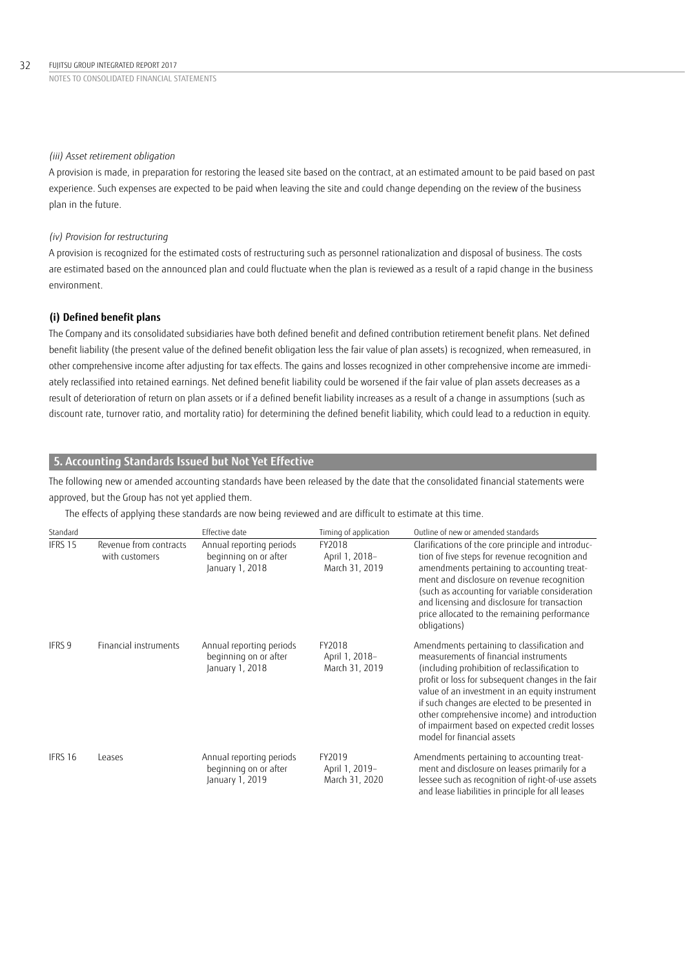#### *(iii) Asset retirement obligation*

A provision is made, in preparation for restoring the leased site based on the contract, at an estimated amount to be paid based on past experience. Such expenses are expected to be paid when leaving the site and could change depending on the review of the business plan in the future.

#### *(iv) Provision for restructuring*

A provision is recognized for the estimated costs of restructuring such as personnel rationalization and disposal of business. The costs are estimated based on the announced plan and could fluctuate when the plan is reviewed as a result of a rapid change in the business environment.

### **(i) Defined benefit plans**

The Company and its consolidated subsidiaries have both defined benefit and defined contribution retirement benefit plans. Net defined benefit liability (the present value of the defined benefit obligation less the fair value of plan assets) is recognized, when remeasured, in other comprehensive income after adjusting for tax effects. The gains and losses recognized in other comprehensive income are immediately reclassified into retained earnings. Net defined benefit liability could be worsened if the fair value of plan assets decreases as a result of deterioration of return on plan assets or if a defined benefit liability increases as a result of a change in assumptions (such as discount rate, turnover ratio, and mortality ratio) for determining the defined benefit liability, which could lead to a reduction in equity.

# **5. Accounting Standards Issued but Not Yet Effective**

The following new or amended accounting standards have been released by the date that the consolidated financial statements were approved, but the Group has not yet applied them.

The effects of applying these standards are now being reviewed and are difficult to estimate at this time.

| Standard |                                          | Effective date                                                       | Timing of application                      | Outline of new or amended standards                                                                                                                                                                                                                                                                                                                                                                                           |
|----------|------------------------------------------|----------------------------------------------------------------------|--------------------------------------------|-------------------------------------------------------------------------------------------------------------------------------------------------------------------------------------------------------------------------------------------------------------------------------------------------------------------------------------------------------------------------------------------------------------------------------|
| IFRS 15  | Revenue from contracts<br>with customers | Annual reporting periods<br>beginning on or after<br>January 1, 2018 | FY2018<br>April 1, 2018-<br>March 31, 2019 | Clarifications of the core principle and introduc-<br>tion of five steps for revenue recognition and<br>amendments pertaining to accounting treat-<br>ment and disclosure on revenue recognition<br>(such as accounting for variable consideration<br>and licensing and disclosure for transaction<br>price allocated to the remaining performance<br>obligations)                                                            |
| IFRS 9   | Financial instruments                    | Annual reporting periods<br>beginning on or after<br>January 1, 2018 | FY2018<br>April 1, 2018-<br>March 31, 2019 | Amendments pertaining to classification and<br>measurements of financial instruments<br>(including prohibition of reclassification to<br>profit or loss for subsequent changes in the fair<br>value of an investment in an equity instrument<br>if such changes are elected to be presented in<br>other comprehensive income) and introduction<br>of impairment based on expected credit losses<br>model for financial assets |
| IFRS 16  | Leases                                   | Annual reporting periods<br>beginning on or after<br>January 1, 2019 | FY2019<br>April 1, 2019-<br>March 31, 2020 | Amendments pertaining to accounting treat-<br>ment and disclosure on leases primarily for a<br>lessee such as recognition of right-of-use assets<br>and lease liabilities in principle for all leases                                                                                                                                                                                                                         |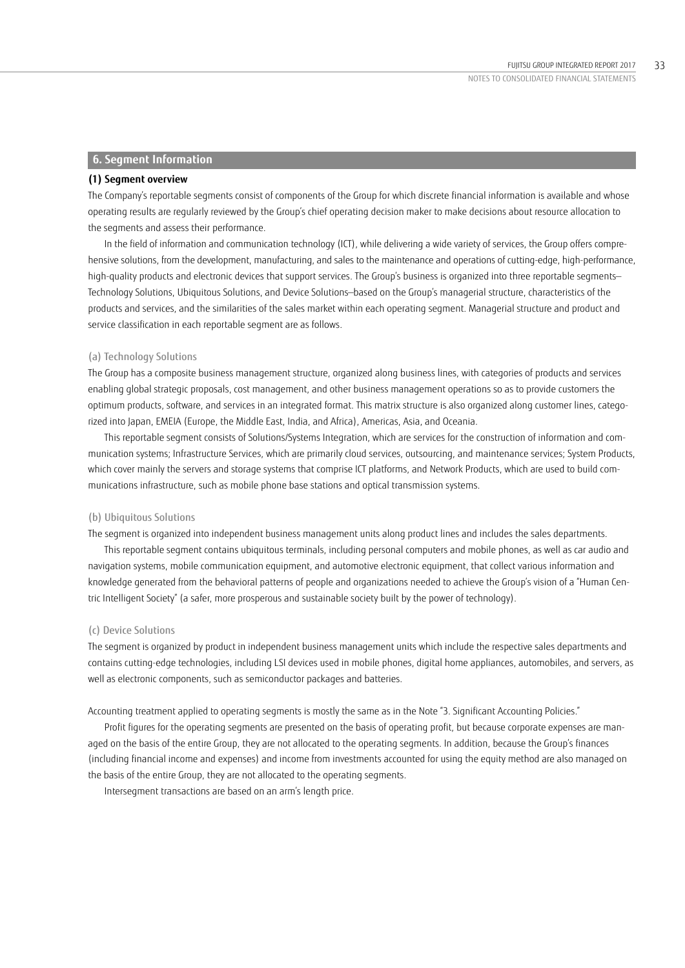### **6. Segment Information**

#### **(1) Segment overview**

The Company's reportable segments consist of components of the Group for which discrete financial information is available and whose operating results are regularly reviewed by the Group's chief operating decision maker to make decisions about resource allocation to the segments and assess their performance.

In the field of information and communication technology (ICT), while delivering a wide variety of services, the Group offers comprehensive solutions, from the development, manufacturing, and sales to the maintenance and operations of cutting-edge, high-performance, high-quality products and electronic devices that support services. The Group's business is organized into three reportable segments— Technology Solutions, Ubiquitous Solutions, and Device Solutions—based on the Group's managerial structure, characteristics of the products and services, and the similarities of the sales market within each operating segment. Managerial structure and product and service classification in each reportable segment are as follows.

### (a) Technology Solutions

The Group has a composite business management structure, organized along business lines, with categories of products and services enabling global strategic proposals, cost management, and other business management operations so as to provide customers the optimum products, software, and services in an integrated format. This matrix structure is also organized along customer lines, categorized into Japan, EMEIA (Europe, the Middle East, India, and Africa), Americas, Asia, and Oceania.

This reportable segment consists of Solutions/Systems Integration, which are services for the construction of information and communication systems; Infrastructure Services, which are primarily cloud services, outsourcing, and maintenance services; System Products, which cover mainly the servers and storage systems that comprise ICT platforms, and Network Products, which are used to build communications infrastructure, such as mobile phone base stations and optical transmission systems.

#### (b) Ubiquitous Solutions

The segment is organized into independent business management units along product lines and includes the sales departments.

This reportable segment contains ubiquitous terminals, including personal computers and mobile phones, as well as car audio and navigation systems, mobile communication equipment, and automotive electronic equipment, that collect various information and knowledge generated from the behavioral patterns of people and organizations needed to achieve the Group's vision of a "Human Centric Intelligent Society" (a safer, more prosperous and sustainable society built by the power of technology).

#### (c) Device Solutions

The segment is organized by product in independent business management units which include the respective sales departments and contains cutting-edge technologies, including LSI devices used in mobile phones, digital home appliances, automobiles, and servers, as well as electronic components, such as semiconductor packages and batteries.

Accounting treatment applied to operating segments is mostly the same as in the Note "3. Significant Accounting Policies."

Profit figures for the operating segments are presented on the basis of operating profit, but because corporate expenses are managed on the basis of the entire Group, they are not allocated to the operating segments. In addition, because the Group's finances (including financial income and expenses) and income from investments accounted for using the equity method are also managed on the basis of the entire Group, they are not allocated to the operating segments.

Intersegment transactions are based on an arm's length price.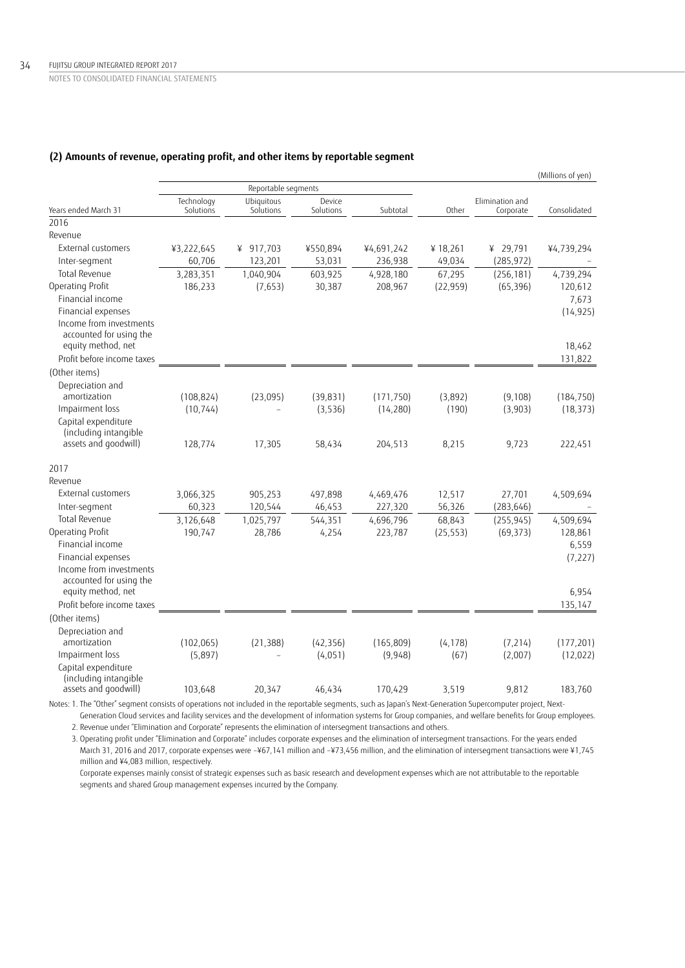# **(2) Amounts of revenue, operating profit, and other items by reportable segment**

|                                              |                         |                         |                     |            |           |                              | (Millions of yen) |
|----------------------------------------------|-------------------------|-------------------------|---------------------|------------|-----------|------------------------------|-------------------|
|                                              |                         | Reportable segments     |                     |            |           |                              |                   |
| Years ended March 31                         | Technology<br>Solutions | Ubiquitous<br>Solutions | Device<br>Solutions | Subtotal   | Other     | Elimination and<br>Corporate | Consolidated      |
| 2016                                         |                         |                         |                     |            |           |                              |                   |
| Revenue                                      |                         |                         |                     |            |           |                              |                   |
| External customers                           | ¥3,222,645              | ¥ 917,703               | ¥550,894            | ¥4,691,242 | ¥18,261   | ¥ 29,791                     | ¥4,739,294        |
| Inter-segment                                | 60,706                  | 123,201                 | 53,031              | 236,938    | 49,034    | (285, 972)                   |                   |
| Total Revenue                                | 3,283,351               | 1,040,904               | 603,925             | 4,928,180  | 67,295    | (256, 181)                   | 4,739,294         |
| Operating Profit                             | 186,233                 | (7,653)                 | 30,387              | 208,967    | (22, 959) | (65, 396)                    | 120,612           |
| Financial income                             |                         |                         |                     |            |           |                              | 7,673             |
| Financial expenses                           |                         |                         |                     |            |           |                              | (14, 925)         |
| Income from investments                      |                         |                         |                     |            |           |                              |                   |
| accounted for using the                      |                         |                         |                     |            |           |                              |                   |
| equity method, net                           |                         |                         |                     |            |           |                              | 18,462            |
| Profit before income taxes                   |                         |                         |                     |            |           |                              | 131,822           |
| (Other items)                                |                         |                         |                     |            |           |                              |                   |
| Depreciation and                             |                         |                         |                     |            |           |                              |                   |
| amortization                                 | (108, 824)              | (23,095)                | (39, 831)           | (171, 750) | (3,892)   | (9, 108)                     | (184, 750)        |
| Impairment loss<br>Capital expenditure       | (10, 744)               |                         | (3, 536)            | (14, 280)  | (190)     | (3,903)                      | (18, 373)         |
| (including intangible                        |                         |                         |                     |            |           |                              |                   |
| assets and goodwill)                         | 128,774                 | 17,305                  | 58,434              | 204,513    | 8,215     | 9,723                        | 222,451           |
|                                              |                         |                         |                     |            |           |                              |                   |
| 2017                                         |                         |                         |                     |            |           |                              |                   |
| Revenue                                      |                         |                         |                     |            |           |                              |                   |
| External customers                           | 3,066,325               | 905,253                 | 497,898             | 4,469,476  | 12,517    | 27,701                       | 4,509,694         |
| Inter-segment                                | 60.323                  | 120,544                 | 46,453              | 227,320    | 56,326    | (283, 646)                   |                   |
| Total Revenue                                | 3,126,648               | 1,025,797               | 544,351             | 4,696,796  | 68,843    | (255, 945)                   | 4,509,694         |
| Operating Profit                             | 190,747                 | 28,786                  | 4,254               | 223,787    | (25, 553) | (69, 373)                    | 128,861           |
| Financial income                             |                         |                         |                     |            |           |                              | 6,559             |
| Financial expenses                           |                         |                         |                     |            |           |                              | (7, 227)          |
| Income from investments                      |                         |                         |                     |            |           |                              |                   |
| accounted for using the                      |                         |                         |                     |            |           |                              |                   |
| equity method, net                           |                         |                         |                     |            |           |                              | 6,954             |
| Profit before income taxes                   |                         |                         |                     |            |           |                              | 135,147           |
| (Other items)                                |                         |                         |                     |            |           |                              |                   |
| Depreciation and                             |                         |                         |                     |            |           |                              |                   |
| amortization                                 | (102, 065)              | (21, 388)               | (42, 356)           | (165, 809) | (4, 178)  | (7, 214)                     | (177, 201)        |
| Impairment loss                              | (5.897)                 |                         | (4.051)             | (9.948)    | (67)      | (2,007)                      | (12, 022)         |
| Capital expenditure<br>(including intangible |                         |                         |                     |            |           |                              |                   |
| assets and goodwill)                         | 103,648                 | 20,347                  | 46,434              | 170,429    | 3,519     | 9,812                        | 183,760           |
|                                              |                         |                         |                     |            |           |                              |                   |

Notes: 1. The "Other" segment consists of operations not included in the reportable segments, such as Japan's Next-Generation Supercomputer project, Next-Generation Cloud services and facility services and the development of information systems for Group companies, and welfare benefits for Group employees.

2. Revenue under "Elimination and Corporate" represents the elimination of intersegment transactions and others.

 3. Operating profit under "Elimination and Corporate" includes corporate expenses and the elimination of intersegment transactions. For the years ended March 31, 2016 and 2017, corporate expenses were –¥67,141 million and –¥73,456 million, and the elimination of intersegment transactions were ¥1,745 million and ¥4,083 million, respectively.

Corporate expenses mainly consist of strategic expenses such as basic research and development expenses which are not attributable to the reportable segments and shared Group management expenses incurred by the Company.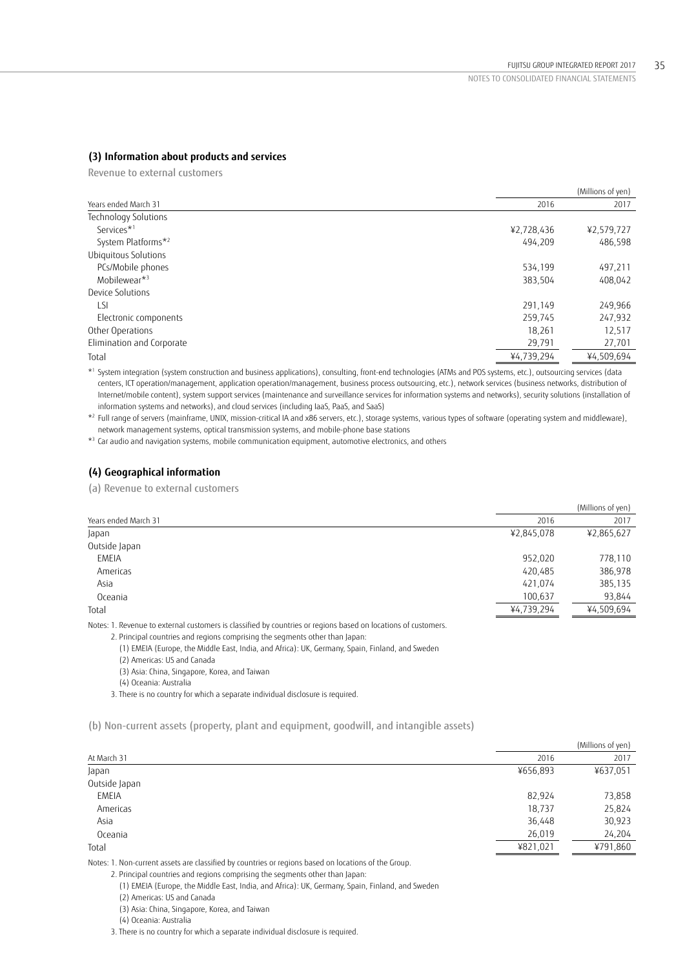# **(3) Information about products and services**

Revenue to external customers

|                             |            | (Millions of yen) |
|-----------------------------|------------|-------------------|
| Years ended March 31        | 2016       | 2017              |
| <b>Technology Solutions</b> |            |                   |
| Services <sup>*1</sup>      | ¥2,728,436 | ¥2,579,727        |
| System Platforms*2          | 494,209    | 486,598           |
| Ubiquitous Solutions        |            |                   |
| PCs/Mobile phones           | 534,199    | 497,211           |
| Mobilewear $*$ <sup>3</sup> | 383,504    | 408,042           |
| Device Solutions            |            |                   |
| LSI                         | 291.149    | 249,966           |
| Electronic components       | 259,745    | 247,932           |
| Other Operations            | 18,261     | 12,517            |
| Elimination and Corporate   | 29,791     | 27,701            |
| Total                       | ¥4,739,294 | ¥4,509,694        |

\*1 System integration (system construction and business applications), consulting, front-end technologies (ATMs and POS systems, etc.), outsourcing services (data centers, ICT operation/management, application operation/management, business process outsourcing, etc.), network services (business networks, distribution of Internet/mobile content), system support services (maintenance and surveillance services for information systems and networks), security solutions (installation of information systems and networks), and cloud services (including IaaS, PaaS, and SaaS)

\*2 Full range of servers (mainframe, UNIX, mission-critical IA and x86 servers, etc.), storage systems, various types of software (operating system and middleware), network management systems, optical transmission systems, and mobile-phone base stations

\*3 Car audio and navigation systems, mobile communication equipment, automotive electronics, and others

# **(4) Geographical information**

(a) Revenue to external customers

|                      |            | (Millions of yen) |
|----------------------|------------|-------------------|
| Years ended March 31 | 2016       | 2017              |
| Japan                | ¥2,845,078 | ¥2,865,627        |
| Outside Japan        |            |                   |
| <b>EMEIA</b>         | 952,020    | 778,110           |
| Americas             | 420,485    | 386,978           |
| Asia                 | 421,074    | 385,135           |
| Oceania              | 100,637    | 93,844            |
| Total                | ¥4,739,294 | ¥4,509,694        |
|                      |            |                   |

Notes: 1. Revenue to external customers is classified by countries or regions based on locations of customers.

2. Principal countries and regions comprising the segments other than Japan:

(1) EMEIA (Europe, the Middle East, India, and Africa): UK, Germany, Spain, Finland, and Sweden

(2) Americas: US and Canada

(3) Asia: China, Singapore, Korea, and Taiwan

(4) Oceania: Australia

3. There is no country for which a separate individual disclosure is required.

(b) Non-current assets (property, plant and equipment, goodwill, and intangible assets)

|               |          | (Millions of yen) |
|---------------|----------|-------------------|
| At March 31   | 2016     | 2017              |
| Japan         | ¥656,893 | ¥637,051          |
| Outside Japan |          |                   |
| EMEIA         | 82,924   | 73,858            |
| Americas      | 18,737   | 25,824            |
| Asia          | 36,448   | 30,923            |
| Oceania       | 26,019   | 24,204            |
| Total         | ¥821,021 | ¥791,860          |
|               |          |                   |

Notes: 1. Non-current assets are classified by countries or regions based on locations of the Group.

2. Principal countries and regions comprising the segments other than Japan:

(1) EMEIA (Europe, the Middle East, India, and Africa): UK, Germany, Spain, Finland, and Sweden

(2) Americas: US and Canada

(3) Asia: China, Singapore, Korea, and Taiwan

(4) Oceania: Australia

3. There is no country for which a separate individual disclosure is required.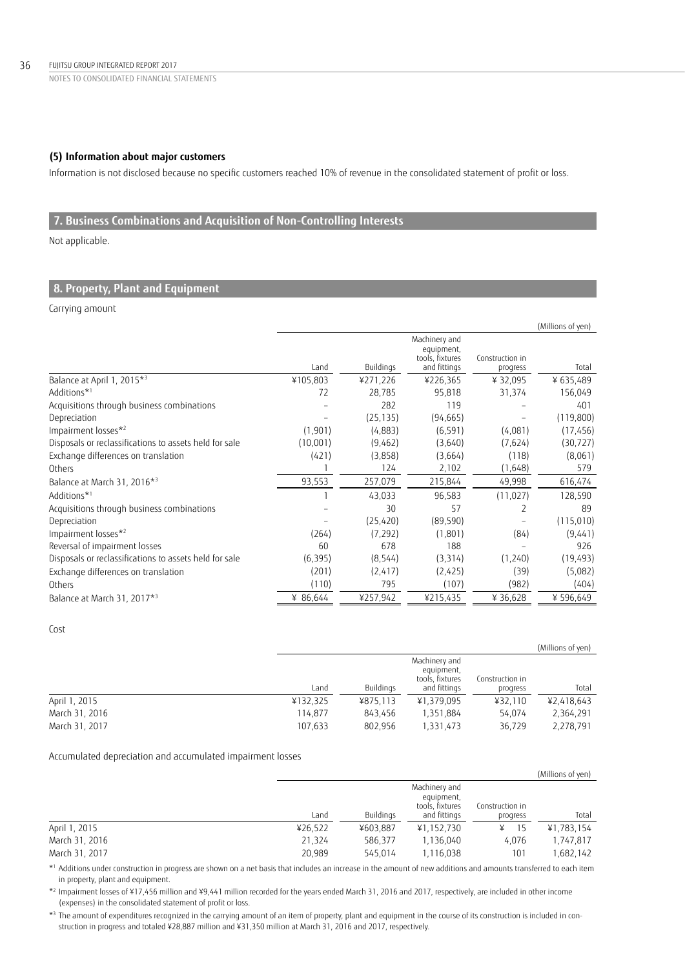# **(5) Information about major customers**

Information is not disclosed because no specific customers reached 10% of revenue in the consolidated statement of profit or loss.

# **7. Business Combinations and Acquisition of Non-Controlling Interests**

Not applicable.

# **8. Property, Plant and Equipment**

#### Carrying amount

|                                                        |          |           |                                                                |                             | (Millions of yen) |
|--------------------------------------------------------|----------|-----------|----------------------------------------------------------------|-----------------------------|-------------------|
|                                                        | Land     | Buildings | Machinery and<br>equipment,<br>tools, fixtures<br>and fittings | Construction in<br>progress | Total             |
| Balance at April 1, 2015*3                             | ¥105,803 | ¥271,226  | ¥226,365                                                       | ¥32,095                     | ¥635,489          |
| Additions* <sup>1</sup>                                | 72       | 28,785    | 95,818                                                         | 31,374                      | 156,049           |
| Acquisitions through business combinations             |          | 282       | 119                                                            |                             | 401               |
| Depreciation                                           |          | (25, 135) | (94, 665)                                                      |                             | (119,800)         |
| Impairment losses*2                                    | (1,901)  | (4,883)   | (6, 591)                                                       | (4,081)                     | (17, 456)         |
| Disposals or reclassifications to assets held for sale | (10,001) | (9,462)   | (3,640)                                                        | (7,624)                     | (30, 727)         |
| Exchange differences on translation                    | (421)    | (3,858)   | (3,664)                                                        | (118)                       | (8,061)           |
| Others                                                 |          | 124       | 2,102                                                          | (1,648)                     | 579               |
| Balance at March 31, 2016 <sup>*3</sup>                | 93,553   | 257,079   | 215,844                                                        | 49,998                      | 616,474           |
| Additions* <sup>1</sup>                                |          | 43,033    | 96,583                                                         | (11, 027)                   | 128,590           |
| Acquisitions through business combinations             |          | 30        | 57                                                             | 2                           | 89                |
| Depreciation                                           |          | (25, 420) | (89, 590)                                                      |                             | (115, 010)        |
| Impairment losses*2                                    | (264)    | (7, 292)  | (1,801)                                                        | (84)                        | (9,441)           |
| Reversal of impairment losses                          | 60       | 678       | 188                                                            |                             | 926               |
| Disposals or reclassifications to assets held for sale | (6, 395) | (8, 544)  | (3, 314)                                                       | (1,240)                     | (19,493)          |
| Exchange differences on translation                    | (201)    | (2, 417)  | (2,425)                                                        | (39)                        | (5,082)           |
| Others                                                 | (110)    | 795       | (107)                                                          | (982)                       | (404)             |
| Balance at March 31, 2017*3                            | ¥ 86,644 | ¥257,942  | ¥215,435                                                       | ¥ 36,628                    | ¥ 596,649         |

Cost

|                |          |           |                               |                 | (Millions of yen) |
|----------------|----------|-----------|-------------------------------|-----------------|-------------------|
|                |          |           | Machinery and                 |                 |                   |
|                |          |           | equipment,<br>tools, fixtures | Construction in |                   |
|                | Land     | Buildings | and fittings                  | progress        | Total             |
| April 1, 2015  | ¥132,325 | ¥875.113  | ¥1,379,095                    | ¥32.110         | ¥2,418,643        |
| March 31, 2016 | 114.877  | 843.456   | 1.351.884                     | 54.074          | 2,364,291         |
| March 31, 2017 | 107,633  | 802.956   | 1.331.473                     | 36,729          | 2.278.791         |

# Accumulated depreciation and accumulated impairment losses

|                |         |           |                                                |                 | (Millions of yen) |
|----------------|---------|-----------|------------------------------------------------|-----------------|-------------------|
|                |         |           | Machinery and<br>equipment,<br>tools, fixtures | Construction in |                   |
|                | Land    | Buildings | and fittings                                   | progress        | Total             |
| April 1, 2015  | ¥26,522 | ¥603.887  | ¥1,152,730                                     |                 | ¥1,783,154        |
| March 31, 2016 | 21.324  | 586.377   | 1.136.040                                      | 4.076           | 1,747,817         |
| March 31, 2017 | 20,989  | 545.014   | 1.116.038                                      | 101             | 1,682,142         |

\*1 Additions under construction in progress are shown on a net basis that includes an increase in the amount of new additions and amounts transferred to each item in property, plant and equipment.

\*2 Impairment losses of ¥17,456 million and ¥9,441 million recorded for the years ended March 31, 2016 and 2017, respectively, are included in other income (expenses) in the consolidated statement of profit or loss.

\*3 The amount of expenditures recognized in the carrying amount of an item of property, plant and equipment in the course of its construction is included in construction in progress and totaled ¥28,887 million and ¥31,350 million at March 31, 2016 and 2017, respectively.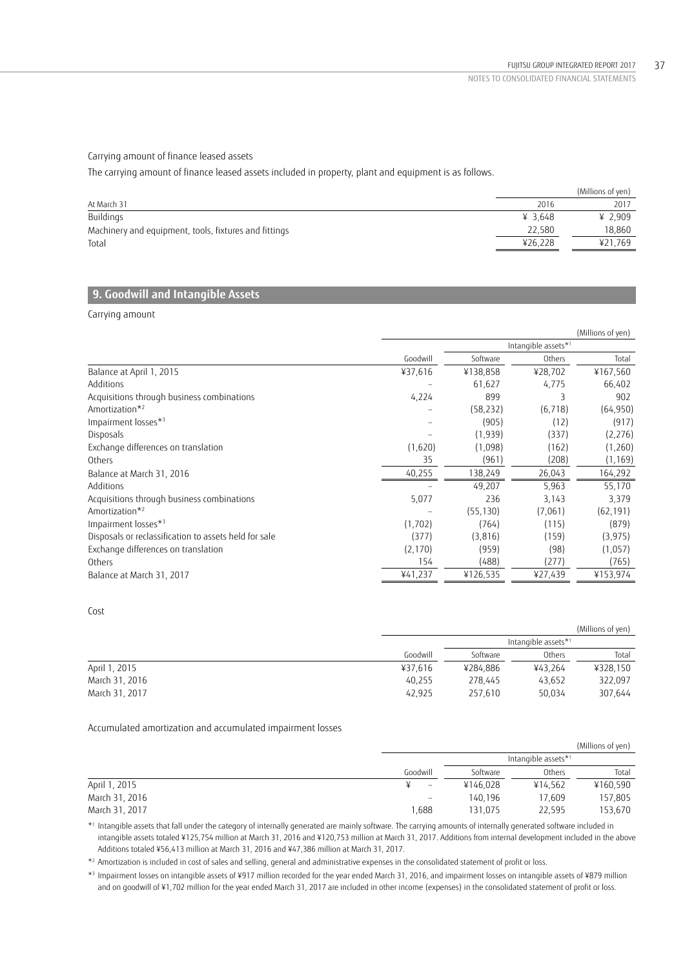# Carrying amount of finance leased assets

The carrying amount of finance leased assets included in property, plant and equipment is as follows.

|                                                       |         | (Millions of yen) |
|-------------------------------------------------------|---------|-------------------|
| At March 31                                           | 2016    | 2017              |
| Buildings                                             | ¥ 3.648 | ¥ 2,909           |
| Machinery and equipment, tools, fixtures and fittings | 22.580  | 18.860            |
| Total                                                 | ¥26.228 | ¥21.769           |

# **9. Goodwill and Intangible Assets**

Carrying amount

|                                                       |                     |           |          | (Millions of yen) |  |
|-------------------------------------------------------|---------------------|-----------|----------|-------------------|--|
|                                                       | Intangible assets*1 |           |          |                   |  |
|                                                       | Goodwill            | Software  | Others   | Total             |  |
| Balance at April 1, 2015                              | ¥37,616             | ¥138,858  | ¥28,702  | ¥167,560          |  |
| Additions                                             |                     | 61,627    | 4,775    | 66,402            |  |
| Acquisitions through business combinations            | 4,224               | 899       |          | 902               |  |
| Amortization <sup>*2</sup>                            |                     | (58, 232) | (6, 718) | (64, 950)         |  |
| Impairment losses*3                                   |                     | (905)     | (12)     | (917)             |  |
| Disposals                                             |                     | (1,939)   | (337)    | (2,276)           |  |
| Exchange differences on translation                   | (1,620)             | (1,098)   | (162)    | (1,260)           |  |
| Others                                                | 35                  | (961)     | (208)    | (1, 169)          |  |
| Balance at March 31, 2016                             | 40,255              | 138,249   | 26,043   | 164,292           |  |
| Additions                                             |                     | 49,207    | 5,963    | 55,170            |  |
| Acquisitions through business combinations            | 5,077               | 236       | 3,143    | 3,379             |  |
| Amortization <sup>*2</sup>                            |                     | (55, 130) | (7,061)  | (62, 191)         |  |
| Impairment losses*3                                   | (1,702)             | (764)     | (115)    | (879)             |  |
| Disposals or reclassification to assets held for sale | (377)               | (3,816)   | (159)    | (3, 975)          |  |
| Exchange differences on translation                   | (2, 170)            | (959)     | (98)     | (1,057)           |  |
| Others                                                | 154                 | (488)     | (277)    | (765)             |  |
| Balance at March 31, 2017                             | ¥41,237             | ¥126,535  | ¥27,439  | ¥153,974          |  |
|                                                       |                     |           |          |                   |  |

### Cost

|                |          |          |                     | (Millions of yen) |
|----------------|----------|----------|---------------------|-------------------|
|                |          |          | Intangible assets*1 |                   |
|                | Goodwill | Software | Others              | Total             |
| April 1, 2015  | ¥37.616  | ¥284.886 | ¥43.264             | ¥328,150          |
| March 31, 2016 | 40.255   | 278.445  | 43.652              | 322,097           |
| March 31, 2017 | 42.925   | 257.610  | 50,034              | 307,644           |

# Accumulated amortization and accumulated impairment losses

|                |                                      |          |                     | (Millions of yen) |
|----------------|--------------------------------------|----------|---------------------|-------------------|
|                |                                      |          | Intangible assets*1 |                   |
|                | Goodwill                             | Software | Others              | Total             |
| April 1, 2015  | ¥<br>$\hspace{0.1mm}-\hspace{0.1mm}$ | ¥146.028 | ¥14.562             | ¥160,590          |
| March 31, 2016 | $\hspace{0.1mm}-\hspace{0.1mm}$      | 140.196  | 17.609              | 157,805           |
| March 31, 2017 | .688                                 | 131.075  | 22.595              | 153,670           |

\*1 Intangible assets that fall under the category of internally generated are mainly software. The carrying amounts of internally generated software included in intangible assets totaled ¥125,754 million at March 31, 2016 and ¥120,753 million at March 31, 2017. Additions from internal development included in the above Additions totaled ¥56,413 million at March 31, 2016 and ¥47,386 million at March 31, 2017.

\*<sup>2</sup> Amortization is included in cost of sales and selling, general and administrative expenses in the consolidated statement of profit or loss.

\*3 Impairment losses on intangible assets of ¥917 million recorded for the year ended March 31, 2016, and impairment losses on intangible assets of ¥879 million and on goodwill of ¥1,702 million for the year ended March 31, 2017 are included in other income (expenses) in the consolidated statement of profit or loss.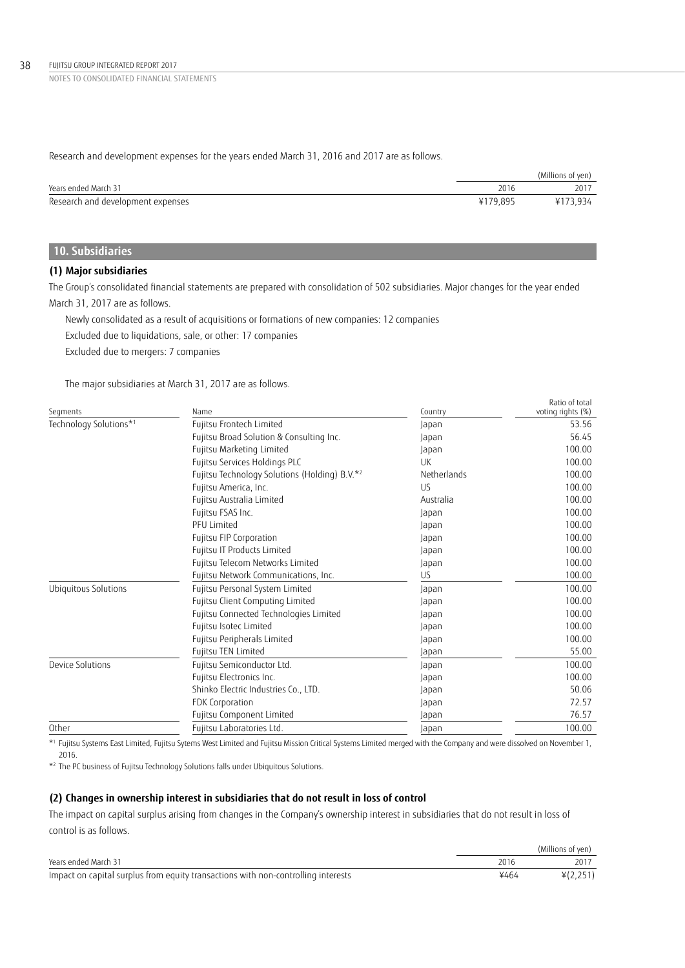Research and development expenses for the years ended March 31, 2016 and 2017 are as follows.

|                                   |          | (Millions of yen) |
|-----------------------------------|----------|-------------------|
| Years ended March 31              | 2016     | 2017              |
| Research and development expenses | ¥179.895 | ¥173,934          |

# **10. Subsidiaries**

# **(1) Major subsidiaries**

The Group's consolidated financial statements are prepared with consolidation of 502 subsidiaries. Major changes for the year ended March 31, 2017 are as follows.

Newly consolidated as a result of acquisitions or formations of new companies: 12 companies Excluded due to liquidations, sale, or other: 17 companies

Excluded due to mergers: 7 companies

The major subsidiaries at March 31, 2017 are as follows.

| Segments                           | Name                                          | Country     | Ratio of total<br>voting rights (%) |
|------------------------------------|-----------------------------------------------|-------------|-------------------------------------|
| Technology Solutions* <sup>1</sup> | Fujitsu Frontech Limited                      | Japan       | 53.56                               |
|                                    | Fujitsu Broad Solution & Consulting Inc.      | Japan       | 56.45                               |
|                                    | Fujitsu Marketing Limited                     | Japan       | 100.00                              |
|                                    | Fujitsu Services Holdings PLC                 | UK          | 100.00                              |
|                                    | Fujitsu Technology Solutions (Holding) B.V.*2 | Netherlands | 100.00                              |
|                                    | Fujitsu America, Inc.                         | <b>US</b>   | 100.00                              |
|                                    | Fujitsu Australia Limited                     | Australia   | 100.00                              |
|                                    | Fujitsu FSAS Inc.                             | Japan       | 100.00                              |
|                                    | <b>PFU Limited</b>                            | Japan       | 100.00                              |
|                                    | Fujitsu FIP Corporation                       | Japan       | 100.00                              |
|                                    | Fujitsu IT Products Limited                   | Japan       | 100.00                              |
|                                    | Fujitsu Telecom Networks Limited              | Japan       | 100.00                              |
|                                    | Fujitsu Network Communications, Inc.          | <b>US</b>   | 100.00                              |
| Ubiquitous Solutions               | Fujitsu Personal System Limited               | Japan       | 100.00                              |
|                                    | Fujitsu Client Computing Limited              | Japan       | 100.00                              |
|                                    | Fujitsu Connected Technologies Limited        | Japan       | 100.00                              |
|                                    | Fujitsu Isotec Limited                        | Japan       | 100.00                              |
|                                    | Fujitsu Peripherals Limited                   | Japan       | 100.00                              |
|                                    | Fujitsu TEN Limited                           | Japan       | 55.00                               |
| Device Solutions                   | Fujitsu Semiconductor Ltd.                    | Japan       | 100.00                              |
|                                    | Fujitsu Electronics Inc.                      | Japan       | 100.00                              |
|                                    | Shinko Electric Industries Co., LTD.          | Japan       | 50.06                               |
|                                    | FDK Corporation                               | Japan       | 72.57                               |
|                                    | Fujitsu Component Limited                     | Japan       | 76.57                               |
| Other                              | Fujitsu Laboratories Ltd.                     | Japan       | 100.00                              |

\*1 Fujitsu Systems East Limited, Fujitsu Sytems West Limited and Fujitsu Mission Critical Systems Limited merged with the Company and were dissolved on November 1, 2016.

\*2 The PC business of Fujitsu Technology Solutions falls under Ubiquitous Solutions.

# **(2) Changes in ownership interest in subsidiaries that do not result in loss of control**

The impact on capital surplus arising from changes in the Company's ownership interest in subsidiaries that do not result in loss of control is as follows.

|                                                                                   |      | (Millions of yen) |
|-----------------------------------------------------------------------------------|------|-------------------|
| Years ended March 31                                                              |      | 2017              |
| Impact on capital surplus from equity transactions with non-controlling interests | ¥464 | ¥(2,251)          |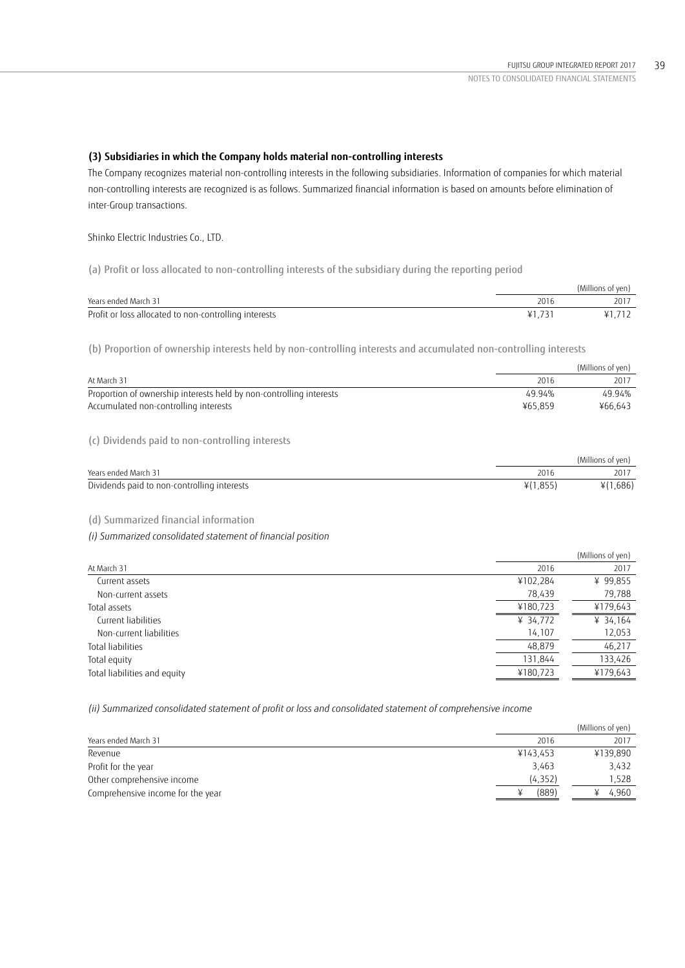# **(3) Subsidiaries in which the Company holds material non-controlling interests**

The Company recognizes material non-controlling interests in the following subsidiaries. Information of companies for which material non-controlling interests are recognized is as follows. Summarized financial information is based on amounts before elimination of inter-Group transactions.

Shinko Electric Industries Co., LTD.

(a) Profit or loss allocated to non-controlling interests of the subsidiary during the reporting period

|                                                       |        | (Millions of yen) |
|-------------------------------------------------------|--------|-------------------|
| Years ended March 31                                  | 20 1 F | 2017              |
| Profit or loss allocated to non-controlling interests | ¥1.731 |                   |

(b) Proportion of ownership interests held by non-controlling interests and accumulated non-controlling interests

|                                                                     |         | (Millions of yen) |
|---------------------------------------------------------------------|---------|-------------------|
| At March 31                                                         | 2016    | 2017              |
| Proportion of ownership interests held by non-controlling interests | 49.94%  | 49.94%            |
| Accumulated non-controlling interests                               | ¥65.859 | ¥66.643           |
|                                                                     |         |                   |

(c) Dividends paid to non-controlling interests

|                                             |            | (Millions of yen) |
|---------------------------------------------|------------|-------------------|
| Years ended March 31                        | 2016       | 2017              |
| Dividends paid to non-controlling interests | $*(1,855)$ | ¥(1,686)          |

# (d) Summarized financial information

*(i) Summarized consolidated statement of financial position*

|                              |          | (Millions of yen) |
|------------------------------|----------|-------------------|
| At March 31                  | 2016     | 2017              |
| Current assets               | ¥102,284 | ¥ 99,855          |
| Non-current assets           | 78,439   | 79,788            |
| Total assets                 | ¥180,723 | ¥179,643          |
| Current liabilities          | ¥ 34,772 | ¥ 34,164          |
| Non-current liabilities      | 14,107   | 12,053            |
| Total liabilities            | 48,879   | 46,217            |
| Total equity                 | 131,844  | 133,426           |
| Total liabilities and equity | ¥180,723 | ¥179,643          |
|                              |          |                   |

*(ii) Summarized consolidated statement of profit or loss and consolidated statement of comprehensive income*

|                                   |          | (Millions of yen) |
|-----------------------------------|----------|-------------------|
| Years ended March 31              | 2016     | 2017              |
| Revenue                           | ¥143.453 | ¥139,890          |
| Profit for the year               | 3.463    | 3,432             |
| Other comprehensive income        | (4, 352) | 1,528             |
| Comprehensive income for the year | (889)    | 4.960             |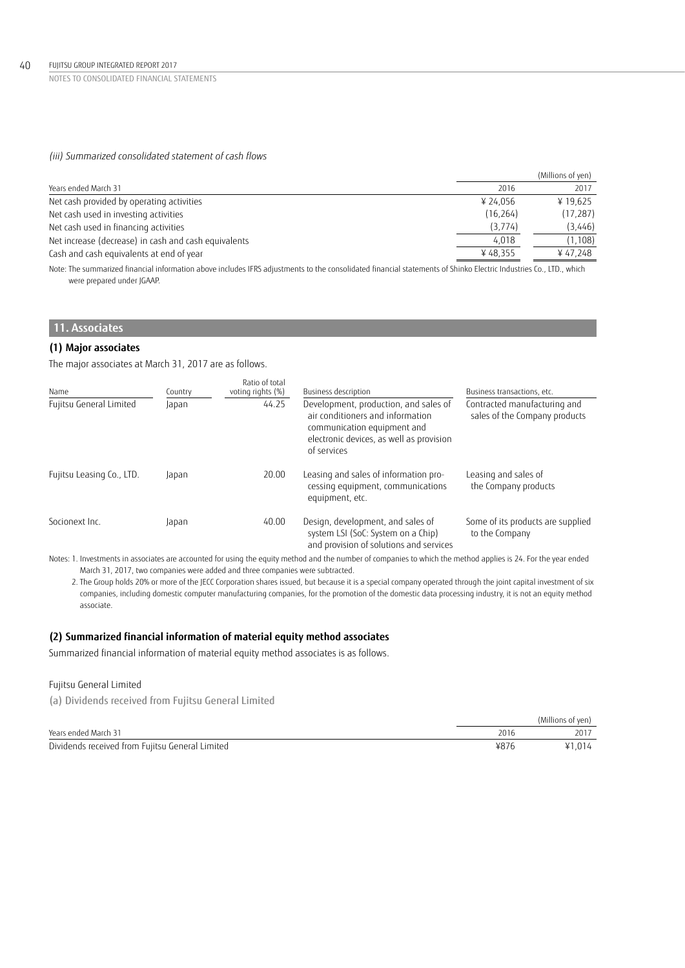# *(iii) Summarized consolidated statement of cash flows*

|                                                      |           | (Millions of yen) |
|------------------------------------------------------|-----------|-------------------|
| Years ended March 31                                 | 2016      | 2017              |
| Net cash provided by operating activities            | ¥ 24.056  | ¥ 19.625          |
| Net cash used in investing activities                | (16, 264) | (17, 287)         |
| Net cash used in financing activities                | (3,774)   | (3,446)           |
| Net increase (decrease) in cash and cash equivalents | 4.018     | (1, 108)          |
| Cash and cash equivalents at end of year             | ¥48,355   | ¥47.248           |
|                                                      |           |                   |

Note: The summarized financial information above includes IFRS adjustments to the consolidated financial statements of Shinko Electric Industries Co., LTD., which were prepared under JGAAP.

# **11. Associates**

### **(1) Major associates**

The major associates at March 31, 2017 are as follows.

| Name                      | Country | Ratio of total<br>voting rights (%) | Business description                                                                                                                                                | Business transactions, etc.                                   |
|---------------------------|---------|-------------------------------------|---------------------------------------------------------------------------------------------------------------------------------------------------------------------|---------------------------------------------------------------|
| Fujitsu General Limited   | Japan   | 44.25                               | Development, production, and sales of<br>air conditioners and information<br>communication equipment and<br>electronic devices, as well as provision<br>of services | Contracted manufacturing and<br>sales of the Company products |
| Fujitsu Leasing Co., LTD. | Japan   | 20.00                               | Leasing and sales of information pro-<br>cessing equipment, communications<br>equipment, etc.                                                                       | Leasing and sales of<br>the Company products                  |
| Socionext Inc.            | Japan   | 40.00                               | Design, development, and sales of<br>system LSI (SoC: System on a Chip)<br>and provision of solutions and services                                                  | Some of its products are supplied<br>to the Company           |

Notes: 1. Investments in associates are accounted for using the equity method and the number of companies to which the method applies is 24. For the year ended March 31, 2017, two companies were added and three companies were subtracted.

 2. The Group holds 20% or more of the JECC Corporation shares issued, but because it is a special company operated through the joint capital investment of six companies, including domestic computer manufacturing companies, for the promotion of the domestic data processing industry, it is not an equity method associate.

# **(2) Summarized financial information of material equity method associates**

Summarized financial information of material equity method associates is as follows.

# Fujitsu General Limited

(a) Dividends received from Fujitsu General Limited

|                                                 |      | (Millions of ven) |
|-------------------------------------------------|------|-------------------|
| Years ended March 31                            | 2016 | 2017              |
| Dividends received from Fujitsu General Limited | ¥876 | ¥1.014            |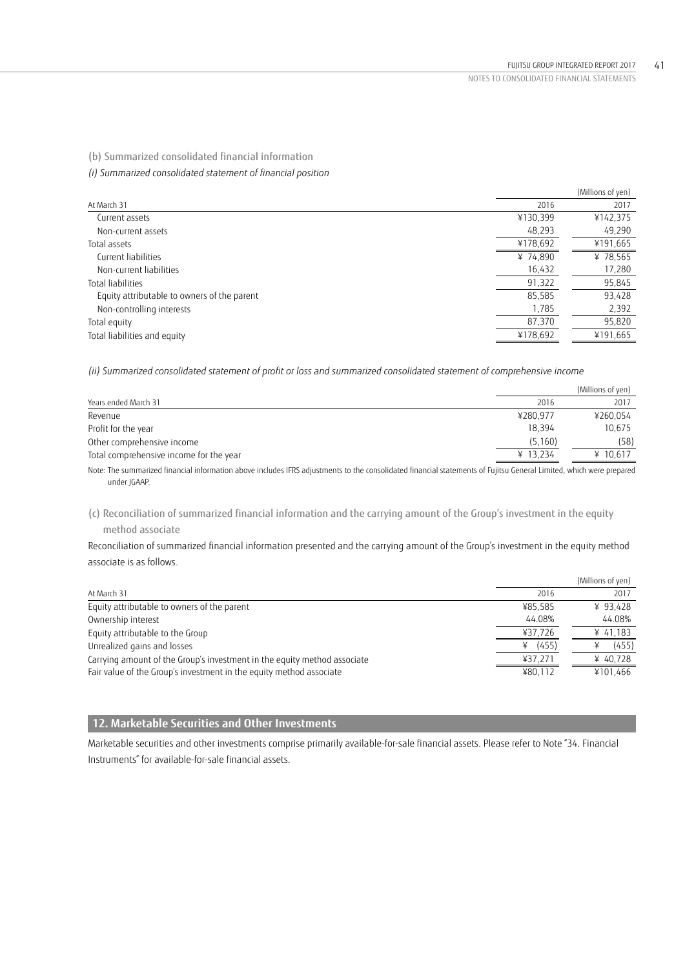(b) Summarized consolidated financial information

*(i) Summarized consolidated statement of financial position*

|                                             |          | (Millions of yen) |
|---------------------------------------------|----------|-------------------|
| At March 31                                 | 2016     | 2017              |
| Current assets                              | ¥130,399 | ¥142,375          |
| Non-current assets                          | 48,293   | 49,290            |
| Total assets                                | ¥178,692 | ¥191,665          |
| Current liabilities                         | ¥ 74,890 | ¥ 78,565          |
| Non-current liabilities                     | 16,432   | 17,280            |
| Total liabilities                           | 91,322   | 95,845            |
| Equity attributable to owners of the parent | 85,585   | 93,428            |
| Non-controlling interests                   | 1,785    | 2,392             |
| Total equity                                | 87,370   | 95,820            |
| Total liabilities and equity                | ¥178,692 | ¥191,665          |

*(ii) Summarized consolidated statement of profit or loss and summarized consolidated statement of comprehensive income*

|                                                                                                                                                                     |          | (Millions of ven) |
|---------------------------------------------------------------------------------------------------------------------------------------------------------------------|----------|-------------------|
| Years ended March 31                                                                                                                                                | 2016     | 2017              |
| Revenue                                                                                                                                                             | ¥280.977 | ¥260.054          |
| Profit for the year                                                                                                                                                 | 18.394   | 10,675            |
| Other comprehensive income                                                                                                                                          | (5, 160) | (58)              |
| Total comprehensive income for the year                                                                                                                             | ¥ 13.234 | 10.617            |
| Note: The summarized financial information above includes IFRS adjustments to the consolidated financial statements of Fujitsu General Limited, which were prepared |          |                   |

Note: The summarized financial information above includes IFRS adjustments to the consolidated financial statements of Fujitsu General Limited, which were prepared under JGAAP.

(c) Reconciliation of summarized financial information and the carrying amount of the Group's investment in the equity method associate

Reconciliation of summarized financial information presented and the carrying amount of the Group's investment in the equity method associate is as follows.

|                                                                          |         | (Millions of yen) |
|--------------------------------------------------------------------------|---------|-------------------|
| At March 31                                                              | 2016    | 2017              |
| Equity attributable to owners of the parent                              | ¥85.585 | ¥ $93.428$        |
| Ownership interest                                                       | 44.08%  | 44.08%            |
| Equity attributable to the Group                                         | ¥37,726 | ¥ 41,183          |
| Unrealized gains and losses                                              | (455)   | (455)             |
| Carrying amount of the Group's investment in the equity method associate | ¥37.271 | ¥ 40,728          |
| Fair value of the Group's investment in the equity method associate      | ¥80,112 | ¥101.466          |

# **12. Marketable Securities and Other Investments**

Marketable securities and other investments comprise primarily available-for-sale financial assets. Please refer to Note "34. Financial Instruments" for available-for-sale financial assets.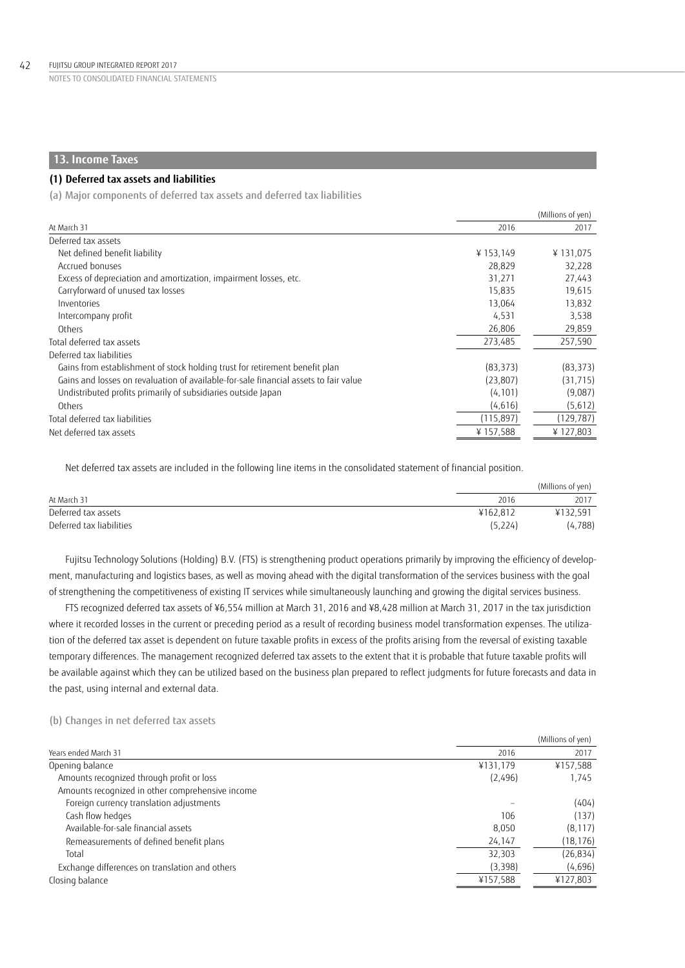# **13. Income Taxes**

# **(1) Deferred tax assets and liabilities**

(a) Major components of deferred tax assets and deferred tax liabilities

|                                                                                      |            | (Millions of yen) |
|--------------------------------------------------------------------------------------|------------|-------------------|
| At March 31                                                                          | 2016       | 2017              |
| Deferred tax assets                                                                  |            |                   |
| Net defined benefit liability                                                        | ¥153,149   | ¥131,075          |
| Accrued bonuses                                                                      | 28,829     | 32,228            |
| Excess of depreciation and amortization, impairment losses, etc.                     | 31,271     | 27,443            |
| Carryforward of unused tax losses                                                    | 15.835     | 19,615            |
| Inventories                                                                          | 13,064     | 13,832            |
| Intercompany profit                                                                  | 4,531      | 3,538             |
| Others                                                                               | 26,806     | 29,859            |
| Total deferred tax assets                                                            | 273,485    | 257,590           |
| Deferred tax liabilities                                                             |            |                   |
| Gains from establishment of stock holding trust for retirement benefit plan          | (83, 373)  | (83, 373)         |
| Gains and losses on revaluation of available-for-sale financial assets to fair value | (23, 807)  | (31, 715)         |
| Undistributed profits primarily of subsidiaries outside Japan                        | (4, 101)   | (9,087)           |
| Others                                                                               | (4,616)    | (5,612)           |
| Total deferred tax liabilities                                                       | (115, 897) | (129, 787)        |
| Net deferred tax assets                                                              | ¥157,588   | ¥127,803          |

Net deferred tax assets are included in the following line items in the consolidated statement of financial position.

|                          |          | (Millions of yen) |
|--------------------------|----------|-------------------|
| At March 31              | 2016     | 2017              |
| Deferred tax assets      | ¥162.812 | ¥132,591          |
| Deferred tax liabilities | (5,224)  | (4,788)           |

Fujitsu Technology Solutions (Holding) B.V. (FTS) is strengthening product operations primarily by improving the efficiency of development, manufacturing and logistics bases, as well as moving ahead with the digital transformation of the services business with the goal of strengthening the competitiveness of existing IT services while simultaneously launching and growing the digital services business.

FTS recognized deferred tax assets of ¥6,554 million at March 31, 2016 and ¥8,428 million at March 31, 2017 in the tax jurisdiction where it recorded losses in the current or preceding period as a result of recording business model transformation expenses. The utilization of the deferred tax asset is dependent on future taxable profits in excess of the profits arising from the reversal of existing taxable temporary differences. The management recognized deferred tax assets to the extent that it is probable that future taxable profits will be available against which they can be utilized based on the business plan prepared to reflect judgments for future forecasts and data in the past, using internal and external data.

### (b) Changes in net deferred tax assets

|                                                  |          | (Millions of yen) |
|--------------------------------------------------|----------|-------------------|
| Years ended March 31                             | 2016     | 2017              |
| Opening balance                                  | ¥131,179 | ¥157,588          |
| Amounts recognized through profit or loss        | (2,496)  | 1.745             |
| Amounts recognized in other comprehensive income |          |                   |
| Foreign currency translation adjustments         |          | (404)             |
| Cash flow hedges                                 | 106      | (137)             |
| Available-for-sale financial assets              | 8,050    | (8, 117)          |
| Remeasurements of defined benefit plans          | 24,147   | (18, 176)         |
| Total                                            | 32,303   | (26, 834)         |
| Exchange differences on translation and others   | (3,398)  | (4,696)           |
| Closing balance                                  | ¥157,588 | ¥127,803          |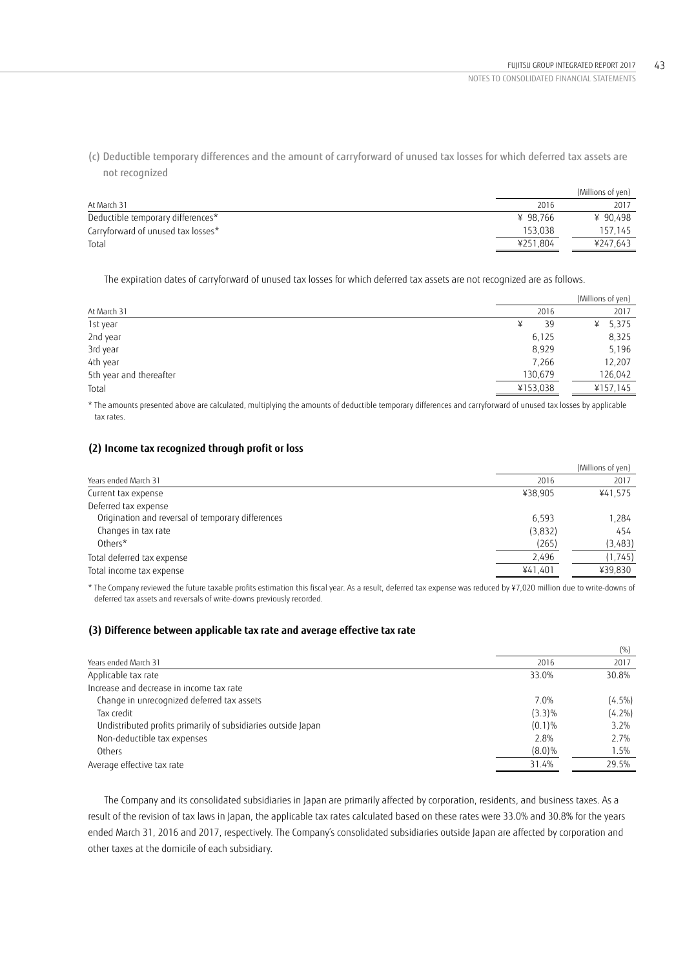(c) Deductible temporary differences and the amount of carryforward of unused tax losses for which deferred tax assets are not recognized

|                                    |          | (Millions of yen) |
|------------------------------------|----------|-------------------|
| At March 31                        | 2016     | 2017              |
| Deductible temporary differences*  | ¥ 98.766 | ¥ 90.498          |
| Carryforward of unused tax losses* | 153.038  | 157.145           |
| Total                              | ¥251.804 | ¥247.643          |

The expiration dates of carryforward of unused tax losses for which deferred tax assets are not recognized are as follows.

|                         |          | (Millions of yen) |
|-------------------------|----------|-------------------|
| At March 31             | 2016     | 2017              |
| 1st year                | 39       | 5,375<br>¥        |
| 2nd year                | 6,125    | 8,325             |
| 3rd year                | 8,929    | 5,196             |
| 4th year                | 7,266    | 12,207            |
| 5th year and thereafter | 130,679  | 126,042           |
| Total                   | ¥153,038 | ¥157,145          |
|                         |          |                   |

\* The amounts presented above are calculated, multiplying the amounts of deductible temporary differences and carryforward of unused tax losses by applicable tax rates.

# **(2) Income tax recognized through profit or loss**

|                                                   |         | (Millions of yen) |
|---------------------------------------------------|---------|-------------------|
| Years ended March 31                              | 2016    | 2017              |
| Current tax expense                               | ¥38,905 | ¥41,575           |
| Deferred tax expense                              |         |                   |
| Origination and reversal of temporary differences | 6.593   | 1.284             |
| Changes in tax rate                               | (3,832) | 454               |
| Others*                                           | (265)   | (3,483)           |
| Total deferred tax expense                        | 2,496   | (1, 745)          |
| Total income tax expense                          | ¥41,401 | ¥39,830           |

\* The Company reviewed the future taxable profits estimation this fiscal year. As a result, deferred tax expense was reduced by ¥7,020 million due to write-downs of deferred tax assets and reversals of write-downs previously recorded.

# **(3) Difference between applicable tax rate and average effective tax rate**

|                                                               |           | (%)       |
|---------------------------------------------------------------|-----------|-----------|
| Years ended March 31                                          | 2016      | 2017      |
| Applicable tax rate                                           | 33.0%     | 30.8%     |
| Increase and decrease in income tax rate                      |           |           |
| Change in unrecognized deferred tax assets                    | 7.0%      | $(4.5\%)$ |
| Tax credit                                                    | (3.3)%    | $(4.2\%)$ |
| Undistributed profits primarily of subsidiaries outside Japan | (0.1)%    | 3.2%      |
| Non-deductible tax expenses                                   | 2.8%      | 2.7%      |
| Others                                                        | $(8.0)\%$ | 1.5%      |
| Average effective tax rate                                    | 31.4%     | 29.5%     |
|                                                               |           |           |

The Company and its consolidated subsidiaries in Japan are primarily affected by corporation, residents, and business taxes. As a result of the revision of tax laws in Japan, the applicable tax rates calculated based on these rates were 33.0% and 30.8% for the years ended March 31, 2016 and 2017, respectively. The Company's consolidated subsidiaries outside Japan are affected by corporation and other taxes at the domicile of each subsidiary.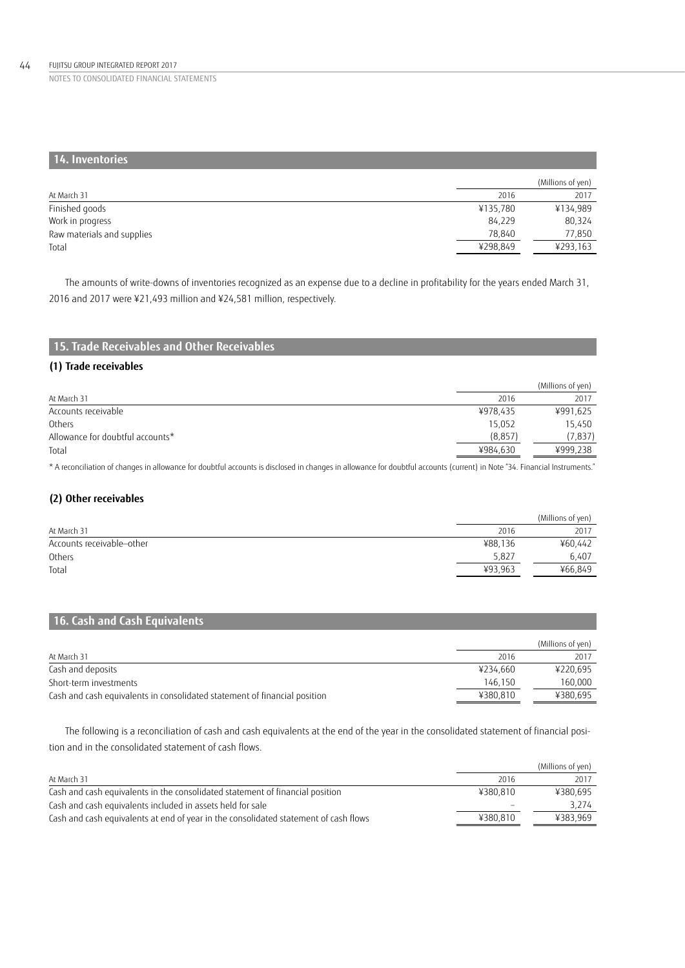| 14. Inventories            |          |                   |
|----------------------------|----------|-------------------|
|                            |          | (Millions of yen) |
| At March 31                | 2016     | 2017              |
| Finished goods             | ¥135,780 | ¥134,989          |
| Work in progress           | 84,229   | 80,324            |
| Raw materials and supplies | 78,840   | 77,850            |
| Total                      | ¥298,849 | ¥293,163          |

The amounts of write-downs of inventories recognized as an expense due to a decline in profitability for the years ended March 31, 2016 and 2017 were ¥21,493 million and ¥24,581 million, respectively.

# **15. Trade Receivables and Other Receivables**

# **(1) Trade receivables**

|          | (Millions of yen) |
|----------|-------------------|
| 2016     | 2017              |
| ¥978.435 | ¥991,625          |
| 15,052   | 15.450            |
| (8.857)  | (7, 837)          |
| ¥984.630 | ¥999.238          |
|          |                   |

\* A reconciliation of changes in allowance for doubtful accounts is disclosed in changes in allowance for doubtful accounts (current) in Note "34. Financial Instruments."

# **(2) Other receivables**

|                           |         | (Millions of yen) |
|---------------------------|---------|-------------------|
| At March 31               | 2016    | 2017              |
| Accounts receivable-other | ¥88.136 | ¥60,442           |
| Others                    | 5.827   | 6.407             |
| Total                     | ¥93,963 | ¥66.849           |

# **16. Cash and Cash Equivalents**

|                                                                           |          | (Millions of yen) |
|---------------------------------------------------------------------------|----------|-------------------|
| At March 31                                                               | 2016     | 2017              |
| Cash and deposits                                                         | ¥234.660 | ¥220.695          |
| Short-term investments                                                    | 146.150  | 160.000           |
| Cash and cash equivalents in consolidated statement of financial position | ¥380.810 | ¥380,695          |

The following is a reconciliation of cash and cash equivalents at the end of the year in the consolidated statement of financial position and in the consolidated statement of cash flows.

|                                                                                      |                          | (Millions of yen) |
|--------------------------------------------------------------------------------------|--------------------------|-------------------|
| At March 31                                                                          | 2016                     | 2017              |
| Cash and cash equivalents in the consolidated statement of financial position        | ¥380.810                 | ¥380.695          |
| Cash and cash equivalents included in assets held for sale                           | $\overline{\phantom{a}}$ | 3.274             |
| Cash and cash equivalents at end of year in the consolidated statement of cash flows | ¥380.810                 | ¥383.969          |
|                                                                                      |                          |                   |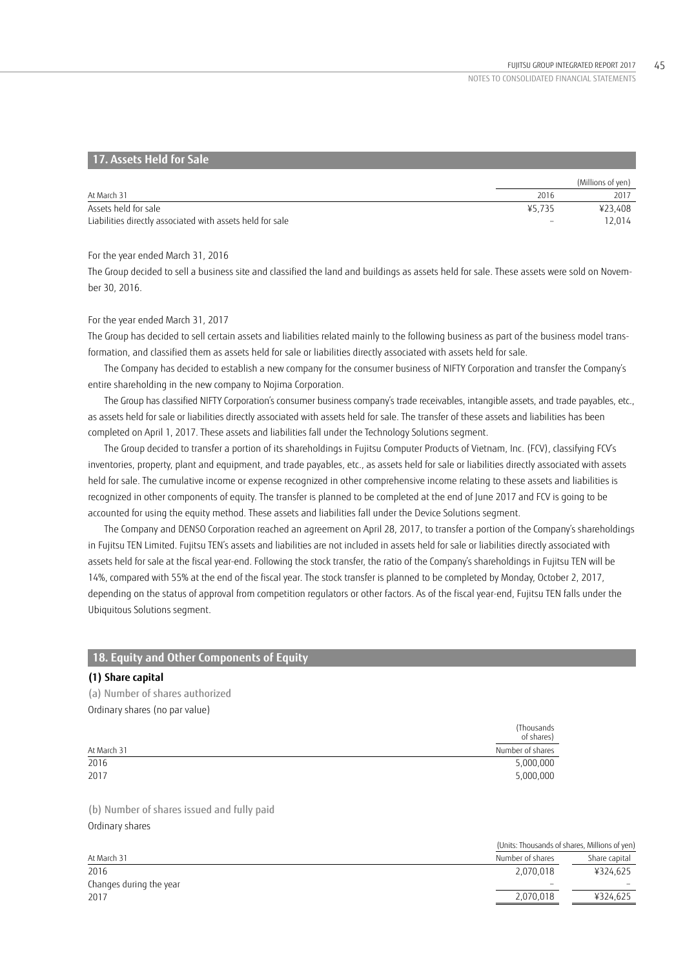# **17. Assets Held for Sale**

|                                                           |                          | (Millions of ven) |
|-----------------------------------------------------------|--------------------------|-------------------|
| At March 31                                               | 2016                     | 2017              |
| Assets held for sale                                      | ¥5.735                   | ¥23.408           |
| Liabilities directly associated with assets held for sale | $\overline{\phantom{a}}$ | 12.014            |

For the year ended March 31, 2016

The Group decided to sell a business site and classified the land and buildings as assets held for sale. These assets were sold on November 30, 2016.

### For the year ended March 31, 2017

The Group has decided to sell certain assets and liabilities related mainly to the following business as part of the business model transformation, and classified them as assets held for sale or liabilities directly associated with assets held for sale.

The Company has decided to establish a new company for the consumer business of NIFTY Corporation and transfer the Company's entire shareholding in the new company to Nojima Corporation.

The Group has classified NIFTY Corporation's consumer business company's trade receivables, intangible assets, and trade payables, etc., as assets held for sale or liabilities directly associated with assets held for sale. The transfer of these assets and liabilities has been completed on April 1, 2017. These assets and liabilities fall under the Technology Solutions segment.

The Group decided to transfer a portion of its shareholdings in Fujitsu Computer Products of Vietnam, Inc. (FCV), classifying FCV's inventories, property, plant and equipment, and trade payables, etc., as assets held for sale or liabilities directly associated with assets held for sale. The cumulative income or expense recognized in other comprehensive income relating to these assets and liabilities is recognized in other components of equity. The transfer is planned to be completed at the end of June 2017 and FCV is going to be accounted for using the equity method. These assets and liabilities fall under the Device Solutions segment.

The Company and DENSO Corporation reached an agreement on April 28, 2017, to transfer a portion of the Company's shareholdings in Fujitsu TEN Limited. Fujitsu TEN's assets and liabilities are not included in assets held for sale or liabilities directly associated with assets held for sale at the fiscal year-end. Following the stock transfer, the ratio of the Company's shareholdings in Fujitsu TEN will be 14%, compared with 55% at the end of the fiscal year. The stock transfer is planned to be completed by Monday, October 2, 2017, depending on the status of approval from competition regulators or other factors. As of the fiscal year-end, Fujitsu TEN falls under the Ubiquitous Solutions segment.

# **18. Equity and Other Components of Equity**

### **(1) Share capital**

(a) Number of shares authorized Ordinary shares (no par value)

| At March 31 | (Thousands)<br>of shares) |
|-------------|---------------------------|
|             | Number of shares          |
| 2016        | 5,000,000                 |
| 2017        | 5,000,000                 |

(b) Number of shares issued and fully paid Ordinary shares

|                         |                          | (Units: Thousands of shares, Millions of yen) |  |
|-------------------------|--------------------------|-----------------------------------------------|--|
| At March 31             | Number of shares         | Share capital                                 |  |
| 2016                    | 2.070.018                | ¥324,625                                      |  |
| Changes during the year | $\overline{\phantom{a}}$ |                                               |  |
| 2017                    | 2,070,018                | ¥324.625                                      |  |
|                         |                          |                                               |  |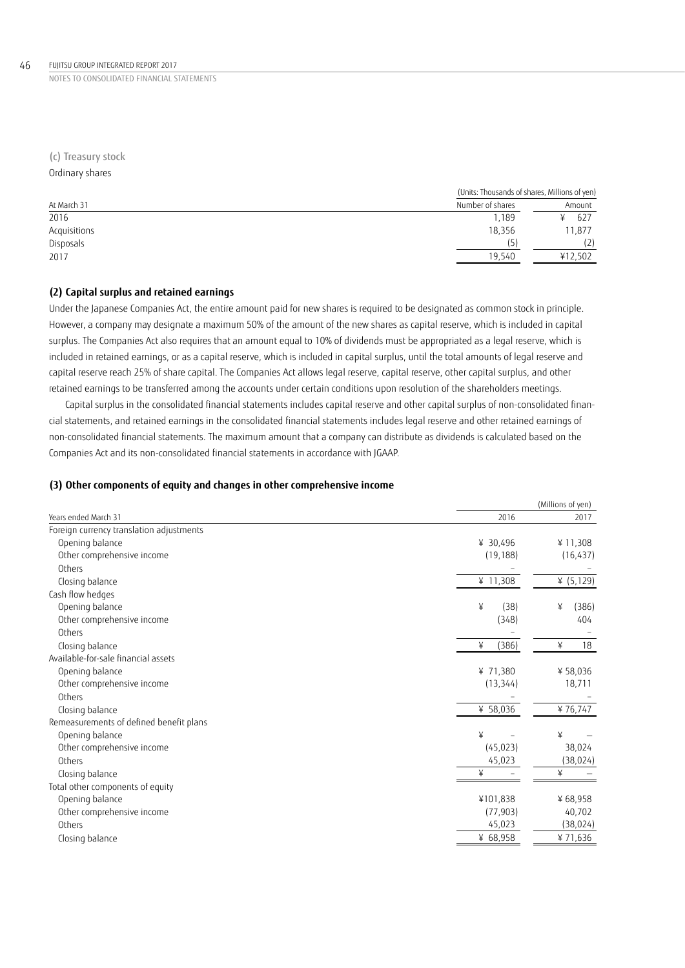# (c) Treasury stock

Ordinary shares

|                  | (Units: Thousands of shares, Millions of yen) |  |  |
|------------------|-----------------------------------------------|--|--|
| Number of shares | Amount                                        |  |  |
| 1.189            | 627                                           |  |  |
| 18,356           | 11,877                                        |  |  |
| ا خا             | $\left 2\right $                              |  |  |
| 19.540           | ¥12,502                                       |  |  |
|                  |                                               |  |  |

# **(2) Capital surplus and retained earnings**

Under the Japanese Companies Act, the entire amount paid for new shares is required to be designated as common stock in principle. However, a company may designate a maximum 50% of the amount of the new shares as capital reserve, which is included in capital surplus. The Companies Act also requires that an amount equal to 10% of dividends must be appropriated as a legal reserve, which is included in retained earnings, or as a capital reserve, which is included in capital surplus, until the total amounts of legal reserve and capital reserve reach 25% of share capital. The Companies Act allows legal reserve, capital reserve, other capital surplus, and other retained earnings to be transferred among the accounts under certain conditions upon resolution of the shareholders meetings.

Capital surplus in the consolidated financial statements includes capital reserve and other capital surplus of non-consolidated financial statements, and retained earnings in the consolidated financial statements includes legal reserve and other retained earnings of non-consolidated financial statements. The maximum amount that a company can distribute as dividends is calculated based on the Companies Act and its non-consolidated financial statements in accordance with JGAAP.

# **(3) Other components of equity and changes in other comprehensive income**

|                                          |            | (Millions of yen) |
|------------------------------------------|------------|-------------------|
| Years ended March 31                     | 2016       | 2017              |
| Foreign currency translation adjustments |            |                   |
| Opening balance                          | ¥ 30,496   | ¥11,308           |
| Other comprehensive income               | (19, 188)  | (16, 437)         |
| Others                                   |            |                   |
| Closing balance                          | ¥ 11,308   | ¥ $(5, 129)$      |
| Cash flow hedges                         |            |                   |
| Opening balance                          | ¥<br>(38)  | ¥<br>(386)        |
| Other comprehensive income               | (348)      | 404               |
| Others                                   |            |                   |
| Closing balance                          | (386)<br>¥ | 18<br>¥           |
| Available-for-sale financial assets      |            |                   |
| Opening balance                          | ¥ 71,380   | ¥58,036           |
| Other comprehensive income               | (13, 344)  | 18,711            |
| Others                                   |            |                   |
| Closing balance                          | ¥ 58,036   | ¥76,747           |
| Remeasurements of defined benefit plans  |            |                   |
| Opening balance                          | ¥          | ¥                 |
| Other comprehensive income               | (45, 023)  | 38,024            |
| Others                                   | 45,023     | (38, 024)         |
| Closing balance                          | ¥          | ¥                 |
| Total other components of equity         |            |                   |
| Opening balance                          | ¥101,838   | ¥68,958           |
| Other comprehensive income               | (77, 903)  | 40,702            |
| Others                                   | 45,023     | (38, 024)         |
| Closing balance                          | ¥ 68,958   | ¥71,636           |
|                                          |            |                   |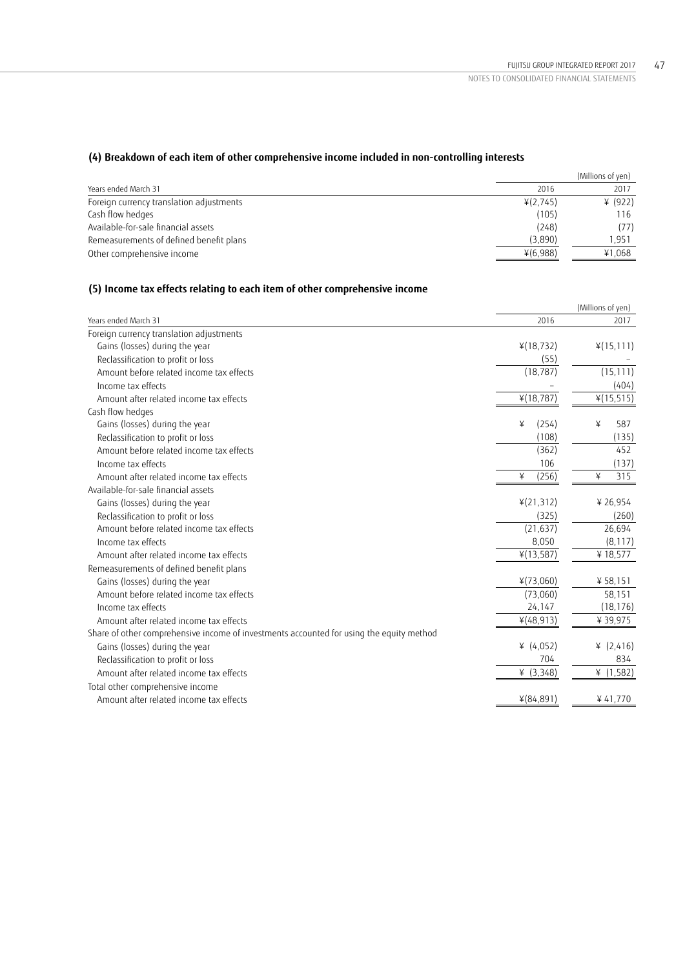# **(4) Breakdown of each item of other comprehensive income included in non-controlling interests**

|                                          |            | (Millions of yen) |
|------------------------------------------|------------|-------------------|
| Years ended March 31                     | 2016       | 2017              |
| Foreign currency translation adjustments | ¥(2.745)   | ¥ $(922)$         |
| Cash flow hedges                         | (105)      | 116               |
| Available-for-sale financial assets      | (248)      | (77)              |
| Remeasurements of defined benefit plans  | (3.890)    | 1,951             |
| Other comprehensive income               | $*(6,988)$ | ¥1,068            |

# **(5) Income tax effects relating to each item of other comprehensive income**

| 2016<br>Years ended March 31<br>2017<br>Foreign currency translation adjustments<br>Gains (losses) during the year<br>4(18, 732)<br>¥(15,111)<br>(55)<br>Reclassification to profit or loss<br>(18, 787)<br>(15, 111)<br>Amount before related income tax effects<br>(404)<br>Income tax effects<br>4(15, 515)<br>¥(18,787)<br>Amount after related income tax effects<br>Cash flow hedges<br>Gains (losses) during the year<br>(254)<br>587<br>¥<br>¥<br>Reclassification to profit or loss<br>(108)<br>(135)<br>Amount before related income tax effects<br>(362)<br>452<br>Income tax effects<br>106<br>(137)<br>¥<br>¥<br>(256)<br>Amount after related income tax effects<br>315<br>Available-for-sale financial assets<br>4(21,312)<br>¥ 26,954<br>Gains (losses) during the year<br>(260)<br>(325)<br>Reclassification to profit or loss<br>Amount before related income tax effects<br>(21, 637)<br>26,694<br>8,050<br>(8, 117)<br>Income tax effects<br>Amount after related income tax effects<br>¥(13,587)<br>¥18,577<br>Remeasurements of defined benefit plans<br>¥(73,060)<br>¥58,151<br>Gains (losses) during the year<br>Amount before related income tax effects<br>(73,060)<br>58,151<br>24,147<br>(18, 176)<br>Income tax effects<br>Amount after related income tax effects<br>¥39,975<br>4(48, 913)<br>Share of other comprehensive income of investments accounted for using the equity method<br>¥ $(4,052)$<br>¥ $(2,416)$<br>Gains (losses) during the year<br>704<br>834<br>Reclassification to profit or loss<br>Amount after related income tax effects<br>¥ $(3,348)$<br>¥ $(1, 582)$<br>Total other comprehensive income<br>Amount after related income tax effects<br>$*(84, 891)$<br>¥ 41,770 |  | (Millions of yen) |
|-------------------------------------------------------------------------------------------------------------------------------------------------------------------------------------------------------------------------------------------------------------------------------------------------------------------------------------------------------------------------------------------------------------------------------------------------------------------------------------------------------------------------------------------------------------------------------------------------------------------------------------------------------------------------------------------------------------------------------------------------------------------------------------------------------------------------------------------------------------------------------------------------------------------------------------------------------------------------------------------------------------------------------------------------------------------------------------------------------------------------------------------------------------------------------------------------------------------------------------------------------------------------------------------------------------------------------------------------------------------------------------------------------------------------------------------------------------------------------------------------------------------------------------------------------------------------------------------------------------------------------------------------------------------------------------------------------------------------------|--|-------------------|
|                                                                                                                                                                                                                                                                                                                                                                                                                                                                                                                                                                                                                                                                                                                                                                                                                                                                                                                                                                                                                                                                                                                                                                                                                                                                                                                                                                                                                                                                                                                                                                                                                                                                                                                               |  |                   |
|                                                                                                                                                                                                                                                                                                                                                                                                                                                                                                                                                                                                                                                                                                                                                                                                                                                                                                                                                                                                                                                                                                                                                                                                                                                                                                                                                                                                                                                                                                                                                                                                                                                                                                                               |  |                   |
|                                                                                                                                                                                                                                                                                                                                                                                                                                                                                                                                                                                                                                                                                                                                                                                                                                                                                                                                                                                                                                                                                                                                                                                                                                                                                                                                                                                                                                                                                                                                                                                                                                                                                                                               |  |                   |
|                                                                                                                                                                                                                                                                                                                                                                                                                                                                                                                                                                                                                                                                                                                                                                                                                                                                                                                                                                                                                                                                                                                                                                                                                                                                                                                                                                                                                                                                                                                                                                                                                                                                                                                               |  |                   |
|                                                                                                                                                                                                                                                                                                                                                                                                                                                                                                                                                                                                                                                                                                                                                                                                                                                                                                                                                                                                                                                                                                                                                                                                                                                                                                                                                                                                                                                                                                                                                                                                                                                                                                                               |  |                   |
|                                                                                                                                                                                                                                                                                                                                                                                                                                                                                                                                                                                                                                                                                                                                                                                                                                                                                                                                                                                                                                                                                                                                                                                                                                                                                                                                                                                                                                                                                                                                                                                                                                                                                                                               |  |                   |
|                                                                                                                                                                                                                                                                                                                                                                                                                                                                                                                                                                                                                                                                                                                                                                                                                                                                                                                                                                                                                                                                                                                                                                                                                                                                                                                                                                                                                                                                                                                                                                                                                                                                                                                               |  |                   |
|                                                                                                                                                                                                                                                                                                                                                                                                                                                                                                                                                                                                                                                                                                                                                                                                                                                                                                                                                                                                                                                                                                                                                                                                                                                                                                                                                                                                                                                                                                                                                                                                                                                                                                                               |  |                   |
|                                                                                                                                                                                                                                                                                                                                                                                                                                                                                                                                                                                                                                                                                                                                                                                                                                                                                                                                                                                                                                                                                                                                                                                                                                                                                                                                                                                                                                                                                                                                                                                                                                                                                                                               |  |                   |
|                                                                                                                                                                                                                                                                                                                                                                                                                                                                                                                                                                                                                                                                                                                                                                                                                                                                                                                                                                                                                                                                                                                                                                                                                                                                                                                                                                                                                                                                                                                                                                                                                                                                                                                               |  |                   |
|                                                                                                                                                                                                                                                                                                                                                                                                                                                                                                                                                                                                                                                                                                                                                                                                                                                                                                                                                                                                                                                                                                                                                                                                                                                                                                                                                                                                                                                                                                                                                                                                                                                                                                                               |  |                   |
|                                                                                                                                                                                                                                                                                                                                                                                                                                                                                                                                                                                                                                                                                                                                                                                                                                                                                                                                                                                                                                                                                                                                                                                                                                                                                                                                                                                                                                                                                                                                                                                                                                                                                                                               |  |                   |
|                                                                                                                                                                                                                                                                                                                                                                                                                                                                                                                                                                                                                                                                                                                                                                                                                                                                                                                                                                                                                                                                                                                                                                                                                                                                                                                                                                                                                                                                                                                                                                                                                                                                                                                               |  |                   |
|                                                                                                                                                                                                                                                                                                                                                                                                                                                                                                                                                                                                                                                                                                                                                                                                                                                                                                                                                                                                                                                                                                                                                                                                                                                                                                                                                                                                                                                                                                                                                                                                                                                                                                                               |  |                   |
|                                                                                                                                                                                                                                                                                                                                                                                                                                                                                                                                                                                                                                                                                                                                                                                                                                                                                                                                                                                                                                                                                                                                                                                                                                                                                                                                                                                                                                                                                                                                                                                                                                                                                                                               |  |                   |
|                                                                                                                                                                                                                                                                                                                                                                                                                                                                                                                                                                                                                                                                                                                                                                                                                                                                                                                                                                                                                                                                                                                                                                                                                                                                                                                                                                                                                                                                                                                                                                                                                                                                                                                               |  |                   |
|                                                                                                                                                                                                                                                                                                                                                                                                                                                                                                                                                                                                                                                                                                                                                                                                                                                                                                                                                                                                                                                                                                                                                                                                                                                                                                                                                                                                                                                                                                                                                                                                                                                                                                                               |  |                   |
|                                                                                                                                                                                                                                                                                                                                                                                                                                                                                                                                                                                                                                                                                                                                                                                                                                                                                                                                                                                                                                                                                                                                                                                                                                                                                                                                                                                                                                                                                                                                                                                                                                                                                                                               |  |                   |
|                                                                                                                                                                                                                                                                                                                                                                                                                                                                                                                                                                                                                                                                                                                                                                                                                                                                                                                                                                                                                                                                                                                                                                                                                                                                                                                                                                                                                                                                                                                                                                                                                                                                                                                               |  |                   |
|                                                                                                                                                                                                                                                                                                                                                                                                                                                                                                                                                                                                                                                                                                                                                                                                                                                                                                                                                                                                                                                                                                                                                                                                                                                                                                                                                                                                                                                                                                                                                                                                                                                                                                                               |  |                   |
|                                                                                                                                                                                                                                                                                                                                                                                                                                                                                                                                                                                                                                                                                                                                                                                                                                                                                                                                                                                                                                                                                                                                                                                                                                                                                                                                                                                                                                                                                                                                                                                                                                                                                                                               |  |                   |
|                                                                                                                                                                                                                                                                                                                                                                                                                                                                                                                                                                                                                                                                                                                                                                                                                                                                                                                                                                                                                                                                                                                                                                                                                                                                                                                                                                                                                                                                                                                                                                                                                                                                                                                               |  |                   |
|                                                                                                                                                                                                                                                                                                                                                                                                                                                                                                                                                                                                                                                                                                                                                                                                                                                                                                                                                                                                                                                                                                                                                                                                                                                                                                                                                                                                                                                                                                                                                                                                                                                                                                                               |  |                   |
|                                                                                                                                                                                                                                                                                                                                                                                                                                                                                                                                                                                                                                                                                                                                                                                                                                                                                                                                                                                                                                                                                                                                                                                                                                                                                                                                                                                                                                                                                                                                                                                                                                                                                                                               |  |                   |
|                                                                                                                                                                                                                                                                                                                                                                                                                                                                                                                                                                                                                                                                                                                                                                                                                                                                                                                                                                                                                                                                                                                                                                                                                                                                                                                                                                                                                                                                                                                                                                                                                                                                                                                               |  |                   |
|                                                                                                                                                                                                                                                                                                                                                                                                                                                                                                                                                                                                                                                                                                                                                                                                                                                                                                                                                                                                                                                                                                                                                                                                                                                                                                                                                                                                                                                                                                                                                                                                                                                                                                                               |  |                   |
|                                                                                                                                                                                                                                                                                                                                                                                                                                                                                                                                                                                                                                                                                                                                                                                                                                                                                                                                                                                                                                                                                                                                                                                                                                                                                                                                                                                                                                                                                                                                                                                                                                                                                                                               |  |                   |
|                                                                                                                                                                                                                                                                                                                                                                                                                                                                                                                                                                                                                                                                                                                                                                                                                                                                                                                                                                                                                                                                                                                                                                                                                                                                                                                                                                                                                                                                                                                                                                                                                                                                                                                               |  |                   |
|                                                                                                                                                                                                                                                                                                                                                                                                                                                                                                                                                                                                                                                                                                                                                                                                                                                                                                                                                                                                                                                                                                                                                                                                                                                                                                                                                                                                                                                                                                                                                                                                                                                                                                                               |  |                   |
|                                                                                                                                                                                                                                                                                                                                                                                                                                                                                                                                                                                                                                                                                                                                                                                                                                                                                                                                                                                                                                                                                                                                                                                                                                                                                                                                                                                                                                                                                                                                                                                                                                                                                                                               |  |                   |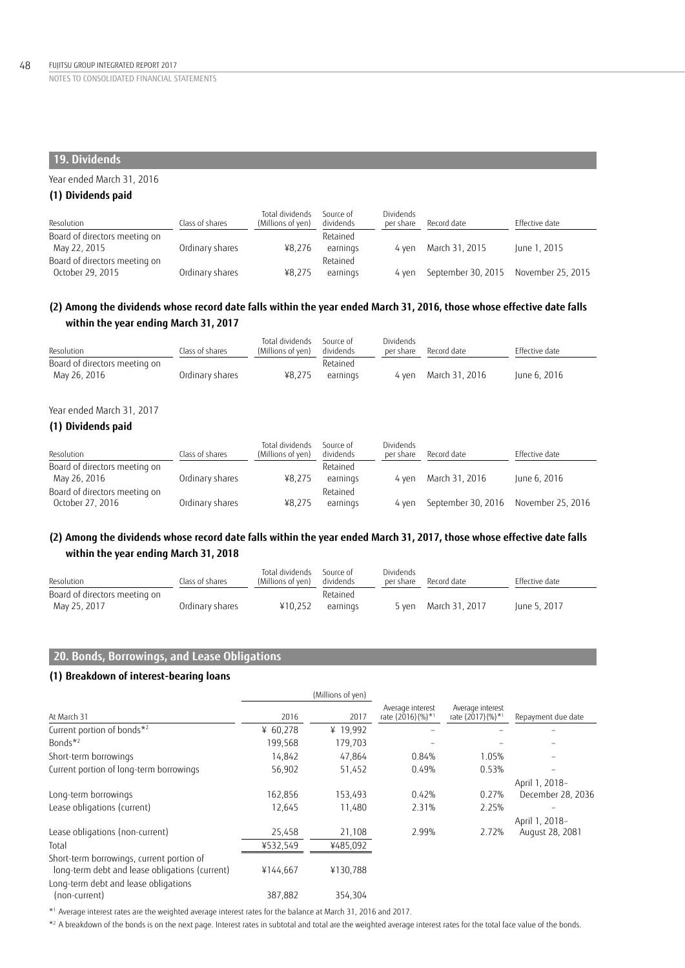# **19. Dividends**

# Year ended March 31, 2016

# **(1) Dividends paid**

| Resolution                    | Class of shares | Total dividends<br>(Millions of yen) | Source of<br>dividends | Dividends<br>per share | Record date                           | Effective date |
|-------------------------------|-----------------|--------------------------------------|------------------------|------------------------|---------------------------------------|----------------|
| Board of directors meeting on |                 |                                      | Retained               |                        |                                       |                |
| May 22, 2015                  | Ordinary shares | ¥8.276                               | earnings               | 4 ven                  | March 31, 2015                        | June 1, 2015   |
| Board of directors meeting on |                 |                                      | Retained               |                        |                                       |                |
| October 29, 2015              | Ordinary shares | ¥8.275                               | earnings               | 4 ven                  | September 30, 2015  November 25, 2015 |                |

# **(2) Among the dividends whose record date falls within the year ended March 31, 2016, those whose effective date falls within the year ending March 31, 2017**

| Resolution                    | Class of shares | Total dividends<br>(Millions of yen) | Source of<br>dividends | Dividends<br>per share | Record date          | Effective date |
|-------------------------------|-----------------|--------------------------------------|------------------------|------------------------|----------------------|----------------|
| Board of directors meeting on |                 |                                      | Retained               |                        |                      |                |
| May 26, 2016                  | Ordinary shares | ¥8.275                               | earnings               |                        | 4 yen March 31, 2016 | June 6, 2016   |

# Year ended March 31, 2017

# **(1) Dividends paid**

| Resolution                    | Class of shares | Total dividends<br>(Millions of yen) | Source of<br>dividends | Dividends<br>per share | Record date        | Effective date    |
|-------------------------------|-----------------|--------------------------------------|------------------------|------------------------|--------------------|-------------------|
| Board of directors meeting on |                 |                                      | Retained               |                        |                    |                   |
| May 26, 2016                  | Ordinary shares | ¥8.275                               | earnings               | 4 ven                  | March 31, 2016     | June 6, 2016      |
| Board of directors meeting on |                 |                                      | Retained               |                        |                    |                   |
| October 27, 2016              | Ordinary shares | ¥8.275                               | earnings               | 4 ven                  | September 30, 2016 | November 25, 2016 |

# **(2) Among the dividends whose record date falls within the year ended March 31, 2017, those whose effective date falls within the year ending March 31, 2018**

| Resolution                    | Class of shares | Total dividends<br>(Millions of yen) | Source of<br>dividends | Dividends<br>per share | Record date          | Effective date |
|-------------------------------|-----------------|--------------------------------------|------------------------|------------------------|----------------------|----------------|
| Board of directors meeting on |                 |                                      | Retained               |                        |                      |                |
| May 25, 2017                  | Ordinary shares | ¥10,252                              | earnings               |                        | 5 yen March 31, 2017 | June 5, 2017   |

# **20. Bonds, Borrowings, and Lease Obligations**

# **(1) Breakdown of interest-bearing loans**

|                                                                                             |                   | (Millions of yen) |                                      |                                      |                                                       |
|---------------------------------------------------------------------------------------------|-------------------|-------------------|--------------------------------------|--------------------------------------|-------------------------------------------------------|
| At March 31                                                                                 | 2016              | 2017              | Average interest<br>rate (2016)(%)*1 | Average interest<br>rate (2017)(%)*1 | Repayment due date                                    |
| Current portion of bonds*2                                                                  | ¥ $60,278$        | ¥ 19,992          |                                      |                                      |                                                       |
| Bonds $*^2$                                                                                 | 199,568           | 179,703           |                                      |                                      |                                                       |
| Short-term borrowings                                                                       | 14,842            | 47.864            | 0.84%                                | 1.05%                                |                                                       |
| Current portion of long-term borrowings                                                     | 56,902            | 51,452            | 0.49%                                | 0.53%                                |                                                       |
| Long-term borrowings<br>Lease obligations (current)                                         | 162,856<br>12,645 | 153.493<br>11.480 | 0.42%<br>2.31%                       | 0.27%<br>2.25%                       | April 1, 2018-<br>December 28, 2036<br>April 1, 2018- |
| Lease obligations (non-current)                                                             | 25,458            | 21,108            | 2.99%                                | 2.72%                                | August 28, 2081                                       |
| Total                                                                                       | ¥532,549          | ¥485,092          |                                      |                                      |                                                       |
| Short-term borrowings, current portion of<br>long-term debt and lease obligations (current) | ¥144,667          | ¥130,788          |                                      |                                      |                                                       |
| Long-term debt and lease obligations<br>(non-current)                                       | 387.882           | 354.304           |                                      |                                      |                                                       |

\*1 Average interest rates are the weighted average interest rates for the balance at March 31, 2016 and 2017.

 $*$  A breakdown of the bonds is on the next page. Interest rates in subtotal and total are the weighted average interest rates for the total face value of the bonds.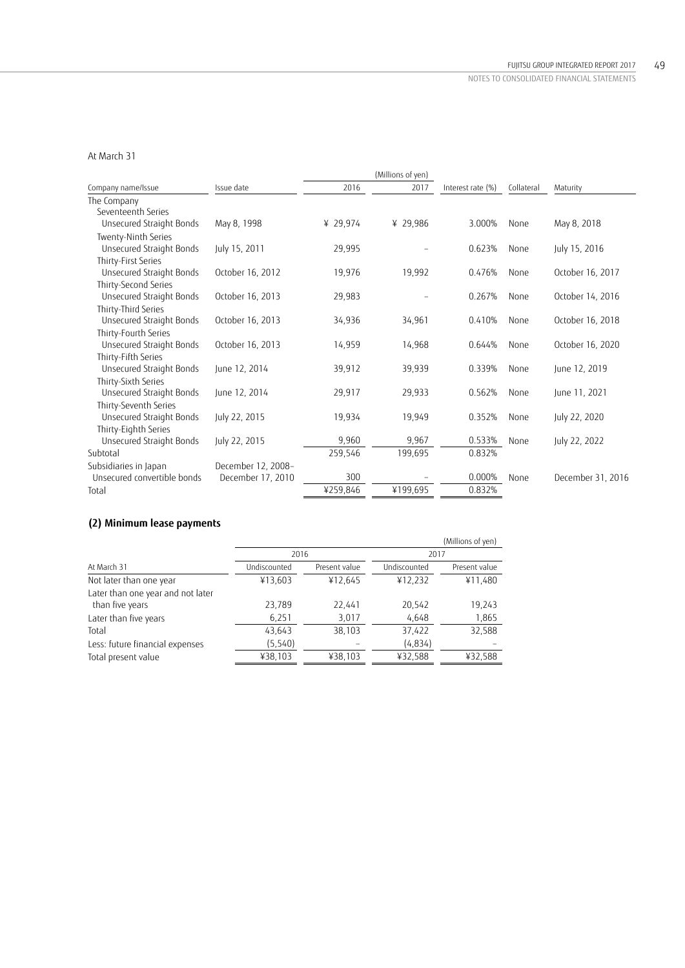# At March 31

|                             |                    |          | (Millions of yen) |                   |            |                   |
|-----------------------------|--------------------|----------|-------------------|-------------------|------------|-------------------|
| Company name/Issue          | Issue date         | 2016     | 2017              | Interest rate (%) | Collateral | Maturity          |
| The Company                 |                    |          |                   |                   |            |                   |
| Seventeenth Series          |                    |          |                   |                   |            |                   |
| Unsecured Straight Bonds    | May 8, 1998        | ¥ 29,974 | ¥ 29,986          | 3.000%            | None       | May 8, 2018       |
| Twenty-Ninth Series         |                    |          |                   |                   |            |                   |
| Unsecured Straight Bonds    | July 15, 2011      | 29,995   |                   | 0.623%            | None       | July 15, 2016     |
| Thirty-First Series         |                    |          |                   |                   |            |                   |
| Unsecured Straight Bonds    | October 16, 2012   | 19,976   | 19,992            | 0.476%            | None       | October 16, 2017  |
| Thirty-Second Series        |                    |          |                   |                   |            |                   |
| Unsecured Straight Bonds    | October 16, 2013   | 29,983   |                   | 0.267%            | None       | October 14, 2016  |
| Thirty-Third Series         |                    |          |                   |                   |            |                   |
| Unsecured Straight Bonds    | October 16, 2013   | 34,936   | 34,961            | 0.410%            | None       | October 16, 2018  |
| Thirty-Fourth Series        |                    |          |                   |                   |            |                   |
| Unsecured Straight Bonds    | October 16, 2013   | 14,959   | 14,968            | 0.644%            | None       | October 16, 2020  |
| Thirty-Fifth Series         |                    |          |                   |                   |            |                   |
| Unsecured Straight Bonds    | June 12, 2014      | 39,912   | 39,939            | 0.339%            | None       | June 12, 2019     |
| Thirty-Sixth Series         |                    |          |                   |                   |            |                   |
| Unsecured Straight Bonds    | June 12, 2014      | 29,917   | 29,933            | 0.562%            | None       | June 11, 2021     |
| Thirty-Seventh Series       |                    |          |                   |                   |            |                   |
| Unsecured Straight Bonds    | July 22, 2015      | 19,934   | 19,949            | 0.352%            | None       | July 22, 2020     |
| Thirty-Eighth Series        |                    |          |                   |                   |            |                   |
| Unsecured Straight Bonds    | July 22, 2015      | 9,960    | 9,967             | 0.533%            | None       | July 22, 2022     |
| Subtotal                    |                    | 259,546  | 199,695           | 0.832%            |            |                   |
| Subsidiaries in Japan       | December 12, 2008- |          |                   |                   |            |                   |
| Unsecured convertible bonds | December 17, 2010  | 300      |                   | 0.000%            | None       | December 31, 2016 |
| Total                       |                    | ¥259,846 | ¥199,695          | 0.832%            |            |                   |

# **(2) Minimum lease payments**

|                                   |              |               |              | (Millions of yen) |
|-----------------------------------|--------------|---------------|--------------|-------------------|
|                                   | 2016         |               | 2017         |                   |
| At March 31                       | Undiscounted | Present value | Undiscounted | Present value     |
| Not later than one year           | ¥13,603      | ¥12,645       | ¥12,232      | ¥11,480           |
| Later than one year and not later |              |               |              |                   |
| than five years                   | 23,789       | 22,441        | 20,542       | 19,243            |
| Later than five years             | 6,251        | 3,017         | 4,648        | 1,865             |
| Total                             | 43,643       | 38,103        | 37,422       | 32,588            |
| Less: future financial expenses   | (5,540)      |               | (4,834)      |                   |
| Total present value               | ¥38,103      | ¥38,103       | ¥32,588      | ¥32,588           |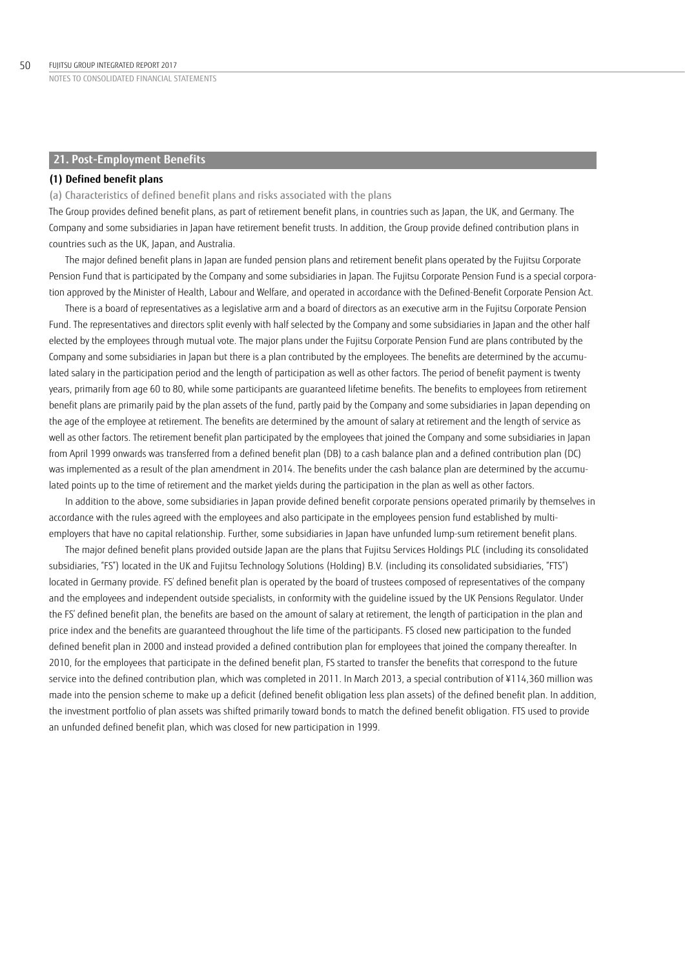# **21. Post-Employment Benefits**

#### **(1) Defined benefit plans**

(a) Characteristics of defined benefit plans and risks associated with the plans

The Group provides defined benefit plans, as part of retirement benefit plans, in countries such as Japan, the UK, and Germany. The Company and some subsidiaries in Japan have retirement benefit trusts. In addition, the Group provide defined contribution plans in countries such as the UK, Japan, and Australia.

The major defined benefit plans in Japan are funded pension plans and retirement benefit plans operated by the Fujitsu Corporate Pension Fund that is participated by the Company and some subsidiaries in Japan. The Fujitsu Corporate Pension Fund is a special corporation approved by the Minister of Health, Labour and Welfare, and operated in accordance with the Defined-Benefit Corporate Pension Act.

There is a board of representatives as a legislative arm and a board of directors as an executive arm in the Fujitsu Corporate Pension Fund. The representatives and directors split evenly with half selected by the Company and some subsidiaries in Japan and the other half elected by the employees through mutual vote. The major plans under the Fujitsu Corporate Pension Fund are plans contributed by the Company and some subsidiaries in Japan but there is a plan contributed by the employees. The benefits are determined by the accumulated salary in the participation period and the length of participation as well as other factors. The period of benefit payment is twenty years, primarily from age 60 to 80, while some participants are guaranteed lifetime benefits. The benefits to employees from retirement benefit plans are primarily paid by the plan assets of the fund, partly paid by the Company and some subsidiaries in Japan depending on the age of the employee at retirement. The benefits are determined by the amount of salary at retirement and the length of service as well as other factors. The retirement benefit plan participated by the employees that joined the Company and some subsidiaries in Japan from April 1999 onwards was transferred from a defined benefit plan (DB) to a cash balance plan and a defined contribution plan (DC) was implemented as a result of the plan amendment in 2014. The benefits under the cash balance plan are determined by the accumulated points up to the time of retirement and the market yields during the participation in the plan as well as other factors.

In addition to the above, some subsidiaries in Japan provide defined benefit corporate pensions operated primarily by themselves in accordance with the rules agreed with the employees and also participate in the employees pension fund established by multiemployers that have no capital relationship. Further, some subsidiaries in Japan have unfunded lump-sum retirement benefit plans.

The major defined benefit plans provided outside Japan are the plans that Fujitsu Services Holdings PLC (including its consolidated subsidiaries, "FS") located in the UK and Fujitsu Technology Solutions (Holding) B.V. (including its consolidated subsidiaries, "FTS") located in Germany provide. FS' defined benefit plan is operated by the board of trustees composed of representatives of the company and the employees and independent outside specialists, in conformity with the guideline issued by the UK Pensions Regulator. Under the FS' defined benefit plan, the benefits are based on the amount of salary at retirement, the length of participation in the plan and price index and the benefits are guaranteed throughout the life time of the participants. FS closed new participation to the funded defined benefit plan in 2000 and instead provided a defined contribution plan for employees that joined the company thereafter. In 2010, for the employees that participate in the defined benefit plan, FS started to transfer the benefits that correspond to the future service into the defined contribution plan, which was completed in 2011. In March 2013, a special contribution of ¥114,360 million was made into the pension scheme to make up a deficit (defined benefit obligation less plan assets) of the defined benefit plan. In addition, the investment portfolio of plan assets was shifted primarily toward bonds to match the defined benefit obligation. FTS used to provide an unfunded defined benefit plan, which was closed for new participation in 1999.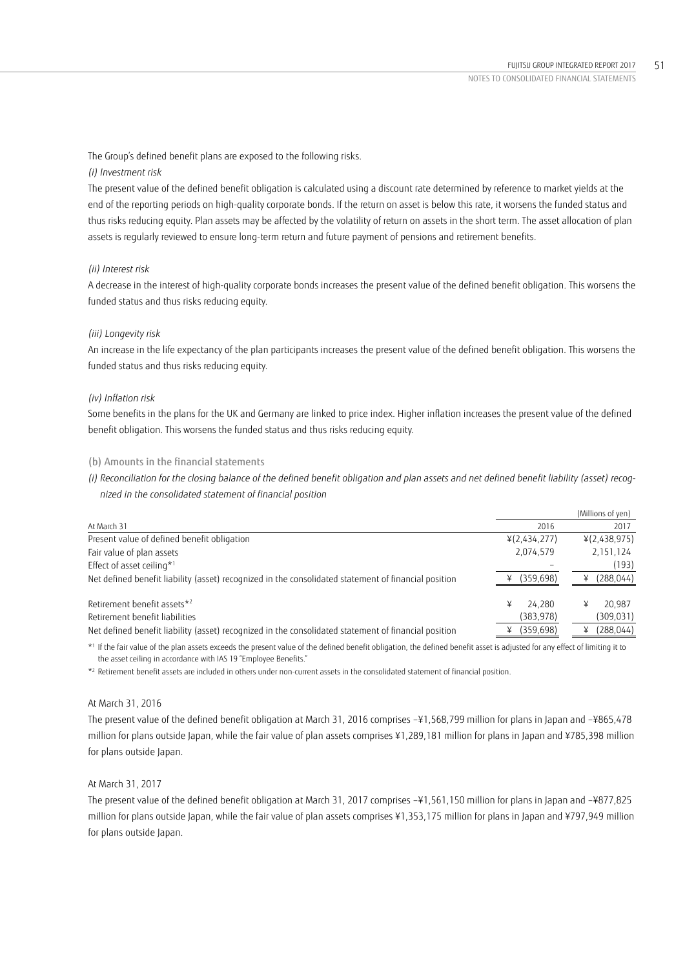The Group's defined benefit plans are exposed to the following risks.

# *(i) Investment risk*

The present value of the defined benefit obligation is calculated using a discount rate determined by reference to market yields at the end of the reporting periods on high-quality corporate bonds. If the return on asset is below this rate, it worsens the funded status and thus risks reducing equity. Plan assets may be affected by the volatility of return on assets in the short term. The asset allocation of plan assets is regularly reviewed to ensure long-term return and future payment of pensions and retirement benefits.

### *(ii) Interest risk*

A decrease in the interest of high-quality corporate bonds increases the present value of the defined benefit obligation. This worsens the funded status and thus risks reducing equity.

### *(iii) Longevity risk*

An increase in the life expectancy of the plan participants increases the present value of the defined benefit obligation. This worsens the funded status and thus risks reducing equity.

### *(iv) Inflation risk*

Some benefits in the plans for the UK and Germany are linked to price index. Higher inflation increases the present value of the defined benefit obligation. This worsens the funded status and thus risks reducing equity.

# (b) Amounts in the financial statements

*(i) Reconciliation for the closing balance of the defined benefit obligation and plan assets and net defined benefit liability (asset) recognized in the consolidated statement of financial position*

|                                                                                                      |              | (Millions of yen) |
|------------------------------------------------------------------------------------------------------|--------------|-------------------|
| At March 31                                                                                          | 2016         | 2017              |
| Present value of defined benefit obligation                                                          | 4(2,434,277) | ¥(2,438,975)      |
| Fair value of plan assets                                                                            | 2,074,579    | 2,151,124         |
| Effect of asset ceiling*1                                                                            |              | (193)             |
| Net defined benefit liability (asset) recognized in the consolidated statement of financial position | (359, 698)   | (288, 044)        |
| Retirement benefit assets*2                                                                          | 24.280<br>¥  | 20.987<br>¥       |
| Retirement benefit liabilities                                                                       | (383, 978)   | (309,031)         |
| Net defined benefit liability (asset) recognized in the consolidated statement of financial position | (359, 698)   | (288, 044)        |

\*1 If the fair value of the plan assets exceeds the present value of the defined benefit obligation, the defined benefit asset is adjusted for any effect of limiting it to the asset ceiling in accordance with IAS 19 "Employee Benefits."

\*2 Retirement benefit assets are included in others under non-current assets in the consolidated statement of financial position.

### At March 31, 2016

The present value of the defined benefit obligation at March 31, 2016 comprises –¥1,568,799 million for plans in Japan and –¥865,478 million for plans outside Japan, while the fair value of plan assets comprises ¥1,289,181 million for plans in Japan and ¥785,398 million for plans outside Japan.

### At March 31, 2017

The present value of the defined benefit obligation at March 31, 2017 comprises –¥1,561,150 million for plans in Japan and –¥877,825 million for plans outside Japan, while the fair value of plan assets comprises ¥1,353,175 million for plans in Japan and ¥797,949 million for plans outside Japan.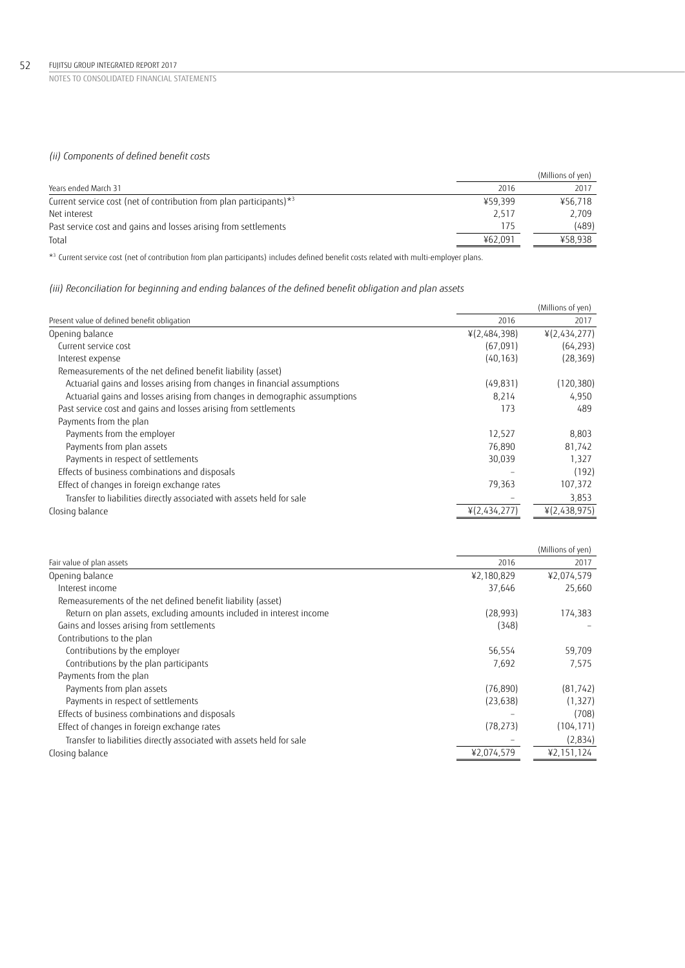# *(ii) Components of defined benefit costs*

|                                                                                    |         | (Millions of yen) |
|------------------------------------------------------------------------------------|---------|-------------------|
| Years ended March 31                                                               | 2016    | 2017              |
| Current service cost (net of contribution from plan participants) $*$ <sup>3</sup> | ¥59.399 | ¥56.718           |
| Net interest                                                                       | 2.517   | 2.709             |
| Past service cost and gains and losses arising from settlements                    | 175     | (489)             |
| Total                                                                              | ¥62.091 | ¥58.938           |

\*3 Current service cost (net of contribution from plan participants) includes defined benefit costs related with multi-employer plans.

# *(iii) Reconciliation for beginning and ending balances of the defined benefit obligation and plan assets*

|                                                                            |              | (Millions of yen) |
|----------------------------------------------------------------------------|--------------|-------------------|
| Present value of defined benefit obligation                                | 2016         | 2017              |
| Opening balance                                                            | ¥(2,484,398) | ¥(2,434,277)      |
| Current service cost                                                       | (67,091)     | (64, 293)         |
| Interest expense                                                           | (40, 163)    | (28, 369)         |
| Remeasurements of the net defined benefit liability (asset)                |              |                   |
| Actuarial gains and losses arising from changes in financial assumptions   | (49, 831)    | (120,380)         |
| Actuarial gains and losses arising from changes in demographic assumptions | 8,214        | 4,950             |
| Past service cost and gains and losses arising from settlements            | 173          | 489               |
| Payments from the plan                                                     |              |                   |
| Payments from the employer                                                 | 12,527       | 8,803             |
| Payments from plan assets                                                  | 76,890       | 81,742            |
| Payments in respect of settlements                                         | 30,039       | 1,327             |
| Effects of business combinations and disposals                             |              | (192)             |
| Effect of changes in foreign exchange rates                                | 79,363       | 107,372           |
| Transfer to liabilities directly associated with assets held for sale      |              | 3,853             |
| Closing balance                                                            | ¥(2,434,277) | ¥(2,438,975)      |

|                                                                       |            | (Millions of yen) |
|-----------------------------------------------------------------------|------------|-------------------|
| Fair value of plan assets                                             | 2016       | 2017              |
| Opening balance                                                       | ¥2,180,829 | ¥2,074,579        |
| Interest income                                                       | 37,646     | 25,660            |
| Remeasurements of the net defined benefit liability (asset)           |            |                   |
| Return on plan assets, excluding amounts included in interest income  | (28, 993)  | 174,383           |
| Gains and losses arising from settlements                             | (348)      |                   |
| Contributions to the plan                                             |            |                   |
| Contributions by the employer                                         | 56,554     | 59,709            |
| Contributions by the plan participants                                | 7,692      | 7,575             |
| Payments from the plan                                                |            |                   |
| Payments from plan assets                                             | (76, 890)  | (81, 742)         |
| Payments in respect of settlements                                    | (23, 638)  | (1, 327)          |
| Effects of business combinations and disposals                        |            | (708)             |
| Effect of changes in foreign exchange rates                           | (78, 273)  | (104, 171)        |
| Transfer to liabilities directly associated with assets held for sale |            | (2,834)           |
| Closing balance                                                       | ¥2,074,579 | ¥2,151,124        |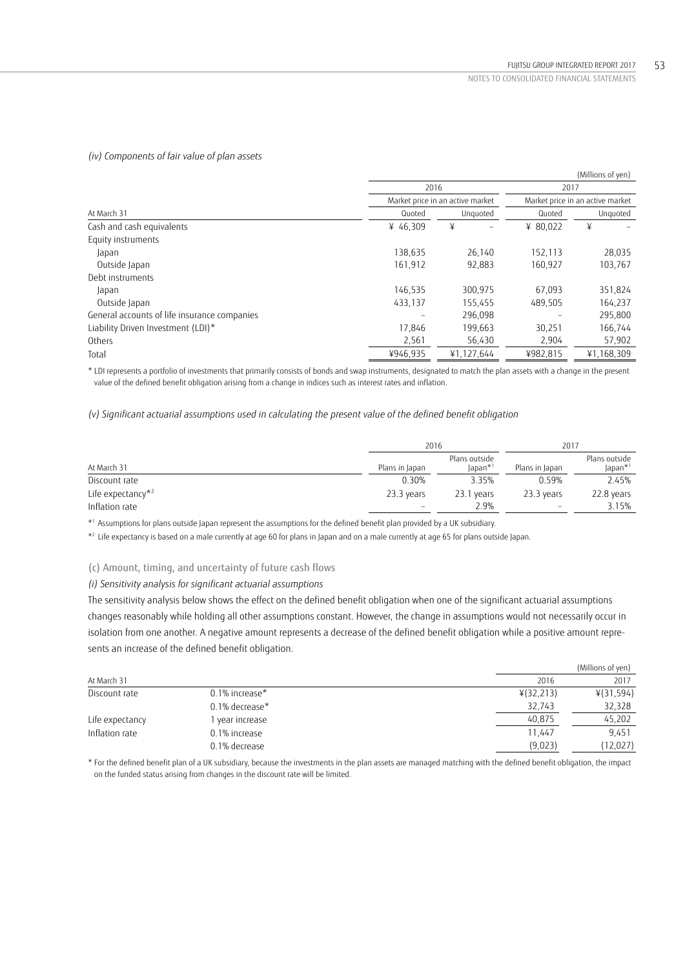# *(iv) Components of fair value of plan assets*

|                                              |          |                                  |          | (Millions of yen)                |  |
|----------------------------------------------|----------|----------------------------------|----------|----------------------------------|--|
|                                              | 2016     |                                  |          | 2017                             |  |
|                                              |          | Market price in an active market |          | Market price in an active market |  |
| At March 31                                  | Quoted   | Unguoted                         | Quoted   | Unguoted                         |  |
| Cash and cash equivalents                    | ¥ 46,309 | ¥                                | ¥ 80,022 | ¥                                |  |
| Equity instruments                           |          |                                  |          |                                  |  |
| Japan                                        | 138,635  | 26,140                           | 152,113  | 28,035                           |  |
| Outside Japan                                | 161,912  | 92,883                           | 160.927  | 103,767                          |  |
| Debt instruments                             |          |                                  |          |                                  |  |
| Japan                                        | 146,535  | 300.975                          | 67.093   | 351,824                          |  |
| Outside Japan                                | 433,137  | 155,455                          | 489,505  | 164,237                          |  |
| General accounts of life insurance companies |          | 296.098                          |          | 295,800                          |  |
| Liability Driven Investment (LDI)*           | 17.846   | 199,663                          | 30,251   | 166,744                          |  |
| Others                                       | 2,561    | 56,430                           | 2,904    | 57,902                           |  |
| Total                                        | ¥946,935 | ¥1,127,644                       | ¥982,815 | ¥1,168,309                       |  |

\* LDI represents a portfolio of investments that primarily consists of bonds and swap instruments, designated to match the plan assets with a change in the present value of the defined benefit obligation arising from a change in indices such as interest rates and inflation.

*(v) Significant actuarial assumptions used in calculating the present value of the defined benefit obligation*

|                       | 2016                     |                                            | 2017              |                                      |
|-----------------------|--------------------------|--------------------------------------------|-------------------|--------------------------------------|
| At March 31           | Plans in Japan           | Plans outside<br>$l$ apan $*$ <sup>1</sup> | Plans in Japan    | Plans outside<br>Japan* <sup>1</sup> |
| Discount rate         | 0.30%                    | 3.35%                                      | 0.59%             | 2.45%                                |
| Life expectancy $*^2$ | 23.3 years               | 23.1 years                                 | 23.3 years        | 22.8 years                           |
| Inflation rate        | $\overline{\phantom{0}}$ | 2.9%                                       | $\qquad \qquad -$ | 3.15%                                |

\*1 Assumptions for plans outside Japan represent the assumptions for the defined benefit plan provided by a UK subsidiary.

\*2 Life expectancy is based on a male currently at age 60 for plans in Japan and on a male currently at age 65 for plans outside Japan.

### (c) Amount, timing, and uncertainty of future cash flows

# *(i) Sensitivity analysis for significant actuarial assumptions*

The sensitivity analysis below shows the effect on the defined benefit obligation when one of the significant actuarial assumptions changes reasonably while holding all other assumptions constant. However, the change in assumptions would not necessarily occur in isolation from one another. A negative amount represents a decrease of the defined benefit obligation while a positive amount represents an increase of the defined benefit obligation.

|                 |                                                |           | (Millions of yen) |
|-----------------|------------------------------------------------|-----------|-------------------|
| At March 31     |                                                | 2016      | 2017              |
| Discount rate   | $0.1\%$ increase <sup><math>\star</math></sup> | ¥(32,213) | ¥(31,594)         |
|                 | $0.1\%$ decrease*                              | 32,743    | 32,328            |
| Life expectancy | l year increase                                | 40,875    | 45,202            |
| Inflation rate  | 0.1% increase                                  | 11,447    | 9.451             |
|                 | 0.1% decrease                                  | (9,023)   | 12,027            |

\* For the defined benefit plan of a UK subsidiary, because the investments in the plan assets are managed matching with the defined benefit obligation, the impact on the funded status arising from changes in the discount rate will be limited.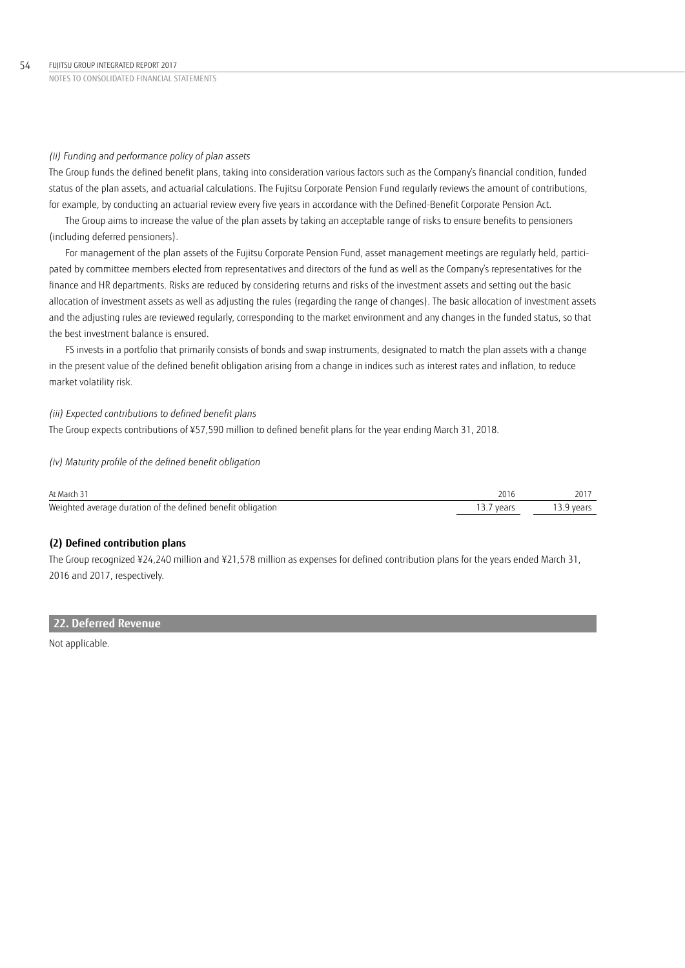### *(ii) Funding and performance policy of plan assets*

The Group funds the defined benefit plans, taking into consideration various factors such as the Company's financial condition, funded status of the plan assets, and actuarial calculations. The Fujitsu Corporate Pension Fund regularly reviews the amount of contributions, for example, by conducting an actuarial review every five years in accordance with the Defined-Benefit Corporate Pension Act.

The Group aims to increase the value of the plan assets by taking an acceptable range of risks to ensure benefits to pensioners (including deferred pensioners).

For management of the plan assets of the Fujitsu Corporate Pension Fund, asset management meetings are regularly held, participated by committee members elected from representatives and directors of the fund as well as the Company's representatives for the finance and HR departments. Risks are reduced by considering returns and risks of the investment assets and setting out the basic allocation of investment assets as well as adjusting the rules (regarding the range of changes). The basic allocation of investment assets and the adjusting rules are reviewed regularly, corresponding to the market environment and any changes in the funded status, so that the best investment balance is ensured.

FS invests in a portfolio that primarily consists of bonds and swap instruments, designated to match the plan assets with a change in the present value of the defined benefit obligation arising from a change in indices such as interest rates and inflation, to reduce market volatility risk.

### *(iii) Expected contributions to defined benefit plans*

The Group expects contributions of ¥57,590 million to defined benefit plans for the year ending March 31, 2018.

#### *(iv) Maturity profile of the defined benefit obligation*

| At March 31                                                 |            | 2017       |
|-------------------------------------------------------------|------------|------------|
| Weighted average duration of the defined benefit obligation | 13.7 years | 13.9 years |

### **(2) Defined contribution plans**

The Group recognized ¥24,240 million and ¥21,578 million as expenses for defined contribution plans for the years ended March 31, 2016 and 2017, respectively.

### **22. Deferred Revenue**

Not applicable.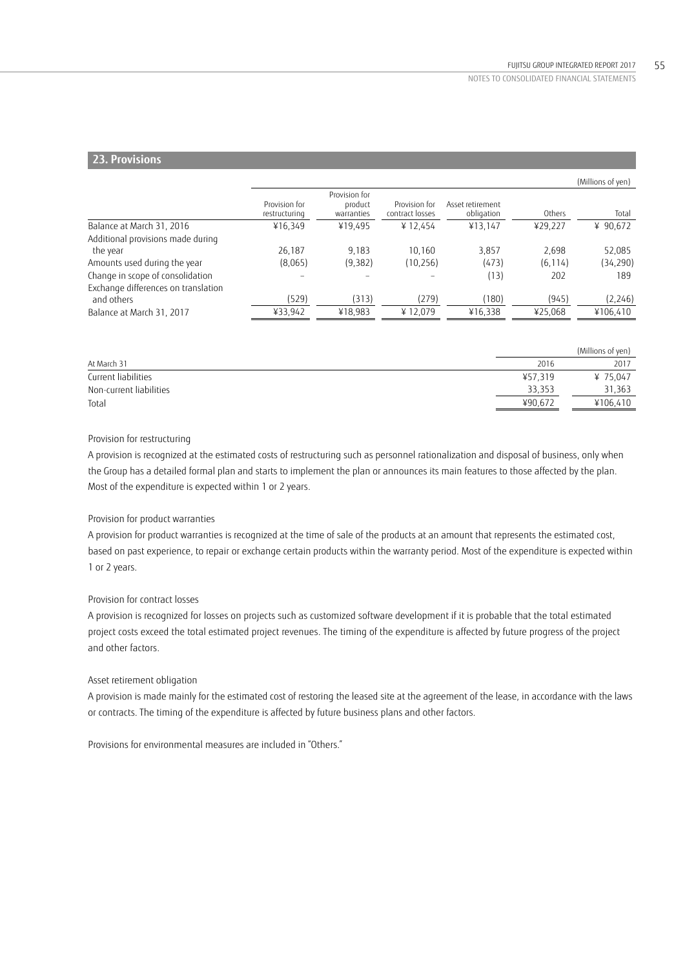# **23. Provisions**

|                                                                         |                                |                                        |                                  |                                |          | (Millions of yen) |
|-------------------------------------------------------------------------|--------------------------------|----------------------------------------|----------------------------------|--------------------------------|----------|-------------------|
|                                                                         | Provision for<br>restructuring | Provision for<br>product<br>warranties | Provision for<br>contract losses | Asset retirement<br>obligation | Others   | Total             |
| Balance at March 31, 2016                                               | ¥16.349                        | ¥19.495                                | ¥ 12.454                         | ¥13,147                        | ¥29.227  | ¥ $90,672$        |
| Additional provisions made during<br>the year                           | 26.187                         | 9.183                                  | 10.160                           | 3,857                          | 2.698    | 52,085            |
| Amounts used during the year                                            | (8,065)                        | (9,382)                                | (10, 256)                        | (473)                          | (6, 114) | (34, 290)         |
| Change in scope of consolidation<br>Exchange differences on translation |                                |                                        |                                  | (13)                           | 202      | 189               |
| and others                                                              | (529)                          | (313)                                  | (279)                            | (180)                          | (945)    | (2, 246)          |
| Balance at March 31, 2017                                               | ¥33,942                        | ¥18,983                                | ¥12,079                          | ¥16,338                        | ¥25,068  | ¥106,410          |

|                         |         | (Millions of yen) |
|-------------------------|---------|-------------------|
| At March 31             | 2016    | 2017              |
| Current liabilities     | ¥57,319 | ¥ 75,047          |
| Non-current liabilities | 33,353  | 31,363            |
| Total                   | ¥90,672 | ¥106,410          |

### Provision for restructuring

A provision is recognized at the estimated costs of restructuring such as personnel rationalization and disposal of business, only when the Group has a detailed formal plan and starts to implement the plan or announces its main features to those affected by the plan. Most of the expenditure is expected within 1 or 2 years.

### Provision for product warranties

A provision for product warranties is recognized at the time of sale of the products at an amount that represents the estimated cost, based on past experience, to repair or exchange certain products within the warranty period. Most of the expenditure is expected within 1 or 2 years.

### Provision for contract losses

A provision is recognized for losses on projects such as customized software development if it is probable that the total estimated project costs exceed the total estimated project revenues. The timing of the expenditure is affected by future progress of the project and other factors.

### Asset retirement obligation

A provision is made mainly for the estimated cost of restoring the leased site at the agreement of the lease, in accordance with the laws or contracts. The timing of the expenditure is affected by future business plans and other factors.

Provisions for environmental measures are included in "Others."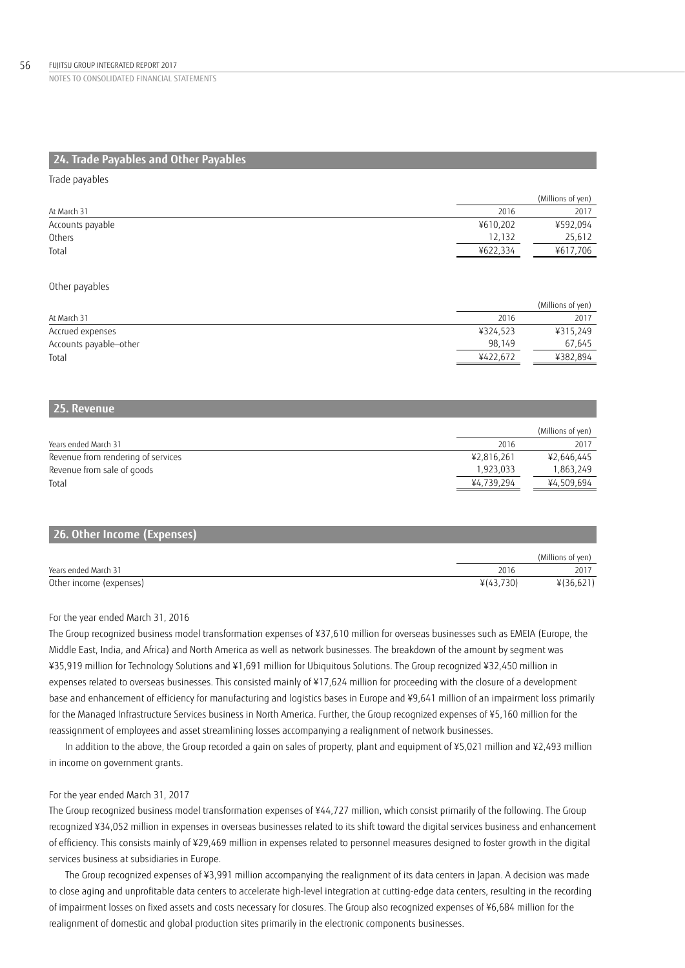# **24. Trade Payables and Other Payables**

#### Trade payables

|                  |          | (Millions of yen) |
|------------------|----------|-------------------|
| At March 31      | 2016     | 2017              |
| Accounts payable | ¥610,202 | ¥592,094          |
| Others           | 12,132   | 25,612            |
| Total            | ¥622,334 | ¥617,706          |

### Other payables

|                        |          | (Millions of yen) |
|------------------------|----------|-------------------|
| At March 31            | 2016     | 2017              |
| Accrued expenses       | ¥324.523 | ¥315,249          |
| Accounts payable-other | 98.149   | 67.645            |
| Total                  | ¥422.672 | ¥382,894          |
|                        |          |                   |

# **25. Revenue**

|                                    |            | (Millions of yen) |
|------------------------------------|------------|-------------------|
| Years ended March 31               | 2016       | 2017              |
| Revenue from rendering of services | ¥2,816,261 | ¥2,646,445        |
| Revenue from sale of goods         | 1.923.033  | 1,863,249         |
| Total                              | ¥4,739,294 | ¥4,509,694        |

# **26. Other Income (Expenses)**

|                         |           | (Millions of yen) |
|-------------------------|-----------|-------------------|
| Years ended March 31    | 2016      | 2017              |
| Other income (expenses) | ¥(43,730) | 4(36,621)         |

#### For the year ended March 31, 2016

The Group recognized business model transformation expenses of ¥37,610 million for overseas businesses such as EMEIA (Europe, the Middle East, India, and Africa) and North America as well as network businesses. The breakdown of the amount by segment was ¥35,919 million for Technology Solutions and ¥1,691 million for Ubiquitous Solutions. The Group recognized ¥32,450 million in expenses related to overseas businesses. This consisted mainly of ¥17,624 million for proceeding with the closure of a development base and enhancement of efficiency for manufacturing and logistics bases in Europe and ¥9,641 million of an impairment loss primarily for the Managed Infrastructure Services business in North America. Further, the Group recognized expenses of ¥5,160 million for the reassignment of employees and asset streamlining losses accompanying a realignment of network businesses.

In addition to the above, the Group recorded a gain on sales of property, plant and equipment of ¥5,021 million and ¥2,493 million in income on government grants.

### For the year ended March 31, 2017

The Group recognized business model transformation expenses of ¥44,727 million, which consist primarily of the following. The Group recognized ¥34,052 million in expenses in overseas businesses related to its shift toward the digital services business and enhancement of efficiency. This consists mainly of ¥29,469 million in expenses related to personnel measures designed to foster growth in the digital services business at subsidiaries in Europe.

The Group recognized expenses of ¥3,991 million accompanying the realignment of its data centers in Japan. A decision was made to close aging and unprofitable data centers to accelerate high-level integration at cutting-edge data centers, resulting in the recording of impairment losses on fixed assets and costs necessary for closures. The Group also recognized expenses of ¥6,684 million for the realignment of domestic and global production sites primarily in the electronic components businesses.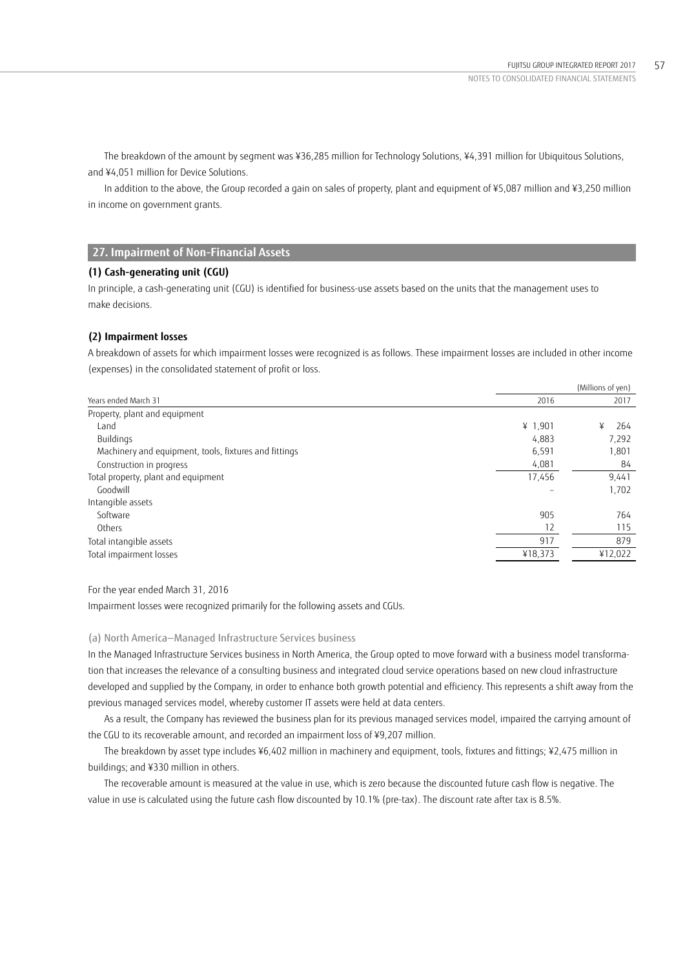The breakdown of the amount by segment was ¥36,285 million for Technology Solutions, ¥4,391 million for Ubiquitous Solutions, and ¥4,051 million for Device Solutions.

In addition to the above, the Group recorded a gain on sales of property, plant and equipment of ¥5,087 million and ¥3,250 million in income on government grants.

# **27. Impairment of Non-Financial Assets**

# **(1) Cash-generating unit (CGU)**

In principle, a cash-generating unit (CGU) is identified for business-use assets based on the units that the management uses to make decisions.

### **(2) Impairment losses**

A breakdown of assets for which impairment losses were recognized is as follows. These impairment losses are included in other income (expenses) in the consolidated statement of profit or loss.

|                                                       |           | (Millions of yen) |
|-------------------------------------------------------|-----------|-------------------|
| Years ended March 31                                  | 2016      | 2017              |
| Property, plant and equipment                         |           |                   |
| Land                                                  | ¥ $1,901$ | 264<br>¥          |
| Buildings                                             | 4,883     | 7,292             |
| Machinery and equipment, tools, fixtures and fittings | 6,591     | 1,801             |
| Construction in progress                              | 4,081     | 84                |
| Total property, plant and equipment                   | 17,456    | 9,441             |
| Goodwill                                              |           | 1,702             |
| Intangible assets                                     |           |                   |
| Software                                              | 905       | 764               |
| Others                                                | 12        | 115               |
| Total intangible assets                               | 917       | 879               |
| Total impairment losses                               | ¥18,373   | ¥12,022           |

For the year ended March 31, 2016

Impairment losses were recognized primarily for the following assets and CGUs.

#### (a) North America—Managed Infrastructure Services business

In the Managed Infrastructure Services business in North America, the Group opted to move forward with a business model transformation that increases the relevance of a consulting business and integrated cloud service operations based on new cloud infrastructure developed and supplied by the Company, in order to enhance both growth potential and efficiency. This represents a shift away from the previous managed services model, whereby customer IT assets were held at data centers.

As a result, the Company has reviewed the business plan for its previous managed services model, impaired the carrying amount of the CGU to its recoverable amount, and recorded an impairment loss of ¥9,207 million.

The breakdown by asset type includes ¥6,402 million in machinery and equipment, tools, fixtures and fittings; ¥2,475 million in buildings; and ¥330 million in others.

The recoverable amount is measured at the value in use, which is zero because the discounted future cash flow is negative. The value in use is calculated using the future cash flow discounted by 10.1% (pre-tax). The discount rate after tax is 8.5%.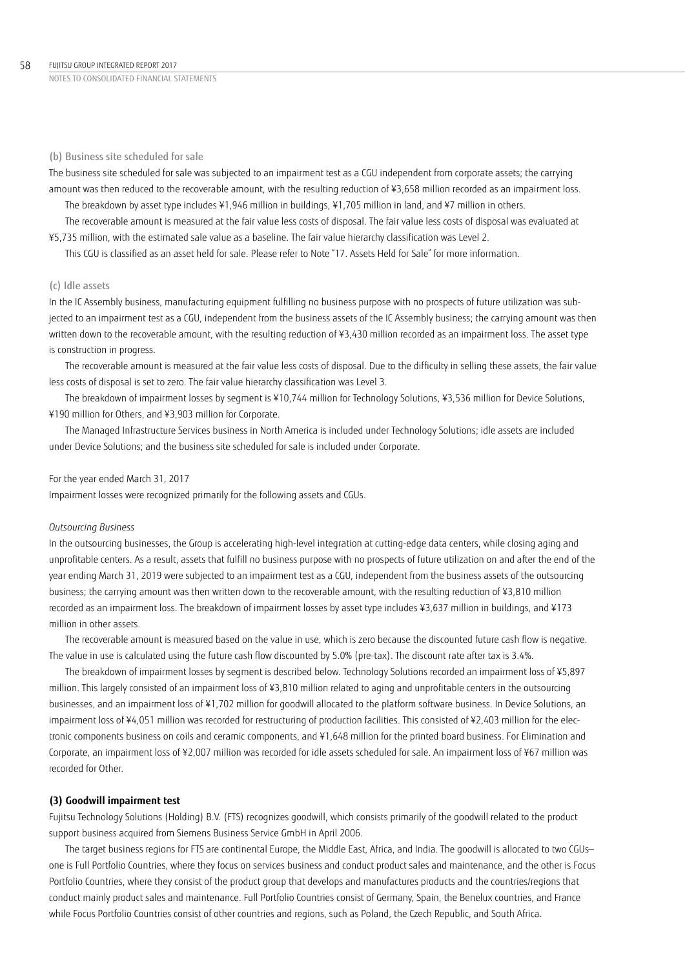### (b) Business site scheduled for sale

The business site scheduled for sale was subjected to an impairment test as a CGU independent from corporate assets; the carrying amount was then reduced to the recoverable amount, with the resulting reduction of ¥3,658 million recorded as an impairment loss.

The breakdown by asset type includes ¥1,946 million in buildings, ¥1,705 million in land, and ¥7 million in others. The recoverable amount is measured at the fair value less costs of disposal. The fair value less costs of disposal was evaluated at

¥5,735 million, with the estimated sale value as a baseline. The fair value hierarchy classification was Level 2.

This CGU is classified as an asset held for sale. Please refer to Note "17. Assets Held for Sale" for more information.

### (c) Idle assets

In the IC Assembly business, manufacturing equipment fulfilling no business purpose with no prospects of future utilization was subjected to an impairment test as a CGU, independent from the business assets of the IC Assembly business; the carrying amount was then written down to the recoverable amount, with the resulting reduction of ¥3,430 million recorded as an impairment loss. The asset type is construction in progress.

The recoverable amount is measured at the fair value less costs of disposal. Due to the difficulty in selling these assets, the fair value less costs of disposal is set to zero. The fair value hierarchy classification was Level 3.

The breakdown of impairment losses by segment is ¥10,744 million for Technology Solutions, ¥3,536 million for Device Solutions, ¥190 million for Others, and ¥3,903 million for Corporate.

The Managed Infrastructure Services business in North America is included under Technology Solutions; idle assets are included under Device Solutions; and the business site scheduled for sale is included under Corporate.

#### For the year ended March 31, 2017

Impairment losses were recognized primarily for the following assets and CGUs.

# *Outsourcing Business*

In the outsourcing businesses, the Group is accelerating high-level integration at cutting-edge data centers, while closing aging and unprofitable centers. As a result, assets that fulfill no business purpose with no prospects of future utilization on and after the end of the year ending March 31, 2019 were subjected to an impairment test as a CGU, independent from the business assets of the outsourcing business; the carrying amount was then written down to the recoverable amount, with the resulting reduction of ¥3,810 million recorded as an impairment loss. The breakdown of impairment losses by asset type includes ¥3,637 million in buildings, and ¥173 million in other assets.

The recoverable amount is measured based on the value in use, which is zero because the discounted future cash flow is negative. The value in use is calculated using the future cash flow discounted by 5.0% (pre-tax). The discount rate after tax is 3.4%.

The breakdown of impairment losses by segment is described below. Technology Solutions recorded an impairment loss of ¥5,897 million. This largely consisted of an impairment loss of ¥3,810 million related to aging and unprofitable centers in the outsourcing businesses, and an impairment loss of ¥1,702 million for goodwill allocated to the platform software business. In Device Solutions, an impairment loss of ¥4,051 million was recorded for restructuring of production facilities. This consisted of ¥2,403 million for the electronic components business on coils and ceramic components, and ¥1,648 million for the printed board business. For Elimination and Corporate, an impairment loss of ¥2,007 million was recorded for idle assets scheduled for sale. An impairment loss of ¥67 million was recorded for Other.

# **(3) Goodwill impairment test**

Fujitsu Technology Solutions (Holding) B.V. (FTS) recognizes goodwill, which consists primarily of the goodwill related to the product support business acquired from Siemens Business Service GmbH in April 2006.

The target business regions for FTS are continental Europe, the Middle East, Africa, and India. The goodwill is allocated to two CGUs one is Full Portfolio Countries, where they focus on services business and conduct product sales and maintenance, and the other is Focus Portfolio Countries, where they consist of the product group that develops and manufactures products and the countries/regions that conduct mainly product sales and maintenance. Full Portfolio Countries consist of Germany, Spain, the Benelux countries, and France while Focus Portfolio Countries consist of other countries and regions, such as Poland, the Czech Republic, and South Africa.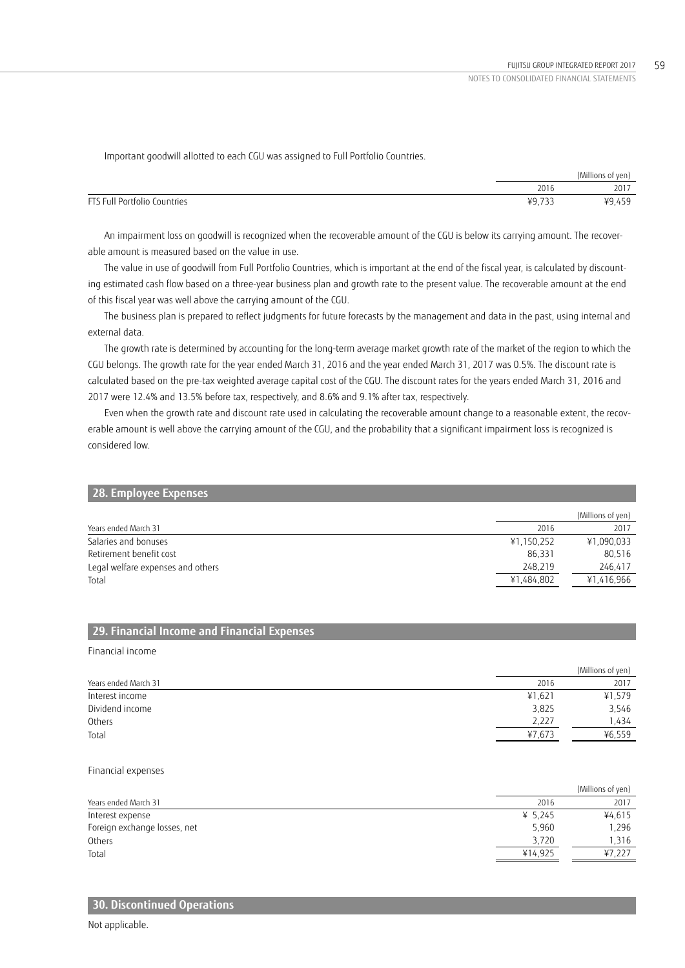Important goodwill allotted to each CGU was assigned to Full Portfolio Countries.

|                              |            | (Millions of yen) |
|------------------------------|------------|-------------------|
|                              | 2016       | 2017              |
| FTS Full Portfolio Countries | 72<br>vo : | ,459              |

An impairment loss on goodwill is recognized when the recoverable amount of the CGU is below its carrying amount. The recoverable amount is measured based on the value in use.

The value in use of goodwill from Full Portfolio Countries, which is important at the end of the fiscal year, is calculated by discounting estimated cash flow based on a three-year business plan and growth rate to the present value. The recoverable amount at the end of this fiscal year was well above the carrying amount of the CGU.

The business plan is prepared to reflect judgments for future forecasts by the management and data in the past, using internal and external data.

The growth rate is determined by accounting for the long-term average market growth rate of the market of the region to which the CGU belongs. The growth rate for the year ended March 31, 2016 and the year ended March 31, 2017 was 0.5%. The discount rate is calculated based on the pre-tax weighted average capital cost of the CGU. The discount rates for the years ended March 31, 2016 and 2017 were 12.4% and 13.5% before tax, respectively, and 8.6% and 9.1% after tax, respectively.

Even when the growth rate and discount rate used in calculating the recoverable amount change to a reasonable extent, the recoverable amount is well above the carrying amount of the CGU, and the probability that a significant impairment loss is recognized is considered low.

| 28. Employee Expenses             |            |                   |
|-----------------------------------|------------|-------------------|
|                                   |            | (Millions of yen) |
| Years ended March 31              | 2016       | 2017              |
| Salaries and bonuses              | ¥1,150,252 | ¥1,090,033        |
| Retirement benefit cost           | 86.331     | 80,516            |
| Legal welfare expenses and others | 248.219    | 246,417           |
| Total                             | ¥1,484,802 | ¥1,416,966        |
|                                   |            |                   |

# **29. Financial Income and Financial Expenses**

Financial income

|                      |        | (Millions of yen) |
|----------------------|--------|-------------------|
| Years ended March 31 | 2016   | 2017              |
| Interest income      | ¥1,621 | ¥1,579            |
| Dividend income      | 3,825  | 3,546             |
| Others               | 2.227  | 1.434             |
| Total                | ¥7.673 | ¥6.559            |

Financial expenses

|                              |         | (Millions of yen) |  |
|------------------------------|---------|-------------------|--|
| Years ended March 31         | 2016    | 2017              |  |
| Interest expense             | ¥ 5,245 | 44,615            |  |
| Foreign exchange losses, net | 5,960   | 1,296             |  |
| Others                       | 3.720   | 1,316             |  |
| Total                        | ¥14.925 | ¥7.227            |  |

# **30. Discontinued Operations**

Not applicable.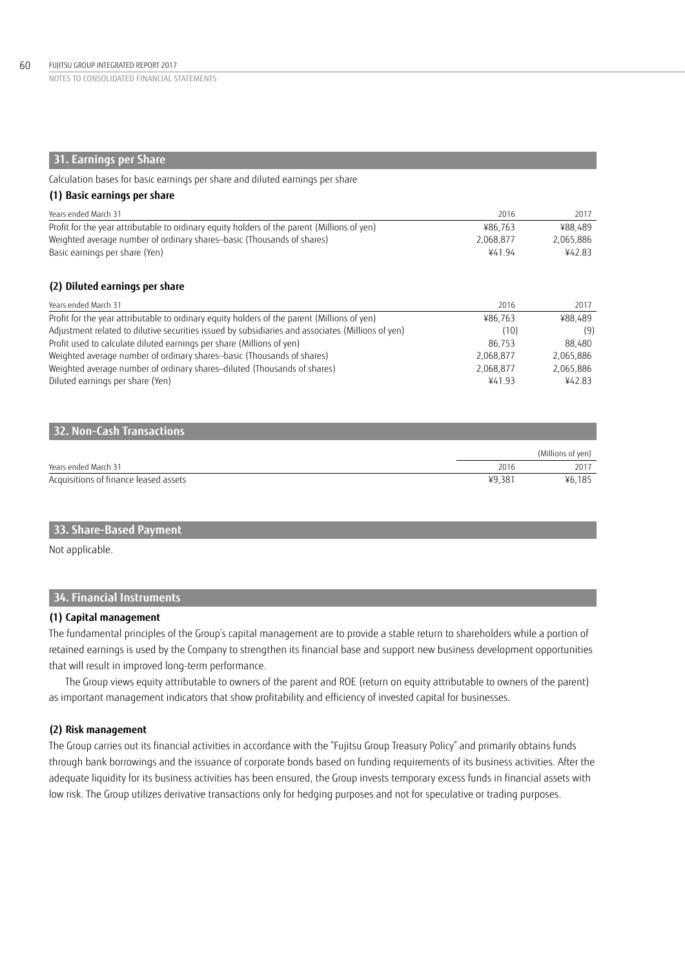# **31. Earnings per Share**

Calculation bases for basic earnings per share and diluted earnings per share

| (1) Basic earnings per share                                                                      |           |           |
|---------------------------------------------------------------------------------------------------|-----------|-----------|
| Years ended March 31                                                                              | 2016      | 2017      |
| Profit for the year attributable to ordinary equity holders of the parent (Millions of yen)       | ¥86,763   | ¥88,489   |
| Weighted average number of ordinary shares-basic (Thousands of shares)                            | 2,068,877 | 2,065,886 |
| Basic earnings per share (Yen)                                                                    | ¥41.94    | ¥42.83    |
| (2) Diluted earnings per share                                                                    |           |           |
| Years ended March 31                                                                              | 2016      | 2017      |
| Profit for the year attributable to ordinary equity holders of the parent (Millions of yen)       | ¥86.763   | ¥88,489   |
| Adjustment related to dilutive securities issued by subsidiaries and associates (Millions of yen) | (10)      | (9)       |
| Profit used to calculate diluted earnings per share (Millions of yen)                             | 86,753    | 88,480    |
| Weighted average number of ordinary shares-basic (Thousands of shares)                            | 2,068,877 | 2,065,886 |
| Weighted average number of ordinary shares-diluted (Thousands of shares)                          | 2,068,877 | 2,065,886 |
| Diluted earnings per share (Yen)                                                                  | ¥41.93    | ¥42.83    |
|                                                                                                   |           |           |
|                                                                                                   |           |           |
| 32. Non-Cash Transactions                                                                         |           |           |

|                                       |        | (Millions of yen) |
|---------------------------------------|--------|-------------------|
| Years ended March 31                  | 2016   | 2017              |
| Acquisitions of finance leased assets | ¥9,381 | ¥6,185            |

# **33. Share-Based Payment**

Not applicable.

# **34. Financial Instruments**

### **(1) Capital management**

The fundamental principles of the Group's capital management are to provide a stable return to shareholders while a portion of retained earnings is used by the Company to strengthen its financial base and support new business development opportunities that will result in improved long-term performance.

The Group views equity attributable to owners of the parent and ROE (return on equity attributable to owners of the parent) as important management indicators that show profitability and efficiency of invested capital for businesses.

# **(2) Risk management**

The Group carries out its financial activities in accordance with the "Fujitsu Group Treasury Policy" and primarily obtains funds through bank borrowings and the issuance of corporate bonds based on funding requirements of its business activities. After the adequate liquidity for its business activities has been ensured, the Group invests temporary excess funds in financial assets with low risk. The Group utilizes derivative transactions only for hedging purposes and not for speculative or trading purposes.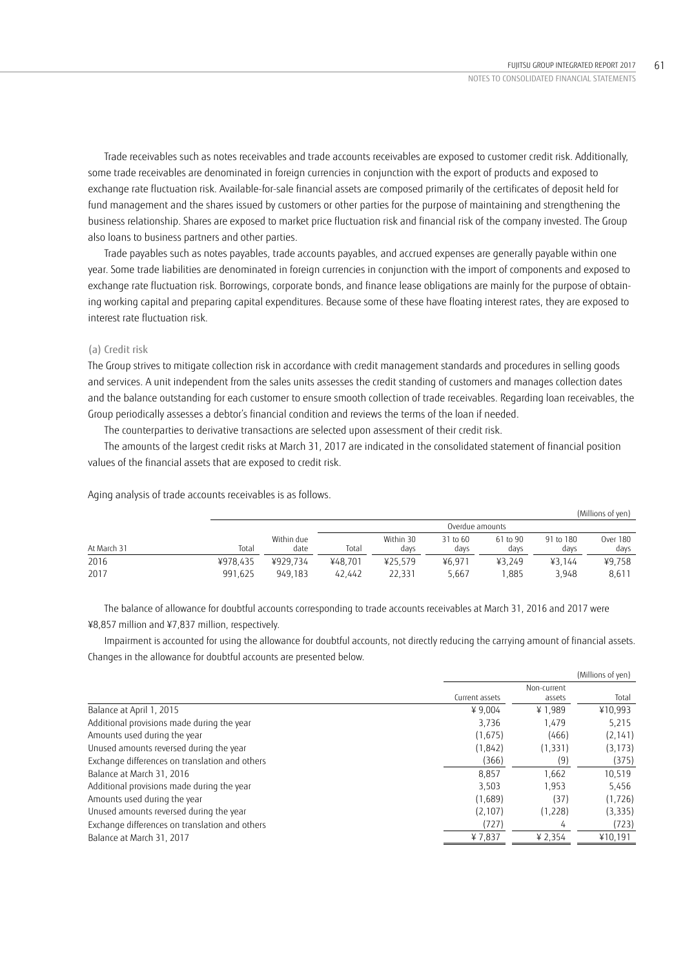Trade receivables such as notes receivables and trade accounts receivables are exposed to customer credit risk. Additionally, some trade receivables are denominated in foreign currencies in conjunction with the export of products and exposed to exchange rate fluctuation risk. Available-for-sale financial assets are composed primarily of the certificates of deposit held for fund management and the shares issued by customers or other parties for the purpose of maintaining and strengthening the business relationship. Shares are exposed to market price fluctuation risk and financial risk of the company invested. The Group also loans to business partners and other parties.

Trade payables such as notes payables, trade accounts payables, and accrued expenses are generally payable within one year. Some trade liabilities are denominated in foreign currencies in conjunction with the import of components and exposed to exchange rate fluctuation risk. Borrowings, corporate bonds, and finance lease obligations are mainly for the purpose of obtaining working capital and preparing capital expenditures. Because some of these have floating interest rates, they are exposed to interest rate fluctuation risk.

### (a) Credit risk

The Group strives to mitigate collection risk in accordance with credit management standards and procedures in selling goods and services. A unit independent from the sales units assesses the credit standing of customers and manages collection dates and the balance outstanding for each customer to ensure smooth collection of trade receivables. Regarding loan receivables, the Group periodically assesses a debtor's financial condition and reviews the terms of the loan if needed.

The counterparties to derivative transactions are selected upon assessment of their credit risk.

The amounts of the largest credit risks at March 31, 2017 are indicated in the consolidated statement of financial position values of the financial assets that are exposed to credit risk.

|             |          |            |         |                 |          |          |           | (Millions of yen) |
|-------------|----------|------------|---------|-----------------|----------|----------|-----------|-------------------|
|             |          |            |         | Overdue amounts |          |          |           |                   |
|             |          | Within due |         | Within 30       | 31 to 60 | 61 to 90 | 91 to 180 | <b>Over 180</b>   |
| At March 31 | Total    | date       | Total   | days            | days     | days     | days      | days              |
| 2016        | ¥978.435 | ¥929.734   | ¥48.701 | ¥25.579         | 46.971   | ¥3.249   | ¥3.144    | ¥9,758            |
| 2017        | 991,625  | 949.183    | 42,442  | 22.331          | 5,667    | 1,885    | 3,948     | 8,611             |

Aging analysis of trade accounts receivables is as follows.

The balance of allowance for doubtful accounts corresponding to trade accounts receivables at March 31, 2016 and 2017 were ¥8,857 million and ¥7,837 million, respectively.

Impairment is accounted for using the allowance for doubtful accounts, not directly reducing the carrying amount of financial assets. Changes in the allowance for doubtful accounts are presented below.

|                                                |                |                       | (Millions of yen) |
|------------------------------------------------|----------------|-----------------------|-------------------|
|                                                | Current assets | Non-current<br>assets | Total             |
| Balance at April 1, 2015                       | ¥9,004         | ¥1,989                | ¥10,993           |
| Additional provisions made during the year     | 3.736          | 1.479                 | 5.215             |
| Amounts used during the year                   | (1,675)        | (466)                 | (2, 141)          |
| Unused amounts reversed during the year        | (1,842)        | (1, 331)              | (3, 173)          |
| Exchange differences on translation and others | (366)          | (9)                   | (375)             |
| Balance at March 31, 2016                      | 8.857          | 1.662                 | 10,519            |
| Additional provisions made during the year     | 3,503          | 1,953                 | 5,456             |
| Amounts used during the year                   | (1,689)        | (37)                  | (1,726)           |
| Unused amounts reversed during the year        | (2, 107)       | (1,228)               | (3, 335)          |
| Exchange differences on translation and others | (727)          | 4                     | (723)             |
| Balance at March 31, 2017                      | ¥7,837         | ¥ 2,354               | ¥10,191           |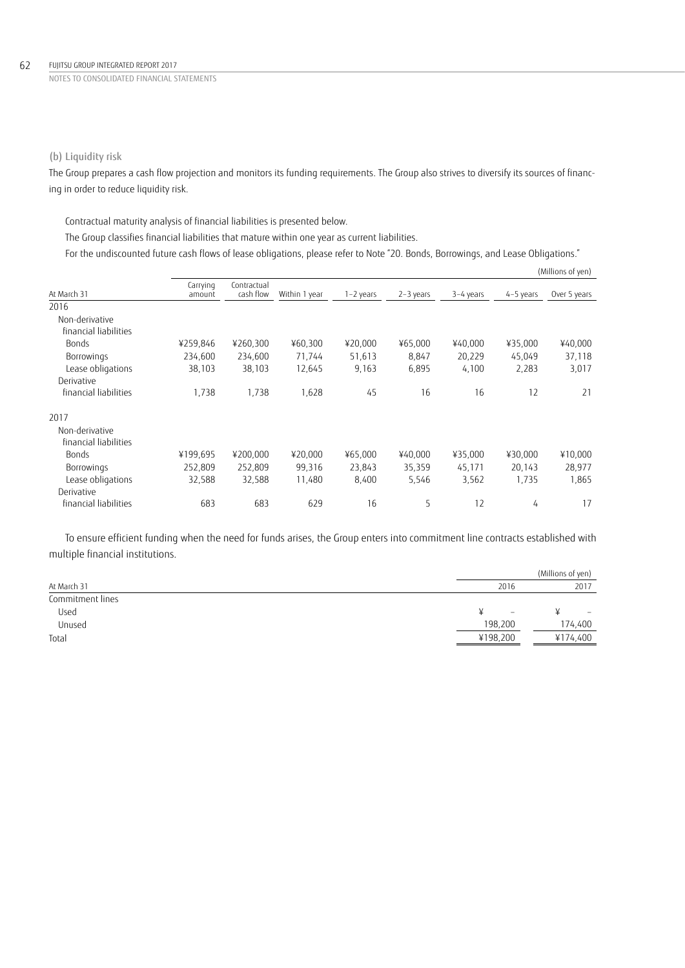# (b) Liquidity risk

The Group prepares a cash flow projection and monitors its funding requirements. The Group also strives to diversify its sources of financing in order to reduce liquidity risk.

Contractual maturity analysis of financial liabilities is presented below.

The Group classifies financial liabilities that mature within one year as current liabilities.

For the undiscounted future cash flows of lease obligations, please refer to Note "20. Bonds, Borrowings, and Lease Obligations."

|                       |                    |                          |               |           |             |           |             | (Millions of yen) |
|-----------------------|--------------------|--------------------------|---------------|-----------|-------------|-----------|-------------|-------------------|
| At March 31           | Carrying<br>amount | Contractual<br>cash flow | Within 1 year | 1-2 years | $2-3$ years | 3-4 years | $4-5$ years | Over 5 years      |
| 2016                  |                    |                          |               |           |             |           |             |                   |
| Non-derivative        |                    |                          |               |           |             |           |             |                   |
| financial liabilities |                    |                          |               |           |             |           |             |                   |
| <b>Bonds</b>          | ¥259,846           | ¥260,300                 | ¥60,300       | ¥20,000   | ¥65,000     | ¥40,000   | ¥35,000     | ¥40,000           |
| Borrowings            | 234,600            | 234,600                  | 71,744        | 51,613    | 8,847       | 20,229    | 45,049      | 37,118            |
| Lease obligations     | 38,103             | 38,103                   | 12,645        | 9,163     | 6,895       | 4,100     | 2,283       | 3,017             |
| Derivative            |                    |                          |               |           |             |           |             |                   |
| financial liabilities | 1,738              | 1,738                    | 1,628         | 45        | 16          | 16        | 12          | 21                |
| 2017                  |                    |                          |               |           |             |           |             |                   |
| Non-derivative        |                    |                          |               |           |             |           |             |                   |
| financial liabilities |                    |                          |               |           |             |           |             |                   |
| <b>Bonds</b>          | ¥199,695           | ¥200,000                 | ¥20,000       | ¥65,000   | ¥40,000     | ¥35,000   | ¥30,000     | ¥10,000           |
| Borrowings            | 252,809            | 252,809                  | 99,316        | 23,843    | 35,359      | 45,171    | 20,143      | 28,977            |
| Lease obligations     | 32,588             | 32,588                   | 11,480        | 8,400     | 5,546       | 3,562     | 1,735       | 1,865             |
| Derivative            |                    |                          |               |           |             |           |             |                   |
| financial liabilities | 683                | 683                      | 629           | 16        | 5           | 12        | 4           | 17                |

To ensure efficient funding when the need for funds arises, the Group enters into commitment line contracts established with multiple financial institutions.

|                  |                          | (Millions of yen)        |
|------------------|--------------------------|--------------------------|
| At March 31      | 2016                     | 2017                     |
| Commitment lines |                          |                          |
| Used             | $\overline{\phantom{0}}$ | $\overline{\phantom{a}}$ |
| Unused           | 198,200                  | 174,400                  |
| Total            | ¥198,200                 | ¥174,400                 |
|                  |                          |                          |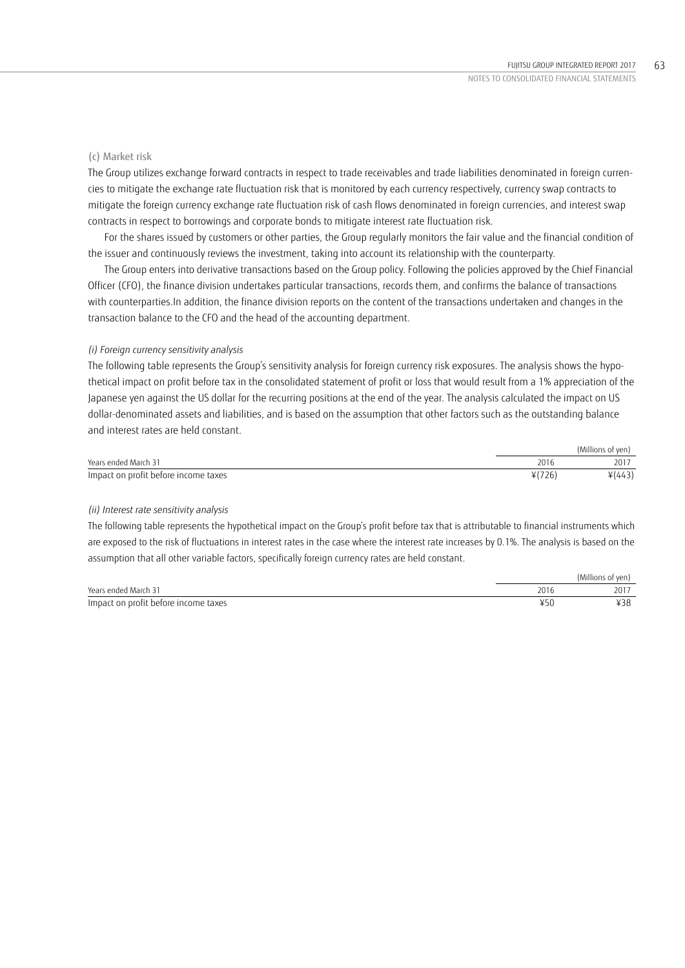# (c) Market risk

The Group utilizes exchange forward contracts in respect to trade receivables and trade liabilities denominated in foreign currencies to mitigate the exchange rate fluctuation risk that is monitored by each currency respectively, currency swap contracts to mitigate the foreign currency exchange rate fluctuation risk of cash flows denominated in foreign currencies, and interest swap contracts in respect to borrowings and corporate bonds to mitigate interest rate fluctuation risk.

For the shares issued by customers or other parties, the Group regularly monitors the fair value and the financial condition of the issuer and continuously reviews the investment, taking into account its relationship with the counterparty.

The Group enters into derivative transactions based on the Group policy. Following the policies approved by the Chief Financial Officer (CFO), the finance division undertakes particular transactions, records them, and confirms the balance of transactions with counterparties.In addition, the finance division reports on the content of the transactions undertaken and changes in the transaction balance to the CFO and the head of the accounting department.

### *(i) Foreign currency sensitivity analysis*

The following table represents the Group's sensitivity analysis for foreign currency risk exposures. The analysis shows the hypothetical impact on profit before tax in the consolidated statement of profit or loss that would result from a 1% appreciation of the Japanese yen against the US dollar for the recurring positions at the end of the year. The analysis calculated the impact on US dollar-denominated assets and liabilities, and is based on the assumption that other factors such as the outstanding balance and interest rates are held constant.

|                                      |                 | (Millions of ven) |
|--------------------------------------|-----------------|-------------------|
| Years ended March 31                 | 2016            | 2017              |
| Impact on profit before income taxes | $\frac{4}{726}$ | 4(443)            |

### *(ii) Interest rate sensitivity analysis*

The following table represents the hypothetical impact on the Group's profit before tax that is attributable to financial instruments which are exposed to the risk of fluctuations in interest rates in the case where the interest rate increases by 0.1%. The analysis is based on the assumption that all other variable factors, specifically foreign currency rates are held constant.

|                                      |                | (Millions of ven) |
|--------------------------------------|----------------|-------------------|
| Years ended March 31                 | 2016           | 2017              |
| Impact on profit before income taxes | $\cdot$ $\sim$ | V <sub>2</sub> C  |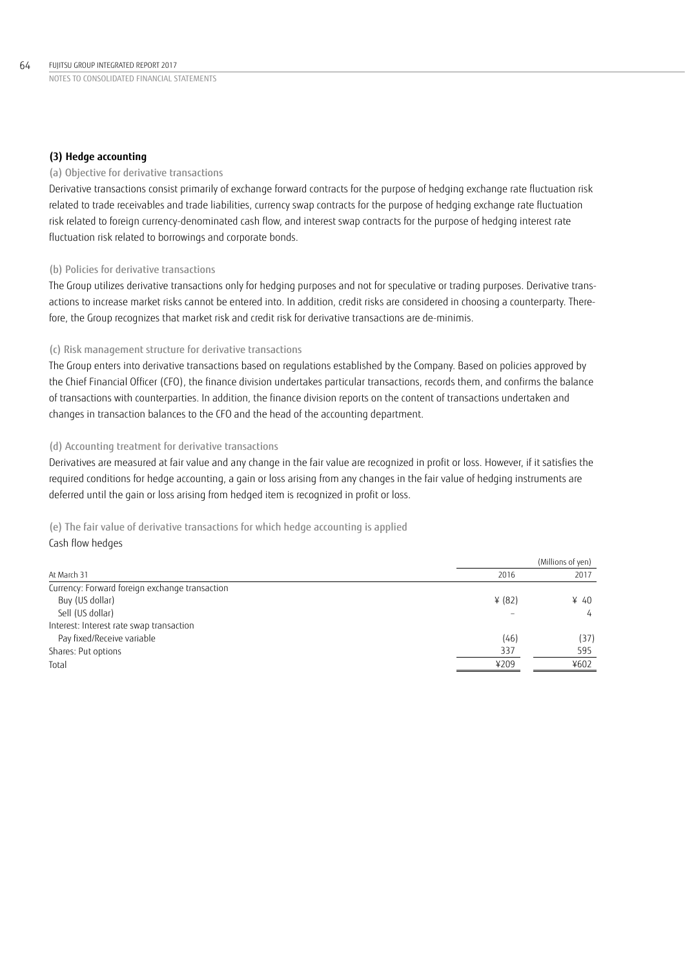### **(3) Hedge accounting**

### (a) Objective for derivative transactions

Derivative transactions consist primarily of exchange forward contracts for the purpose of hedging exchange rate fluctuation risk related to trade receivables and trade liabilities, currency swap contracts for the purpose of hedging exchange rate fluctuation risk related to foreign currency-denominated cash flow, and interest swap contracts for the purpose of hedging interest rate fluctuation risk related to borrowings and corporate bonds.

# (b) Policies for derivative transactions

The Group utilizes derivative transactions only for hedging purposes and not for speculative or trading purposes. Derivative transactions to increase market risks cannot be entered into. In addition, credit risks are considered in choosing a counterparty. Therefore, the Group recognizes that market risk and credit risk for derivative transactions are de-minimis.

# (c) Risk management structure for derivative transactions

The Group enters into derivative transactions based on regulations established by the Company. Based on policies approved by the Chief Financial Officer (CFO), the finance division undertakes particular transactions, records them, and confirms the balance of transactions with counterparties. In addition, the finance division reports on the content of transactions undertaken and changes in transaction balances to the CFO and the head of the accounting department.

### (d) Accounting treatment for derivative transactions

Derivatives are measured at fair value and any change in the fair value are recognized in profit or loss. However, if it satisfies the required conditions for hedge accounting, a gain or loss arising from any changes in the fair value of hedging instruments are deferred until the gain or loss arising from hedged item is recognized in profit or loss.

(e) The fair value of derivative transactions for which hedge accounting is applied Cash flow hedges

|                                                |       | (Millions of yen) |
|------------------------------------------------|-------|-------------------|
| At March 31                                    | 2016  | 2017              |
| Currency: Forward foreign exchange transaction |       |                   |
| Buy (US dollar)                                | 4(82) | $\frac{1}{2}$ 40  |
| Sell (US dollar)                               |       | $\frac{1}{4}$     |
| Interest: Interest rate swap transaction       |       |                   |
| Pay fixed/Receive variable                     | (46)  | (37)              |
| Shares: Put options                            | 337   | 595               |
| Total                                          | ¥209  | ¥602              |
|                                                |       |                   |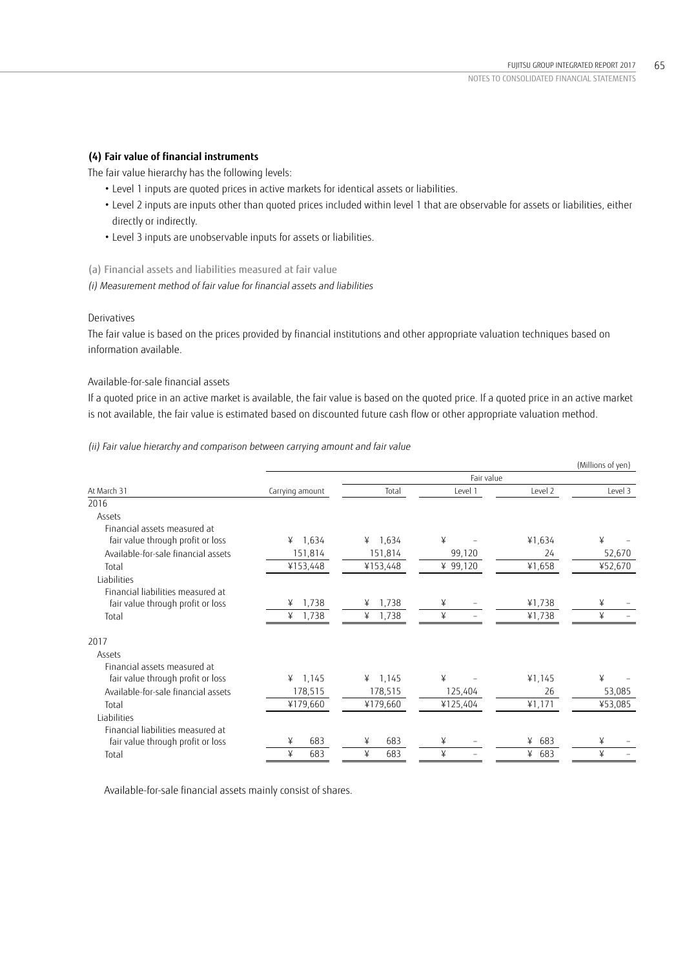# **(4) Fair value of financial instruments**

The fair value hierarchy has the following levels:

- Level 1 inputs are quoted prices in active markets for identical assets or liabilities.
- Level 2 inputs are inputs other than quoted prices included within level 1 that are observable for assets or liabilities, either directly or indirectly.
- Level 3 inputs are unobservable inputs for assets or liabilities.

(a) Financial assets and liabilities measured at fair value

*(i) Measurement method of fair value for financial assets and liabilities*

### Derivatives

The fair value is based on the prices provided by financial institutions and other appropriate valuation techniques based on information available.

### Available-for-sale financial assets

If a quoted price in an active market is available, the fair value is based on the quoted price. If a quoted price in an active market is not available, the fair value is estimated based on discounted future cash flow or other appropriate valuation method.

# *(ii) Fair value hierarchy and comparison between carrying amount and fair value*

|                                     |                 |            |          |          | (Millions of yen) |  |
|-------------------------------------|-----------------|------------|----------|----------|-------------------|--|
|                                     |                 | Fair value |          |          |                   |  |
| At March 31                         | Carrying amount | Total      | Level 1  | Level 2  | Level 3           |  |
| 2016                                |                 |            |          |          |                   |  |
| Assets                              |                 |            |          |          |                   |  |
| Financial assets measured at        |                 |            |          |          |                   |  |
| fair value through profit or loss   | 1,634<br>¥      | 1,634<br>¥ | ¥        | ¥1,634   | ¥                 |  |
| Available-for-sale financial assets | 151,814         | 151,814    | 99,120   | 24       | 52,670            |  |
| Total                               | ¥153,448        | ¥153,448   | ¥ 99,120 | ¥1,658   | ¥52,670           |  |
| Liabilities                         |                 |            |          |          |                   |  |
| Financial liabilities measured at   |                 |            |          |          |                   |  |
| fair value through profit or loss   | 1,738<br>¥      | 1,738<br>¥ | ¥        | ¥1,738   | ¥                 |  |
| Total                               | ¥<br>1,738      | ¥<br>1,738 | ¥        | ¥1,738   | ¥                 |  |
| 2017                                |                 |            |          |          |                   |  |
| Assets                              |                 |            |          |          |                   |  |
| Financial assets measured at        |                 |            |          |          |                   |  |
| fair value through profit or loss   | ¥<br>1,145      | 1,145<br>¥ | ¥        | ¥1,145   | ¥                 |  |
| Available-for-sale financial assets | 178,515         | 178,515    | 125,404  | 26       | 53,085            |  |
| Total                               | ¥179,660        | ¥179,660   | ¥125,404 | 41,171   | ¥53,085           |  |
| Liabilities                         |                 |            |          |          |                   |  |
| Financial liabilities measured at   |                 |            |          |          |                   |  |
| fair value through profit or loss   | 683<br>¥        | 683<br>¥   | ¥        | 683<br>¥ | ¥                 |  |
| Total                               | ¥<br>683        | ¥<br>683   | ¥        | ¥<br>683 | ¥                 |  |

Available-for-sale financial assets mainly consist of shares.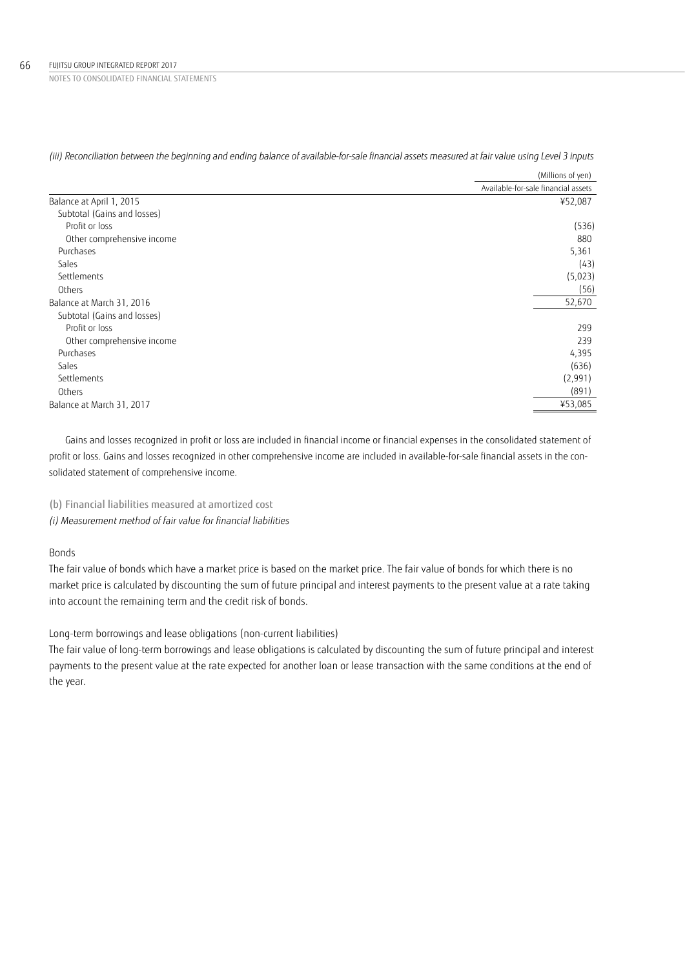|                             | (Millions of yen)                   |
|-----------------------------|-------------------------------------|
|                             | Available-for-sale financial assets |
| Balance at April 1, 2015    | ¥52,087                             |
| Subtotal (Gains and losses) |                                     |
| Profit or loss              | (536)                               |
| Other comprehensive income  | 880                                 |
| Purchases                   | 5,361                               |
| Sales                       | (43)                                |
| Settlements                 | (5,023)                             |
| Others                      | (56)                                |
| Balance at March 31, 2016   | 52,670                              |
| Subtotal (Gains and losses) |                                     |
| Profit or loss              | 299                                 |
| Other comprehensive income  | 239                                 |
| Purchases                   | 4,395                               |
| Sales                       | (636)                               |
| Settlements                 | (2,991)                             |
| Others                      | (891)                               |
| Balance at March 31, 2017   | ¥53,085                             |

*(iii) Reconciliation between the beginning and ending balance of available-for-sale financial assets measured at fair value using Level 3 inputs*

Gains and losses recognized in profit or loss are included in financial income or financial expenses in the consolidated statement of profit or loss. Gains and losses recognized in other comprehensive income are included in available-for-sale financial assets in the consolidated statement of comprehensive income.

# (b) Financial liabilities measured at amortized cost

*(i) Measurement method of fair value for financial liabilities*

### Bonds

The fair value of bonds which have a market price is based on the market price. The fair value of bonds for which there is no market price is calculated by discounting the sum of future principal and interest payments to the present value at a rate taking into account the remaining term and the credit risk of bonds.

Long-term borrowings and lease obligations (non-current liabilities)

The fair value of long-term borrowings and lease obligations is calculated by discounting the sum of future principal and interest payments to the present value at the rate expected for another loan or lease transaction with the same conditions at the end of the year.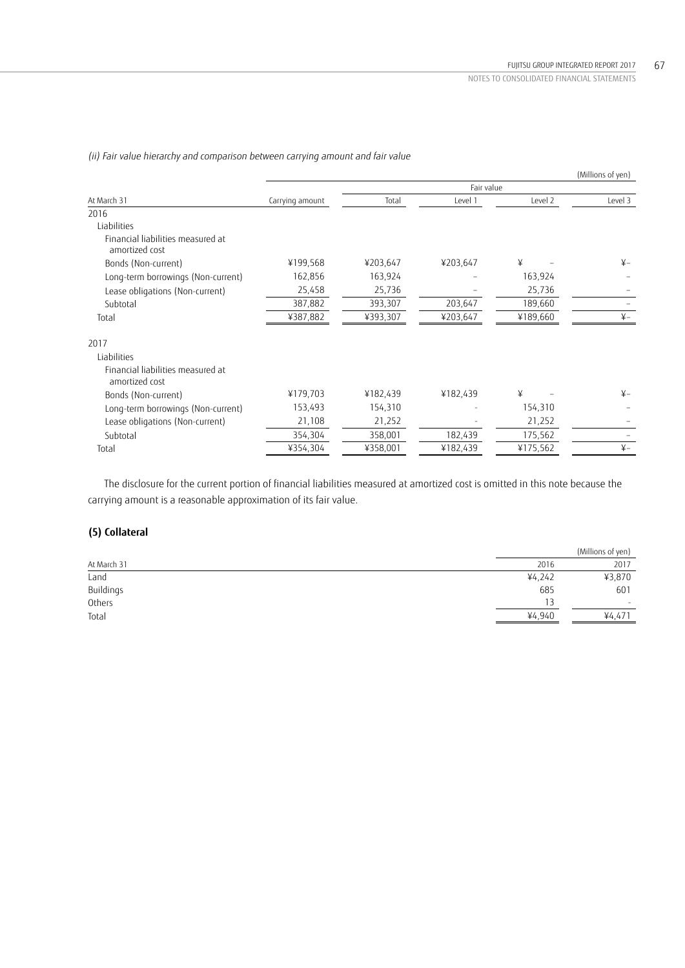| Level 3         |
|-----------------|
|                 |
|                 |
|                 |
|                 |
|                 |
| $\frac{1}{2}$   |
|                 |
|                 |
|                 |
| $\underline{V}$ |
|                 |
|                 |
|                 |
| $rac{1}{2}$     |
|                 |
|                 |
|                 |
| $_{+}$          |
|                 |

*(ii) Fair value hierarchy and comparison between carrying amount and fair value*

The disclosure for the current portion of financial liabilities measured at amortized cost is omitted in this note because the carrying amount is a reasonable approximation of its fair value.

# **(5) Collateral**

|             |        | (Millions of yen) |
|-------------|--------|-------------------|
| At March 31 | 2016   | 2017              |
| Land        | 44,242 | ¥3,870            |
| Buildings   | 685    | 601               |
| Others      | 13     | $\sim$            |
| Total       | ¥4,940 | 44.471            |